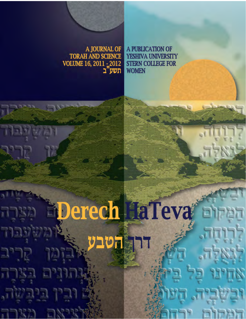A JOURNAL OF **TORAH AND SCIENCE** VOLUME 16, 2011 : 2012 תשע"ב

A PUBLICATION OF YESHIVA UNIVERSITY **STERN COLLEGE FOR WOMEN** 

Derech HaTeva Е **ַהטב** Ξ ובושביה, המהו  $T^{\prime}$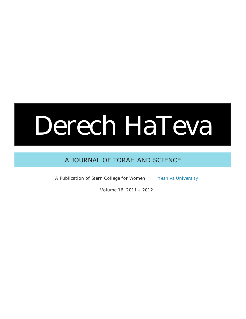# Derech HaTeva

### A Journal of Torah and Science

A Publication of Stern College for Women Yeshiva University

Volume 16 2011 - 2012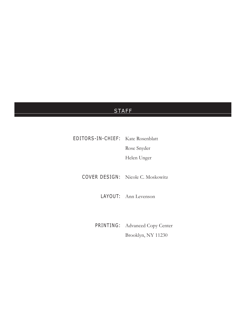### **STAFF**

EDITORS-IN-CHIEF: Kate Rosenblatt Rose Snyder

Helen Unger

COVER DESIGN: Nicole C. Moskowitz

LAYOUT: Ann Levenson

Printing: Advanced Copy Center Brooklyn, NY 11230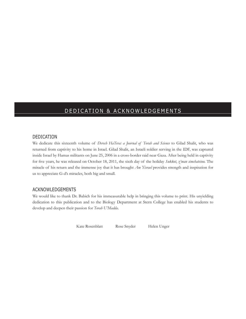### DEDICATION & ACKNOWLEDGEMENTS

### Dedication

We dedicate this sixteenth volume of *Derech HaTeva: a Journal of Torah and Science* to Gilad Shalit, who was returned from captivity to his home in Israel. Gilad Shalit, an Israeli soldier serving in the IDF, was captured inside Israel by Hamas militants on June 25, 2006 in a cross-border raid near Gaza. After being held in captivity for five years, he was released on October 18, 2011, the sixth day of the holiday *Sukkot*, *z'man simchateinu*. The miracle of his return and the immense joy that it has brought *Am Yisrael* provides strength and inspiration for us to appreciate G-d's miracles, both big and small.

### Acknowledgements

We would like to thank Dr. Babich for his immeasurable help in bringing this volume to print. His unyielding dedication to this publication and to the Biology Department at Stern College has enabled his students to develop and deepen their passion for *Torah U'Madda*.

Kate Rosenblatt Rose Snyder Helen Unger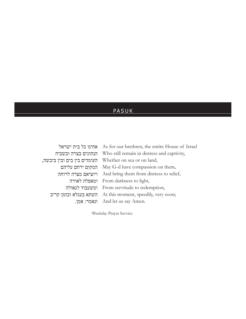### PASUK

| אחינו כל בית ישראל          | As for our brethren, the entire House of Israel |  |
|-----------------------------|-------------------------------------------------|--|
| הנתונים בצרה ובשביה         | Who still remain in distress and captivity,     |  |
| העומדים בין בים ובין ביבשה, | Whether on sea or on land,                      |  |
| המקום ירחם עליהם            | May G-d have compassion on them,                |  |
| ויוציאם מצרה לרוחה          | And bring them from distress to relief,         |  |
| ומאפלה לאורה                | From darkness to light,                         |  |
| ומשעבוד לגאולה              | From servitude to redemption,                   |  |
| השתא בעגלא ובזמן קריב       | At this moment, speedily, very soon;            |  |
| ונאמר: אמן.                 | And let us say Amen.                            |  |

-Weekday Prayer Service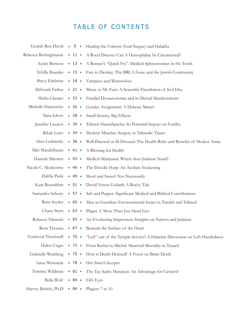## TABLE OF CONTENTS

|                           |                        | Geulah Ben-David • 9 • Healing the Unborn: Fetal Surgery and Halakha               |
|---------------------------|------------------------|------------------------------------------------------------------------------------|
| Rebecca Benhaghnazar      | $\bullet$ 11 $\bullet$ | A Royal Disease: Can A Hemophiliac be Circumcised?                                 |
| Ayelet Bersson • 13 •     |                        | A Runner's "Quick Fix": Medical Splenectomies in the Torah                         |
|                           |                        | Tehilla Brander • 15 • Fate to Destiny: The BRCA Gene and the Jewish Community     |
| Batya Edelman             |                        | • 18 • Vampires and Werewolves                                                     |
| Deborah Farber • 21 •     |                        | Music to My Ears: A Scientific Elucidation of Kol Isha                             |
| Shifra Glasner • 23 •     |                        | Familial Dysautonomia and its Dental Manifestations                                |
| Michelle Haimowitz • 26 • |                        | Gender Assignment: A Delicate Matter                                               |
| Ilana Ickow • 28 •        |                        | Small Storms, Big Effects                                                          |
| Jennifer Lazaros          | $\bullet$ 30 $\bullet$ | Taharat Hamishpacha: Its Potential Impact on Fertility                             |
| Rikah Lerer • 34 •        |                        | Modern Miracles: Surgery in Talmudic Times                                         |
| Aliza Loshinsky           | $\bullet$ 38 $\bullet$ | Well-Dressed or Ill-Dressed: The Health Risks and Benefits of Modest Attire        |
| Miri Mandelbaum • 41 •    |                        | A Blessing for Health                                                              |
| Hannah Marmor             | • 43 •                 | Medical Marijuana: Where does Judaism Stand?                                       |
| Nicole C. Moskowitz       | • 46 •                 | The Davidic Harp: An Aeolian Awakening                                             |
| Dahlia Pasik              | • 49 •                 | Short and Sweet? Not Necessarily                                                   |
| Kate Rosenblatt           | • 51 •                 | David Versus Goliath: A Rocky Tale                                                 |
| Samantha Selesny          | $\bullet$ 57 $\bullet$ | Salt and Pepper: Significant Medical and Biblical Contributions                    |
| Rose Snyder               | $\bullet$ 60 $\bullet$ | Man as Guardian: Environmental Issues in Tanakh and Talmud                         |
|                           |                        | Chana Stern • 63 • Plague 3: More Than Just Head Lice                              |
|                           |                        | Rebecca Tabaroki • 65 • An Everlasting Impression: Insights on Tattoos and Judaism |
| Rena Thomas               |                        | • 67 • Beneath the Surface of the Heart                                            |
| Yocheved Tirschwell       | $\bullet$ 70 $\bullet$ | "Left" out of the Temple Service? A Halachic Discussion on Left-Handedness         |
| Helen Unger               | $\bullet$ 73 $\bullet$ | From Rachel to Michal: Maternal Mortality in Tanach                                |
| Gabrielle Weinberg        | $\bullet$ 75 $\bullet$ | How is Death Defined? A Focus on Brain Death                                       |
| Anna Weinstein            | • 78 •                 | Her Sister's Keeper                                                                |
| Temima Wildman            | $\bullet$ 81 $\bullet$ | The Tay-Sachs Mutation: An Advantage for Carriers?                                 |
| Bella Wolf                | • 84 •                 | Eli's Eyes                                                                         |
| Harvey Babich, Ph.D       | • 86 •                 | Plagues 7 to 10                                                                    |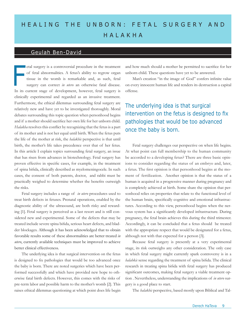# H E A LING THE UNBORN: FETAL SURGERY AND Ha l ak h a

### Geulah Ben-David

etal surgery is a controversial procedure in the treatment of fetal abnormalities. A fetus's ability to regrow organ tissue in the womb is remarkable and, as such, fetal surgery can correct *in utero* an otherwise fatal disease. In its current stage of development, however, fetal surgery is clinically experimental and regarded as an invasive treatment. Furthermore, the ethical dilemmas surrounding fetal surgery are relatively new and have yet to be investigated thoroughly. Moral debates surrounding this topic question when personhood begins and if a mother should sacrifice her own life for her unborn child. *Halakha* resolves this conflict by recognizing that the fetus is a part of its mother and is not her equal until birth. When the fetus puts the life of the mother at risk, the *halakhic* perspective is that until birth, the mother's life takes precedence over that of her fetus. In this article I explain topics surrounding fetal surgery, an issue that has risen from advances in biotechnology. Fetal surgery has proven effective in specific cases, for example, in the treatment of spina bifida, clinically described as myelomeningocele. In such cases, the consent of both parents, doctor, and rabbi must be practically weighed to determine whether the benefits outweigh the risks. F etal surgery is a controversial procedure in the treatment and how much should a mother be permitted to sacrifice for her of fetal abnormalities. A fetus's ability to regrow organ unborn child. These questions have yet t

Fetal surgery includes a range of *in utero* procedures used to treat birth defects in fetuses. Prenatal operations, enabled by the diagnostic ability of the ultrasound, are both risky and rewarding [1]. Fetal surgery is perceived as a last resort and is still considered new and experimental. Some of the defects that may be treated include severe spina bifida, serious heart defects, and bladder blockages. Although it has been acknowledged that to obtain favorable results some of these abnormalities are better treated *in utero*, currently available techniques must be improved to achieve better clinical effectiveness.

The underlying idea is that surgical intervention on the fetus is designed to fix pathologies that would be too advanced once the baby is born. There are noted surgeries which have been performed successfully and which have provided new hope to otherwise fatal birth defects. However, this comes with the risks of pre-term labor and possible harm to the mother's womb [2]. This raises ethical dilemmas questioning at which point does life begin

unborn child. These questions have yet to be answered.

Man's creation "in the image of God" confers infinite value on every innocent human life and renders its destruction a capital offense.

### The underlying idea is that surgical intervention on the fetus is designed to fix pathologies that would be too advanced once the baby is born.

Fetal surgery challenges our perspective on when life begins. At what point can full membership to the human community be accorded to a developing fetus? There are three basic opinions to consider regarding the status of an embryo and, later, a fetus. The first opinion is that personhood begins at the moment of fertilization. Another opinion is that the status of a human is acquired in a progressive manner during pregnancy and is completely achieved at birth. Some share the opinion that personhood relies on properties that relate to the functional level of the human brain, specifically cognitive and emotional infrastructures. According to this view, personhood begins when the nervous system has a significantly developed infrastructure. During pregnancy, the fetal brain achieves this during the third trimester. Accordingly, it can be concluded that a fetus should be treated with the appropriate respect that would be designated for a fetus, although not with that expected for a person [3].

Because fetal surgery is presently at a very experimental stage, its risk outweighs any other consideration. The only case in which fetal surgery might currently spark controversy is in a *halahkic* sense regarding the treatment of spina bifida. The clinical research in treating spina bifida with fetal surgery has produced significant outcomes, making fetal surgery a viable treatment option . Nevertheless, understanding the implications of *in utero* surgery is a good place to start.

The *halakhic* perspective, based mostly upon Biblical and Tal-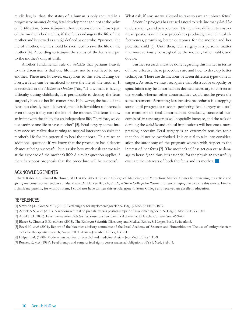mudic law, is that the status of a human is only acquired in a progressive manner during fetal development and not at the point of fertilization. Some *halakhic* authorities consider the fetus a part of the mother's body. Thus, if the fetus endangers the life of the mother and is viewed as a *rodef,* defined as one who "pursues" the life of another, then it should be sacrificed to save the life of the mother [4]. According to *halakha*, the status of the fetus is equal to the mother's only at birth.

Another fundamental rule of *halakha* that pertains heavily to this discussion is that one life must not be sacrificed to save another. There are, however, exceptions to this rule. During delivery, a fetus can be sacrificed to save the life of the mother. It is recorded in the *Mishna* in *Ohaloth* (7:6), "If a woman is having difficulty during childbirth, it is permissible to destroy the fetus surgically because her life comes first. If, however, the head of the fetus has already been delivered, then it is forbidden to intercede even though it may cost the life of the mother. The fetus is now an infant with the ability for an independent life. Therefore, we do not sacrifice one life to save another" [5]. Fetal surgery comes into play once we realize that turning to surgical intervention risks the mother's life for the potential to heal the unborn. This raises an additional question: if we know that the procedure has a decent chance at being successful, but is risky, how much risk can we take at the expense of the mother's life? A similar question applies if there is a poor prognosis that the procedure will be successful.

What risk, if any, are we allowed to take to save an unborn fetus?

Scientific progress has caused a need to redefine many *halakhic* understandings and perspectives. It is therefore difficult to answer these questions until these procedures produce greater clinical effectiveness, promising better outcomes for the mother and her potential child [6]. Until then, fetal surgery is a personal matter that must seriously be weighed by the mother, father, rabbi, and doctor.

Further research must be done regarding this matter in terms of how effective these procedures are and how to develop better techniques. There are distinctions between different types of fetal surgery. As such, we must recognize that obstructive uropathy or spina bifida may be abnormalities deemed necessary to correct in the womb, whereas other abnormalities would not be given the same treatment. Permitting less invasive procedures is a stepping stone until progress is made in perfecting fetal surgery as a tool for treatment of fetal abnormalities. Gradually, successful outcomes of *in utero* surgeries will hopefully increase, and the task of defining the *halakhic* and ethical implications will become a more pressing necessity. Fetal surgery is an extremely sensitive topic that should not be overlooked. It is crucial to take into consideration the autonomy of the pregnant woman with respect to the interest of her fetus [7]. The mother's selfless act can cause damage to herself, and thus, it is essential for the physician to carefully evaluate the interests of both the fetus and its mother.

#### Acknowledgements

I thank Rabbi Dr. Edward Reichman, M.D. at the Albert Einstein College of Medicine, and Montefiore Medical Center for reviewing my article and giving me constructive feedback. I also thank Dr. Harvey Babich, Ph.D., at Stern College for Women for encouraging me to write this article. Finally, I thank my parents, for without them, I could not have written this article, gone to Stern College and received an excellent education.

- [1] Simpson J.L., Greene M.F. (2011). Fetal surgery for myelomeningocele? N. Engl. J. Med. 364:1076-1077.
- [2] Adzick N.S., *et al.* (2011). A randomized trial of prenatal versus postnatal repair of myelomeningocele. N. Engl. J. Med. 364:993-1004.
- [3] Apfel H.D. (2003). Fetal intervention: *halacha*'s response to a new bioethical dilemma. J. Halacha Contem. Soc. 46:9-40.
- [4] Blazer S., Zimmer E.E., editors. (2005). The Embryo: Scientific Discovery and Medical Ethics. S. Karger, Basil, Switzerland.
- [5] Revel M., *et al.* (2004). Report of the bioethics advisory committee of the Israel Academy of Sciences and Humanities on: The use of embryonic stem cells for therapeutic research, August 2001. Assia – Jew. Med. Ethics, 4:39-54.
- [6] Halperin M. (1989). Modern perspectives on *halachah* and medicine. Assia Jew. Med. Ethics 1:11-9.
- [7] Rosner, F., *et al.* (1989). Fetal therapy and surgery: fetal rights versus maternal obligations. NYS J. Med. 89:80-4.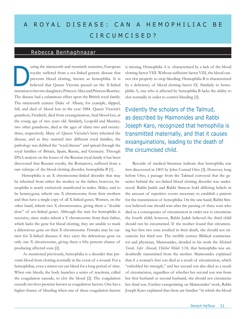# A ROYAL DISEASE: CAN A HEMOPHILIAC BE C IRCUMCISED?

### Rebecca Benhaghnazar

uring the nineteenth and twentieth centuries, European royalty suffered from a sex-linked genetic disease that prevents blood clotting, known as hemophilia. It is believed that Queen Victoria passed on the X-linked mutation to her two daughters, Princess Alice and Princess Beatrice. The disease had a calamitous effect upon the British royal family. The nineteenth century Duke of Albany, for example, slipped, fell, and died of blood loss in the year 1884. Queen Victoria's grandson, Freidrich, died from exsanguination, fatal blood loss, at the young age of two years old. Similarly, Leopold and Maurice, two other grandsons, died at the ages of thirty-two and twentythree, respectively. Many of Queen Victoria's heirs inherited the disease, and as they married into different royal families, the pathology was dubbed the "royal disease" and spread through the royal families of Britain, Spain, Russia, and Germany. Through DNA analysis on the bones of the Russian royal family it has been discovered that Russian royalty, the Romanovs, suffered from a rare subtype of the blood clotting disorder, hemophilia B [1] . D

Hemophilia is an X chromosome-linked disorder that may be inherited from either the mother or the father; however, hemophilia is nearly exclusively manifested in males. Males, said to be hemizygous, inherit one X chromosome from their mothers and thus have a single copy of all X-linked genes. Women, on the other hand, inherit two X chromosomes, giving them a "double dose" of sex-linked genes. Although the trait for hemophilia is recessive, since males inherit a Y chromosome from their father, which lacks the gene for blood clotting, they are unable to mask a deleterious gene on their X chromosome. Females may be carriers for X-linked diseases if they carry the deleterious gene on only one X chromosome, giving them a fifty percent chance of producing affected sons [2].

 As mentioned previously, hemophilia is a disorder that prevents blood from clotting normally in the event of a wound. For a hemophiliac, even a minor cut can bleed for a long period of time. When one bleeds, the body launches a series of reactions, called the coagulation cascade, to clot the blood [2]. The coagulation cascade involves proteins known as coagulation factors. One has a higher chance of bleeding when one of these coagulation factors is missing. Hemophilia A is characterized by a lack of the blood clotting factor VIII. Without sufficient factor VIII, the blood cannot clot properly to stop bleeding. Hemophilia B is characterized by a deficiency of blood clotting factor IX. Similarly to hemophilia A, one who is affected by hemophilia B lacks the ability to clot normally in order to control bleeding [3].

Evidently the scholars of the Talmud, as described by Maimonides and Rabbi Joseph Karo, recognized that hemophilia is transmitted maternally, and that it causes exsanguinations, leading to the death of the circumcised child.

Records of medical literature indicate that hemophilia was first discovered in 1803 by John Conrad Otto [3]. However, long before Otto, a passage from the Talmud conveyed that the genetics behind the sex-linked blood clotting disorder was understood. Rabbi Judah and Rabbi Simeon hold differing beliefs in the amount of repetitive events necessary to establish a pattern for the transmission of hemophilia. On the one hand, Rabbi Simeon believed one should wait after the passing of three sons who died as a consequence of circumcision in order not to circumcise the fourth child; however, Rabbi Judah believed the third child should not be circumcised. If the mother found that circumcising her first two sons resulted in their death, she should not circumcise her third son. The twelfth century Biblical commentator and physician, Maimonides, detailed in his work the *Mishneh Torah, Sefer Ahavah*, *Hilchot Milah* 1:18, that hemophilia was undoubtedly transmitted from the mother. Maimonides explained that if a woman's first son died as a result of circumcision, which "enfeebled his strength," and her second son also died as a result of circumcision, regardless of whether her second son was from her first husband or second husband, she should not circumcise her third son. Further extrapolating on Maimonides' work, Rabbi Joseph Karo explained that there are families "in which the blood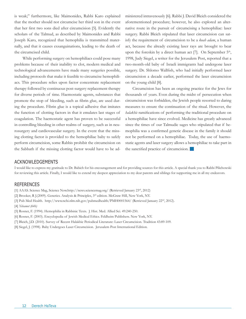is weak;" furthermore, like Maimonides, Rabbi Karo explained that the mother should not circumcise her third son in the event that her first two sons died after circumcision [5]. Evidently the scholars of the Talmud, as described by Maimonides and Rabbi Joseph Karo, recognized that hemophilia is transmitted maternally, and that it causes exsanguinations, leading to the death of the circumcised child.

 While performing surgery on hemophiliacs could pose many problems because of their inability to clot, modern medical and technological advancements have made many surgeries possible, including protocols that make it feasible to circumcise hemophiliacs. This procedure relies upon factor concentrate replacement therapy followed by continuous post-surgery replacement therapy for diverse periods of time. Haemostatic agents, substances that promote the stop of bleeding, such as fibrin glue, are used during the procedure. Fibrin glue is a topical adhesive that imitates the function of clotting factors in that it emulates last stages of coagulation. The haemostatic agent has proven to be successful in controlling bleeding in other realms of surgery, such as in neurosurgery and cardiovascular surgery. In the event that the missing clotting factor is provided to the hemophiliac baby to safely perform circumcision, some Rabbis prohibit the circumcision on the Sabbath if the missing clotting factor would have to be administered intravenously [6]. Rabbi J. David Bleich considered the aforementioned procedure; however, he also explored an alternative route in the pursuit of circumcising a hemophiliac: laser surgery. Rabbi Bleich stipulated that laser circumcision can satisfy the requirement of circumcision to be a *koah adam*, a human act, because the already existing laser rays are brought to bear upon the foreskin by a direct human act [7]. On September 5<sup>th</sup>, 1998, Judy Siegel, a writer for the Jerusalem Post, reported that a two-month-old baby of Israeli immigrants had undergone laser surgery. Dr. Shlomo Wallfish, who had initially performed laser circumcision a decade earlier, performed the laser circumcision on the young child [8].

Circumcision has been an ongoing practice for the Jews for thousands of years. Even during the midst of persecution when circumcision was forbidden, the Jewish people resorted to daring measures to ensure the continuation of the ritual. However, the *halakhic* ramifications of performing the traditional procedure on a hemophiliac have since evolved. Medicine has greatly advanced since the times of our Talmudic sages who stipulated that if hemophilia was a confirmed genetic disease in the family it should not be performed on a hemophiliac. Today, the use of haemostatic agents and laser surgery allows a hemophiliac to take part in the sanctified practice of circumcision.

### Acknowledgements

I would like to express my gratitude to Dr. Babich for his encouragement and for providing sources for this article. A special thank you to Rabbi Pilichowski for reviewing this article. Finally, I would like to extend my deepest appreciation to my dear parents and siblings for supporting me in all my endeavors.

### **REFERENCES**

[1] AAAS. Science Mag, Science Now.http://news.sciencemag.org/ (Retrieved January 23rd, 2012)

- [2] Brooker, R J.(2009). Genetics. Analysis & Principles, 3rd edition. McGraw Hill, New York, NY.
- [3] Pub Med Health. http://www.ncbi.nlm.nih.gov/pubmedhealth/PMH0001564/ (Retrieved January 22<sup>nd</sup>, 2012).

[4] *Yebamot (64b)*

- [5] Rosner, F. (1994). Hemophilia in Rabbinic Texts. J. Hist. Med. Allied Sci. 49:240-250.
- [6] Rosner, F. (2003). Encyclopedia of Jewish Medical Ethics. Feldheim Publishers. New York, NY.
- [7] Bleich, J.D. (2010). Survey of Recent Halakhic Periodical Literature: Laser Circumcision. Tradition 43:89-109.
- [8] Siegel, J. (1998). Baby Undergoes Laser Circumcision. Jerusalem Post International Edition.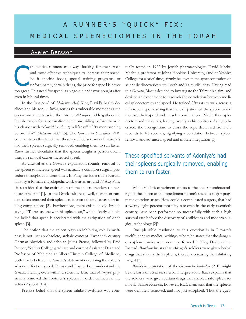# A RUNNER'S "QUICK" FIX: MEDICAL SPLENECTOMIES IN THE TORAH

### Ayelet Bersson

ompetitive runners are always looking for the newest and most effective techniques to increase their speed. Be it specific foods, special training programs, or unfortunately, certain drugs, the price for speed is never too great. This need for speed is an age-old endeavor, sought after even in biblical times. C

In the first *perek* of *Melachim Alef*, King David's health declines and his son, *Adoniya*, senses this vulnerable moment as the opportune time to seize the throne. *Adoniya* quickly gathers the Jewish nation for a coronation ceremony, riding before them in his chariot with "*chamishim ish ratzim* lifanav," "fifty men running before him" (*Melachim Alef* 1:5). The *Gemara* in *Sanhedrin* (21B) comments on this *pasuk* that these specified servants of *Adoniya*'s had their spleens surgically removed, enabling them to run faster. *Rashi* further elucidates that the spleen weighs a person down; thus, its removal causes increased speed.

As unusual as the *Gemara*'s explanation sounds, removal of the spleen to increase speed was actually a common surgical procedure throughout ancient times. In Pliny the Elder's The Natural History, a Roman encyclopedic work written around 77 AD, Pliny cites an idea that the extirpation of the spleen "renders runners more efficient" [1]. In the Greek culture as well, marathon runners often removed their spleens to increase their chances of winning competitions [2]. Furthermore, there exists an old French saying, "To run as one with his spleen out," which clearly exhibits the belief that speed is accelerated with the extirpation of one's spleen [3].

The notion that the spleen plays an inhibiting role in swiftness is not just an obsolete, archaic concept. Twentieth century German physician and scholar, Julius Preuss, followed by Fred Rosner, Yeshiva College graduate and current Assistant Dean and Professor of Medicine at Albert Einstein College of Medicine, both firmly believe the *Gemara*'s statement describing the spleen's adverse effect on speed. Preuss and Rosner both understand the *Gemara* literally, even within a scientific lens, that *Adoniya*'s physicians removed the footmen's spleens in order to increase the soldiers' speed [1, 4].

Preuss's belief that the spleen inhibits swiftness was even-

tually tested in 1922 by Jewish pharmacologist, David Macht. Macht, a professor at Johns Hopkins University, (and at Yeshiva College for a brief time), firmly believes in the synchronization of scientific discoveries with Torah and Talmudic ideas. Having read this *Gemara*, Macht decided to investigate the Talmud's claim, and devised an experiment to research the correlation between medical splenectomies and speed. He trained fifty rats to walk across a thin rope, hypothesizing that the extirpation of the spleen would increase their speed and muscle coordination. Macht then splenectomized thirty rats, leaving twenty as his controls. As hypothesized, the average time to cross the rope decreased from 6.8 seconds to 4.6 seconds, signifying a correlation between spleen removal and advanced speed and muscle integration [3].

### These specified servants of Adoniya's had their spleens surgically removed, enabling them to run faster.

While Macht's experiment attests to the ancient understanding of the spleen as an impediment to one's speed, a major pragmatic question arises. How could a complicated surgery, that had a twenty-eight percent mortality rate even in the early twentieth century, have been performed so successfully with such a high survival rate before the discovery of antibiotics and modern surgical technology [2]?

One plausible resolution to this question is in *Rambam*'s twelfth century medical writings, where he states that the dangerous splenectomies were never performed in King David's time. Instead, *Rambam* insists that *Adoniya*'s soldiers were given herbal drugs that shrunk their spleens, thereby decreasing the inhibiting weight [2].

*Rashi*'s interpretation of the *Gemara* in *Sanhedrin* (21B) might be the basis of *Rambam*'s herbal interpretation. *Rashi* explains that the soldiers were given certain drugs that enabled safe spleen removal. Unlike *Rambam*, however, *Rashi* maintains that the spleens were definitely removed, and not just atrophied. Thus the ques-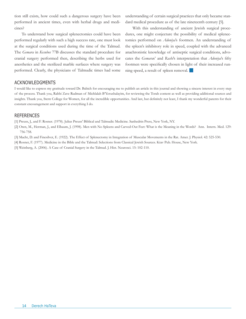tion still exists, how could such a dangerous surgery have been performed in ancient times, even with herbal drugs and medicines?

To understand how surgical splenectomies could have been performed regularly with such a high success rate, one must look at the surgical conditions used during the time of the Talmud. The *Gemara* in *Kesubos* 77B discusses the standard procedure for cranial surgery performed then, describing the herbs used for anesthetics and the sterilized marble surfaces where surgery was performed. Clearly, the physicians of Talmudic times had some

understanding of certain surgical practices that only became standard medical procedure as of the late nineteenth century [5].

With this understanding of ancient Jewish surgical procedures, one might conjecture the possibility of medical splenectomies performed on *Adoniya*'s footmen. An understanding of the spleen's inhibitory role in speed, coupled with the advanced anachronistic knowledge of antiseptic surgical conditions, advocates the *Gemara*s' and *Rashi*'s interpretation that *Adoniya*'s fifty footmen were specifically chosen in light of their increased running speed, a result of spleen removal.  $\Box$ 

### **ACKNOWLEDGMENTS**

I would like to express my gratitude toward Dr. Babich for encouraging me to publish an article in this journal and showing a sincere interest in every step of the process. Thank you, Rabbi Zave Rudman of Michlalah B'Yerushalayim, for reviewing the Torah content as well as providing additional sources and insights. Thank you, Stern College for Women, for all the incredible opportunities. And last, but definitely not least, I thank my wonderful parents for their constant encouragement and support in everything I do.

### **REFERENCES**

[1] Preuss, J., and F. Rosner. (1978). Julius Preuss' Biblical and Talmudic Medicine. Sanhedrin Press, New York, NY.

- [2] Oren, M., Herman, J., and Elbaum, J. (1998). Men with No Spleens and Carved-Out Feet: What is the Meaning in the Words? Ann. Intern. Med. 129: 756-758.
- [3] Macht, D. and Finesilver, E. (1922). The Effect of Splenectomy in Integration of Muscular Movements in the Rat. Amer. J. Physiol. 42: 525-530.
- [4] Rosner, F. (1977). Medicine in the Bible and the Talmud: Selections from Classical Jewish Sources. Ktav Pub. House, New York.

[5] Weinberg, A. (2006). A Case of Cranial Surgery in the Talmud. J. Hist. Neurosci. 15: 102-110.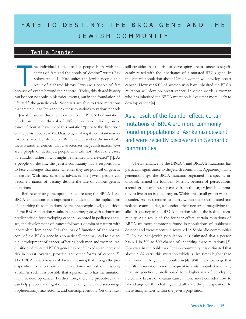# FATE TO DESTINY: THE BRCA GENE AND THE j e w i s h co mm uni t y

### Tehilla Brander

he individual is tied to his people both with the chains of fate and the bonds of destiny," writes Rav Soloveitchik [1]. Fate unites the Jewish people as a result of a shared history. Jews are a people of fate because of events beyond their control. Today, this shared history can be seen not only in historical events, but in the foundation of life itself: the genetic code. Scientists are able to trace mutations that are unique to Jews and link these mutations to various periods in Jewish history. One such example is the BRCA 1/2 mutation, which can increase the risk of different cancers including breast cancer. Scientists have traced this mutation "prior to the dispersion of the Jewish people in the Diaspora," making it a constant marker for the shared Jewish fate [2]. While fate describes the inevitable, there is another element that characterizes the Jewish nation; Jews are a people of destiny, a people who ask not "about the cause of evil...but rather how it might be mended and elevated" [1]. As a people of destiny, the Jewish community has a responsibility to face challenges that arise, whether they are political or genetic in nature. With new scientific advances, the Jewish people can become a nation of destiny, despite the fate of various genetic mutations.

Before exploring the options in addressing the BRCA-1 and BRCA-2 mutations, it is important to understand the implications of inheriting these mutations. At the phenotypic level, acquisition of the BRCA mutation results in a heterozygote with a dominant predisposition for developing cancer. As noted in pedigree analyses, the development of cancer follows a dominant pattern with incomplete dominance. It is the loss of function of the normal copy of the BRCA gene in a somatic cell that may lead to the actual development of cancer, affecting both men and women**.** Acquisition of mutated BRCA genes has been linked to an increased risk in breast, ovarian, prostate, and other forms of cancer [3]. The BRCA mutation is a risk factor, meaning that though the predisposition to cancer is inherited in a dominant fashion, it is only a risk. As such, it is possible that a person who has the mutation may not develop cancer. Furthermore, there are procedures that can help prevent and fight cancer, including increased screenings, oopherectomy, mastectomy, and chemoprevention. Yet one must

The individual is tied to his people both with the still consider that the risk of developing breast cancer is signifi-<br>chains of fate and the bonds of destiny," writes Rav cantly raised with the inheritance of a mutated B cantly raised with the inheritance of a mutated BRCA gene. In the general population about 12% of women will develop breast cancer. However 60% of women who have inherited the BRCA mutation will develop breast cancer. In other words, a woman who has inherited the BRCA mutation is five times more likely to develop cancer [4].

> As a result of the founder effect, certain mutations of BRCA are more commonly found in populations of Ashkenazi descent and were recently discovered in Sephardic communities.

The inheritance of the BRCA-1 and BRCA-2 mutations has particular significance to the Jewish community. Apparently, many generations ago the BRCA mutation originated in a specific individual, termed the founder. Possibly because of persecutions, a small group of Jews separated from the larger Jewish community to live in an isolated region. Within this small group was the founder. As Jews tended to marry within their own limited and isolated communities, a founder effect occurred, magnifying the allele frequency of the BRCA mutation within the isolated community. As a result of the founder effect, certain mutations of BRCA are more commonly found in populations of Ashkenazi descent and were recently discovered in Sephardic communities [2]. In the non-Jewish population it is estimated that a person has a 1 in 300 to 500 chance of inheriting these mutations [5]. However, in the Ashkenazi Jewish community it is estimated that about 2.3% carry this mutation which is five times higher than that found in the general population [4]. With the knowledge that the BRCA mutation is more frequent in Jewish populations, many Jews are genetically predisposed for a higher risk of developing hereditary breast or ovarian cancer. One must consider how to take charge of this challenge and alleviate the predisposition to these malignancies within the Jewish population.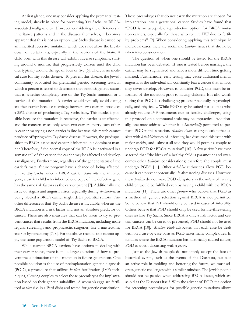At first glance, one may consider applying the premarital testing model, already in place for preventing Tay Sachs, to BRCAassociated malignancies. However, considering the differences in inheritance patterns and in the diseases themselves, it becomes apparent that this is not an option. Tay Sachs disease is caused by an inherited recessive mutation, which does not allow the breakdown of certain fats, especially in the neurons of the brain. A child born with this disease will exhibit adverse symptoms, starting around 6 months, that progressively worsen until the child dies typically around the age of four or five [6]. There is no medical cure for Tay Sachs disease. To prevent this disease, the Jewish community advocated for premarital genetic screening tests, in which a person is tested to determine that person's genetic status; that is, whether completely free of the Tay Sachs mutation or a carrier of the mutation. A carrier would typically avoid dating another carrier because marriage between two carriers produces a 25% chance of producing a Tay Sachs baby. This model is possible because the mutation is recessive, the carrier is unaffected, and the concern arises only when two carriers marry each other. A carrier marrying a non-carrier is fine because this match cannot produce offspring with Tay Sachs disease. However, the predisposition to BRCA-associated cancer is inherited in a dominant manner. Therefore, if the normal copy of the BRCA is inactivated in a somatic cell of the carrier, the carrier may be affected and develop a malignancy. Furthermore, regardless of the genetic status of the carrier's mate, future progeny have a chance of being affected. Unlike Tay Sachs, once a BRCA carrier transmits the mutated gene, a carrier child who inherited one copy of the defective gene has the same risk factors as the carrier parent [7]. Additionally, the issue of stigma and anguish arises, especially during *shidduchim,* as being labeled a BRCA carrier might deter potential suitors. Another difference is that Tay Sachs disease is incurable, whereas the BRCA mutation is a risk factor and not an absolute predictor of cancer. There are also measures that can be taken to try to prevent cancer that results from the BRCA mutation, including more regular screenings and prophylactic surgeries, like a mastectomy and/or hysterectomy [7, 8]. For the above reasons one cannot apply the same population model of Tay Sachs to BRCA.

While current BRCA carriers have options in dealing with their carrier status, there is still a larger question of how to prevent the continuation of this mutation in future generations. One possible solution is the use of preimplantation genetic diagnosis (PGD), a procedure that utilizes *in vitro* fertilization (IVF) techniques, allowing couples to select those preembryos for implantation based on their genetic suitability. A woman's eggs are fertilized *in vitro* (i.e. in a Petri dish) and tested for genetic constitution. Those preembryos that do not carry the mutation are chosen for implantation into a gestational carrier. Studies have found that "PGD is an acceptable reproductive option for BRCA mutation carriers, especially for those who require IVF due to fertility problems" [9]. When considering applying this technique in individual cases, there are social and *halakhic* issues that should be taken into consideration.

The question of when one should be tested for the BRCA mutation has been debated. If one is tested before marriage, the carrier may be stigmatized and have a more difficult time getting married. Furthermore, early testing may cause additional mental anguish, as the individual will constantly fear a cancer that, in fact, may never develop. However, to consider PGD, one must be informed of the mutation prior to having children. It is also worth noting that PGD is a challenging process financially, psychologically, and physically. While PGD may be suited for couples who already require IVF treatments due to fertility challenges, using this protocol on a communal scale may be impractical. Additionally, one must address whether it is *halakhically* permitted to perform PGD in this situation. *Machon Puah*, an organization that assists with *halakhic* issues of infertility, has discussed this issue with major *poskim*, and "almost all said they would permit a couple to undergo PGD for BRCA mutation" [10]. A few *poskim* have even asserted that "the birth of a healthy child is paramount and overcomes other *halakhic* considerations; therefore the couple must undergo PGD" [11]. Other *halakhic* authorities allow PGD because it can prevent potentially life-threatening diseases. However, these *poskim* do not make PGD obligatory as the *mitzva* of having children would be fulfilled even by having a child with the BRCA mutation [11]. There are other *poskim* who believe that PGD as a method of genetic selection against BRCA is not permitted. Some believe that IVF should only be used in cases of infertility. Others believe that PGD should only be used for life-threatening diseases like Tay Sachs. Since BRCA is only a risk factor and certain cancers can be cured or prevented, PGD should not be used for BRCA [10]. *Machon Puah* advocates that each case be dealt with on a case-by-case basis as PGD raises many complexities. In families where the BRCA mutation has historically caused cancer, PGD is worth discussing with a *posek*.

Just as the Jewish people do not simply accept the fate of historical events, such as the events of the Diaspora, but take an active role in molding and bettering the future, we must address genetic challenges with a similar mindset. The Jewish people should not be passive when addressing BRCA issues, which are as old as the Diaspora itself. With the advent of PGD, the option for screening preembryos for possible genetic mutations allows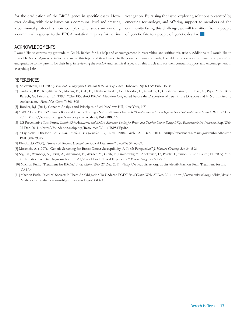for the eradication of the BRCA genes in specific cases. However, dealing with these issues on a communal level and creating a communal protocol is more complex. The issues surrounding a communal response to the BRCA mutation requires further investigation. By raising the issue, exploring solutions presented by emerging technology, and offering support to members of the community facing this challenge, we will transition from a people of genetic fate to a people of genetic destiny. g

### Acknowledgments

I would like to express my gratitude to Dr. H. Babich for his help and encouragement in researching and writing this article. Additionally, I would like to thank Dr. Nicole Agus who introduced me to this topic and its relevance to the Jewish community. Lastly, I would like to express my immense appreciation and gratitude to my parents for their help in reviewing the *halakhic* and technical aspects of this article and for their constant support and encouragement in everything I do.

- [1] Soloveitchik, J. D. (2000). *Fate and Destiny: from Holocaust to the State of Israel*. Hoboken, NJ: KTAV Pub. House.
- [2] Bar-Sade, R.B., Kruglikova A., Modan, B., Gak, E., Hirsh-Yechezkel, G., Theodor, L., Novikov, I., Gershoni-Baruch, R., Risel, S., Papa, M.Z., Ben-Baruch, G., Friedman, E. (1998). "The 185delAG BRCA1 Mutation Originated before the Dispersion of Jews in the Diaspora and Is Not Limited to Ashkenazim." *Hum. Mol. Genet.* 7: 801-805
- [3] Booker, R.J. (2011). Genetics Analysis and Principles.  $4<sup>th</sup>$  ed. McGraw-Hill, New York, NY.
- [4] "BRCA1 and BRCA2: Cancer Risk and Genetic Testing National Cancer Institute."*Comprehensive Cancer Information National Cancer Institute*. Web. 27 Dec. 2011. <http://www.cancer.gov/cancertopics/factsheet/Risk/BRCA>
- [5] US Preventative Task Force. *Genetic Risk Assessment and BRCA Mutation Testing for Breast and Ovarian Cancer Susceptibility: Recommendation Statement*. Rep. Web. 27 Dec. 2011. <http://foundation.mahp.org/Resources/2011/USPSTF.pdf>.
- [6] "Tay-Sachs Disease." *A.D.A.M. Medical Encyclopedia.* 17, Nov. 2010. Web. 27 Dec. 2011. <http://www.ncbi.nlm.nih.gov/pubmedhealth/ PMH0002390/>.
- [7] Bleich, J.D. (2000), "Survey of Recent *Halakhic* Periodical Literature." *Tradition* 34: 63-87.
- [8] Mosenkis, A. (1997), "Genetic Screening for Breast Cancer Susceptibility: A Torah Perspective." *J. Halacha Contemp. Soc.* 34: 5-26.
- [9] Sagi, M., Weinberg, N., Eilat, A., Aizenman, E., Werner, M., Girsh, E., Siminovsky, Y., Abeliovich, D., Peretz, T., Simon, A., and Laufer, N. (2009). "Reimplantation Genetic Diagnosis for BRCA1/2 -- a Novel Clinical Experience." *Prenat. Diagn.* 29:508-513.
- [10] Machon Puah. "Treatment for BRCA." *Israel Center*. Web. 27 Dec. 2011. <http://www.ouisrael.org/tidbits/detail/Machon-Puah-Treatment-for-BR  $CA1/$ .
- [11] Machon Puah. "Medical Secrets: Is There An Obligation To Undergo PGD." *Israel Center*. Web. 27 Dec. 2011. <http://www.ouisrael.org/tidbits/detail/ Medical-Secrets-Is-there-an-obligation-to-undergo-PGD/>.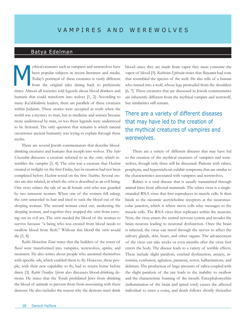### Batya Edelman

ythical creatures such as vampires and werewolves have been popular subjects in recent literature and media. Today's portrayal of these creatures is vastly different from the original tales dating back to prehistoric times. Almost all societies told legends about blood drinkers and humans that could transform into wolves [1, 2]. According to many Ka'abbalistic leaders, there are parallels of these creatures within Judaism. These stories were accepted as truth when the world was a mystery to man, but as medicine and science became more understood by man, so too these legends were understood to be fictional. The only question that remains is which natural occurrence ancient humanity was trying to explain through these myths. M

There are several Jewish commentators that describe blooddrinking creatures and humans that morph into wolves. The *Sefer Chassidim* discusses a creature referred to as the *estrie*, which resembles the vampire [3, 4]. The *estrie* was a creature that *Hashem* created at twilight on the first Friday, but its creation had not been completed before *Hashem* rested on the first *Shabbos*. Several stories are also related, in which the *estrie* is described as an evil being. One story relates the tale of an ill female *estrie* who was guarded by two innocent women. When one of the women fell asleep, the *estrie* unraveled its hair and tried to suck the blood out of the sleeping woman. The second woman cried out, awakening the sleeping woman, and together they stopped the *estrie* from carrying out its evil act. The *estrie* needed the blood of the woman to survive because "a being who was created from blood needs to swallow blood from flesh." Without this blood the *estrie* would die [3, 4].

*Rabbi Menachem Zioni* states that the builders of the tower of *Bavel* were transformed into vampires, werewolves, spirits, and monsters. He also writes about people who anointed themselves with specific oils, which enabled them to fly. However, these people, with their new capability to fly, had to return home before dawn [3]. *Rabbi Ovadiya Sforno* also discusses blood-drinking demons. He states that the Torah prohibited Jews from drinking the blood of animals to prevent them from associating with these demons. He also includes the reason why the demons must drink

blood: since they are made from vapor they must consume the vapor of blood [5]. *Rabbeinu Ephraim* states that *Binyamin* had sons that resembled the species of the wolf. He also tells of a human who turned into a wolf, whose legs protruded from the shoulders [6, 7]. These creatures that are discussed in Jewish commentaries are inherently different from the mythical vampire and werewolf, but similarities still remain.

There are a variety of different diseases that may have led to the creation of the mythical creatures of vampires and werewolves.

There are a variety of different diseases that may have led to the creation of the mythical creatures of vampires and werewolves, though only three will be discussed. Patients with rabies, porphyria, and hypertrichosis exhibit symptoms that are similar to the characteristics associated with vampires and werewolves.

Rabies is a viral disease that is usually transmitted through animal bites from affected mammals. The rabies virus is a singlestranded RNA virus that first reproduces in muscle cells. It then binds to the nicotinic acetylcholine receptors at the neuromuscular junction, which is where nerve cells relay messages to the muscle cells. The RNA virus then replicates within the neurons. Next, the virus enters the central nervous system and invades the brain neurons leading to neuronal dysfunction. Once the brain is infected, the virus can travel through the nerves to affect the salivary glands, skin, heart, and other organs. The advancement of the virus can take weeks or even months after the virus first enters the body. The disease leads to a variety of terrible effects. These include slight paralysis, cerebral dysfunction, anxiety, insomnia, confusion, agitation, paranoia, terror, hallucinations, and delirium. The production of large amounts of saliva coupled with the slight paralysis of the jaw leads to the inability to swallow and the characteristic foaming of the mouth. Encephalomyelitis (inflammation of the brain and spinal cord) causes the affected individual to enter a coma, and death follows shortly thereafter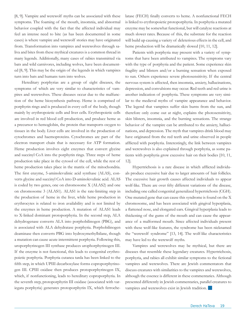[8, 9]. Vampire and werewolf myths can be associated with these symptoms. The foaming of the mouth, insomnia, and abnormal behavior coupled with the fact that the affected individual may feel an intense need to bite (as has been documented in some cases) is where vampire and werewolf stories may have originated from. Transformation into vampires and werewolves through saliva and bites from these mythical creatures is a common thread in many legends. Additionally, many cases of rabies transmitted via bats and wild carnivores, including wolves, have been documented [8, 9]. This may be the origin of the legends in which vampires turn into bats and humans turn into wolves.

Hereditary porphyrias are a group of eight diseases, the symptoms of which are very similar to characteristics of vampires and werewolves. These diseases occur due to the malfunction of the heme biosynthesis pathway. Heme is comprised of porphyrin rings and is produced in every cell of the body, though mainly by erythropoietic cells and liver cells. Erythropoietic cells are involved in red blood cell production, and produce heme as a precursor to hemoglobin, the protein that transports oxygen to tissues in the body. Liver cells are involved in the production of cytochromes and haemoproteins. Cytochromes are part of the electron transport chain that is necessary for ATP formation. Heme production involves eight enzymes that convert glycine and succinyl CoA into the porphyrin rings. Three steps of heme production take place in the cytosol of the cell, while the rest of heme production takes place in the matrix of the mitochondria. The first enzyme, 5-aminolevulinic acid synthase (ALAS), converts glycine and succinyl CoA into D-aminolevulinic acid. ALAS is coded by two genes, one on chromosome X (ALAS2) and one on chromosome 3 (ALAS1). ALAS1 is the rate-limiting step in the production of heme in the liver, while heme production in erythrocytes is related to iron availability and is not limited by the enzymes in heme production. A mutation of ALAS1 leads to X-linked dominant protoporphyria. In the second step, ALA dehydrogenase converts ALA into porphobilinogen (PBG), and is associated with ALA dehydratase porphyria. Porphobilinogen deaminase then converts PBG into hydroxymethylbilane, though a mutation can cause acute intermittent porphyria. Following this, uroporphyrinogen III synthase produces urophorphyrinogen III. If the enzyme is not functional, this leads to congenital erythropoietic porphyria. Porphyria cutanea tarda has been linked to the fifth step, in which UPIII decarboxylase forms coproporphyrinogen III. CPIII oxidase then produces protoporphyrinogen IX, which, if nonfunctioning, leads to hereditary coproporphyria. In the seventh step, protoporphyrin III oxidase (associated with variegata porphyria) generates protoporphyrin IX, which ferrochelatase (FECH) finally converts to heme. A nonfunctional FECH is linked to erythropoietic protoporphyria. In porphyria a mutated enzyme may be somewhat functional, but will catalyze reactions at much slower rates. Because of this, the substrate for the reaction will build up causing a variety of deleterious effects in the cell, and heme production will be dramatically slowed [10, 11, 12].

Patients with porphyria may present with a variety of symptoms that have been attributed to vampires. The symptoms vary with the type of porphyria and the patient. Some experience skin fragility and blisters and/or a burning sensation when exposed to sun. Others experience severe photosensitivity. If the central nervous system is affected, then insomnia, anxiety, hallucinations, depression, and convulsions may occur. Red teeth and red urine is another indication of porphyria. These symptoms are very similar to the medieval myths of vampire appearance and behavior. The legend that vampires suffer skin burns from the sun, and therefore only come out at night, explains the photosensitivity, skin blisters, insomnia, and the burning sensations. The strange behavior of the vampire can be attributed to the anxiety, hallucinations, and depression. The myth that vampires drink blood may have originated from the red teeth and urine observed in people afflicted with porphyria. Interestingly, the link between vampires and werewolves is also explained through porphyria, as some patients with porphyria grow excessive hair on their bodies [10, 11, 12].

Hypertrichosis is a rare disease in which afflicted individuals produce excessive hair due to larger amounts of hair follicles. The excessive hair growth causes affected individuals to appear wolf-like. There are over fifty different variations of the disease, including one called congenital generalized hypertrichosis (CGH). One mutated gene that can cause this syndrome is found on the X chromosome, and has been associated with gingival hyperplasia, a flattened nose, and elongated ears. Gingival hyperplasia leads to thickening of the gums of the mouth and can cause the appearance of a malformed mouth. Since affected individuals present with these wolf-like features, the syndrome has been nicknamed the "werewolf syndrome" [13, 14]. The wolf-like characteristics may have led to the werewolf myths.

Vampires and werewolves may be mythical, but there are diseases that resemble these legendary creatures. Hypertrichosis, porphyria, and rabies all exhibit similar symptoms to the fictional vampires and werewolves. There are Jewish commentators that discuss creatures with similarities to the vampires and werewolves, although the essence is different in these commentaries. Although presented differently in Jewish commentaries, parallel creatures to vampires and werewolves exist in Jewish tradition.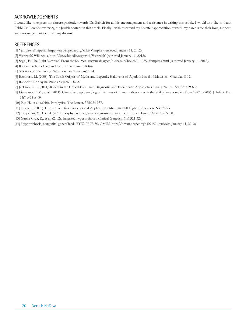### Acknowledgements

I would like to express my sincere gratitude towards Dr. Babich for all his encouragement and assistance in writing this article. I would also like to thank Rabbi Zvi Lew for reviewing the Jewish content in this article. Finally I wish to extend my heartfelt appreciation towards my parents for their love, support, and encouragement to pursue my dreams.

- [1] Vampire. Wikipedia. http://en.wikipedia.org/wiki/Vampire (retrieved January 11, 2012).
- [2] Werewolf. Wikipedia. http://en.wikipedia.org/wiki/Werewolf (retrieved January 11, 2012).
- [3] Segal, E. The Right Vampire? From the Sources. www.ucalgary.ca/~elsegal/Shokel/011025\_Vampires.html (retrieved January 11, 2012).
- [4] Rabeinu Yehuda Hachasid. Sefer Chassidim. 318:464.
- [5] Sforno, commentary on Sefer Vayikra (Leviticus) 17:4.
- [6] Eichhorn, M. (2008). The Torah Origins of Myths and Legends. Hakoveitz of Agudath Israel of Madison Chanuka. 8-12.
- [7] Rabbeinu Ephrayim. Parsha Vayechi. 167:27.
- [8] Jackson, A. C. (2011). Rabies in the Critical Care Unit: Diagnostic and Therapeutic Approaches. Can. J. Neurol. Sci. 38: 689-695.
- [9] Demaano, E. M., et al. (2011). Clinical and epidemiological features of human rabies cases in the Philippines: a review from 1987 to 2006. J. Infect. Dis. 15:7:e495-e499.
- [10] Puy, H., et al. (2010). Porphyrias. The Lancet. 375:924-937.
- [11] Lewis, R. (2008). Human Genetics Concepts and Applications. McGraw-Hill Higher Education. NY. 93-95.
- [12] Cappellini, M.D., et al. (2010). Porphyrias at a glance: diagnosis and treatment. Intern. Emerg. Med. 5:s73-s80.
- [13] Garcia-Cruz, D., et al. (2002). Inherited hypertrichoses. Clinical Genetics. 61:5:321-329.
- [14] Hypertrichosis, congenital generalized; HTC2 #307150. OMIM. http://omim.org/entry/307150 (retrieved January 11, 2012).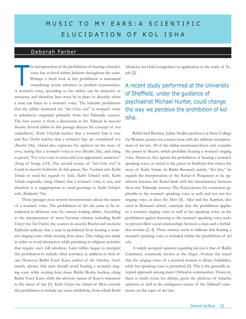# MUSIC TO MY EARS: A SCIENTIFIC elucid at ion of k ol i s h a

### Deborah Farber

he interpretation of the prohibition of hearing a female's voice has evolved within Judaism throughout the years. Perhaps a fresh look at this prohibition is warranted considering recent advances in modern neuroscience. A woman's voice, according to the rabbis, can be attractive or sensuous, and therefore laws must be in place to describe when a man can listen to a woman's voice. The halachic prohibition that the rabbis instituted for "*kol b'isha erva*" (a woman's voice is nakedness) originates primarily from two Talmudic sources. The first source is from a discussion in the Talmud in *masechet Brachot*. Several rabbis in this passage discuss the concept of *erva*  (nakedness). *Rabbi Yitzchak* teaches that a woman's hair is *erva*, and *Rav Sheshet* teaches that a woman's legs are considered *erva*  (*Brachot* 24a). *Shmuel* also expresses his opinion on the issue of erva, stating that a woman's voice is *erva* (*Brachot* 24a), and citing as proof, "For your voice is sweet and your appearance attractive" (Song of Songs 2:14). The second source of "*kol b'isha erva*" is found in *masechet Kiddushin*. In this *gemara*, *Rav Nachman* asks *Rabbi Yehuda* to send his regards to *Yalta*, *Rabbi Yehuda*'s wife. *Rabbi Yehuda* responds, citing *Shmuel*, that a woman's voice is *erva*, and therefore it is inappropriate to send greetings to *Rabbi Yehuda*'s wife (*Kiddushin* 70a).

These passages pose several inconsistencies about the nature of a woman's voice. The prohibition of *kol isha* came to be interpreted in different ways by various leading rabbis. According to the interpretation of most German *rishonim*, including *Rabbi Eliezer ben Yoel Halevi*, the sources in *masechet Brachot* and *mashechet Kiddushin* indicate that a man is prohibited from hearing a woman's singing voice while reciting *kriat shema*. This ruling was made in order to avoid distraction while partaking in religious activities that require one's full attention. Later rabbis began to interpret this prohibition to include other activities, in addition to *kriat shema*. However, Rabbi Yosef Karo, author of the *Shulchan Aruch*, merely advises that men should avoid hearing a woman's singing voice while reciting *kriat shema*. Rabbi Moshe Iserless, citing Rabbi Yosef Karo, shifts the advisory nature of Karo's statement to the status of law [1]. *Rabbi Eliezer ben Shmuel* of Metz extends this prohibition to include any *davar shebikdusha*, from which *Rabbi*  *Mordechai ben Hillel* extrapolates its application to the study of Torah [2].

A recent study performed at the University of Sheffield, under the guidance of psychiatrist Michael Hunter, could change the way we perceive the prohibition of kol isha.

Rabbi Saul Berman, Judaic Studies professor at Stern College for Women, points out a major issue with the rabbinic interpretations of *kol isha*. All of the rabbis mentioned above only consider the *gemara* in *Brachot*, which prohibits hearing a woman's singing voice. However, they ignore the prohibition of hearing a woman's speaking voice, as stated in the *gemara* in *Kiddushin* that relates the story of *Rabbi Yehuda*. In Rabbi Berman's article, "*Kol Isha,*" he regards the interpretation of the *Rabad* of Posquieres to be significant because the *Rabad* deals with the inconsistency between these two Talmudic sources. The *Rabad* deems the restriction applicable to the woman's speaking voice as well, and not just her singing voice, as does the *Meiri* [3]. *Alfasi* and the *Rambam*, also cited in Berman's article, conclude that the prohibition applies to a woman's singing voice as well as her speaking voice, as the prohibition against listening to the woman's speaking voice seeks to prevent illicit social relationships between a man and a forbidden woman [2, 4]. These sources seem to indicate that hearing a woman's speaking voice is included within the prohibition of *kol isha*.

A widely accepted opinion regarding *kol isha* is that of Rabbi Gumbiner, commonly known as the *Magen Avraham*. He stated that the singing voice of a married woman is always forbidden, while her speaking voice is permitted [5]. This is the generally accepted approach among many Orthodox communities. However, there is much room for debate, given the plethora of halachic opinions as well as the ambiguous nature of the Talmud's statements on the topic of *kol isha*.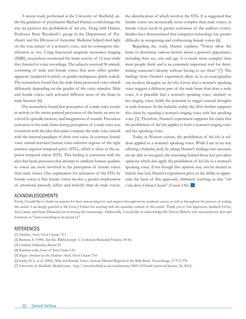A recent study performed at the University of Sheffield, under the guidance of psychiatrist Michael Hunter, could change the way we perceive the prohibition of *kol isha*. Along with Hunter, Professor Peter Woodruff´s group in the Department of Psychiatry and the Division of Genomic Medicine helped shed light on the true nature of a woman's voice, and its consequent classification as *erva*. Using functional magnetic resonance imaging (fMRI), researchers monitored the brain activity of 12 men while they listened to voice recordings. The subjects received 96 stimuli, consisting of male and female voices that were either genderapparent (unaltered in pitch) or gender-ambiguous (pitch-scaled). The researchers found that the male brain processed voice stimuli differently depending on the gender of the voice stimulus. Male and female voices each activated different areas of the brain in male listeners [6].

The researchers found that perception of a male voice results in activity in the mesio-parietal precuneus of the brain, an area involved in episodic memory and imagination of sounds. Precuneus activation in the male brain during perception of a male voice was consistent with the idea that males compare the male voice stimuli with the internal paradigm of their own voice. In contrast, female voice stimuli activated human voice-selective regions of the right anterior superior temporal gyrus (STG), which is close to the superior temporal sulcus (STS). This finding is consistent with the idea that brain processes that attempt to attribute human qualities to voices are more involved in the perception of female voices than male voices. One explanation for activation of the STG by female voices is that female voices involve a greater employment of emotional prosody (affect and melody) than do male voices, the identification of which involves the STG. It is suggested that female voices are acoustically more complex than male voices, as female voices result in greater activation of the auditory cortex. Studies have demonstrated that computer technology has greater difficulty in recognizing and synthesizing female voices [6].

Regarding the study, Hunter explains, "Voices allow the brain to determine various factors about a person's appearance, including their sex, size and age. It is much more complex than most people think and is an extremely important tool for determining someone's identity without having to see them" [7]. The findings from Hunter's experiment allow us to re-conceptualize our modern thoughts on *kol isha*. Given that a woman's speaking voice triggers a different part of the male brain than does a male voice, it is plausible that a woman's speaking voice, similarly to her singing voice, holds the potential to trigger sensual thoughts in male listeners. In the halachic realm, the *Meiri* further supports this claim by equating a woman's singing voice with her speaking voice [3]. Therefore, Hunter's experiment supports the claim that the prohibition of *kol isha* applies to both a woman's singing voice and her speaking voice.

Today, in Western culture, the prohibition of *kol isha* is seldom applied to a woman's speaking voice. While I am in no way offering a halachic *psak*, by taking Hunter's findings into account, we are able to recognize the reasoning behind those less prevalent opinions which also apply the prohibition of *kol isha* to a woman's speaking voice. Even though this opinion may not be treated as *halacha lema'aseh*, Hunter's experiment gives us the ability to appreciate the basis of this approach, ultimately teaching us that "*eilu v'eilu divrei Elokim Chayim*" (*Eruvin* 13b). g

### Acknowledgements

Firstly, I would like to thank my parents for their unwavering love and support throughout my academic career, as well as throughout the process of writing this article. I am deeply grateful to Dr. Liora J. Farber for assisting with the scientific content of this article. Thank you to Yair Saperstein, Sarabeth LeVee, Sara Lamar, and Sarah Diamond for reviewing this manuscript. Additionally, I would like to acknowledge Dr. Harvey Babich, who instructed me, first and foremost, to "write something to be proud of."

- [1] *Shulchan Aruch*, *Orach Chayim*, 75:3
- [2] Berman, S. (1980). *Kol Isha*. Rabbi Joseph A. Lookstein Memorial Volume. 45-66.
- [3] *Chidushei HaRashba*, *Brachot* 25
- [4] *Rambam*, code, Laws of *Kriat Shema* 3:16
- [5] *Magen Avraham* on the *Shulchan Aruch*, *Orach Chayim* 75:6
- [6] Sokhi, D. S., et al. (2005). Male and Female Voices Activate Distinct Regions in the Male Brain. NeuroImage. 27:572-578.
- [7] University of Sheffield. MediaCentre. http://www.sheffield.ac.uk/mediacentre/2005/422.html (retrieved January 20, 2012).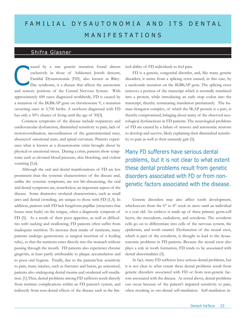# FAM ILIAL DY SAU TONOMIA AND ITS DENTAL ma nife stat ion s

### Shifra Glasner

aused by a rare genetic mutation found almost exclusively in those of Ashkenazi Jewish descent, Familial Dysautonomia (FD), also known as Riley-Day syndrome, is a disease that affects the autonomic and sensory portions of the Central Nervous System. With approximately 600 cases diagnosed worldwide, FD is caused by a mutation of the IKBKAP gene on chromosome 9, a mutation occurring once in 3,700 births. A newborn diagnosed with FD has only a 50% chance of living until the age of 30[3]. aused by a rare genetic mutation found almost ited ability of FD individuals to feel pain.<br>
exclusively in those of Ashkenazi Jewish descent, FD is a genetic, congenital disorder,<br>
Familial Dysautonomia (FD), also known as

Common symptoms of the disease include respiratory and cardiovascular dysfunction, diminished sensitivity to pain, lack of motorcoordination, incoordination of the gastrointestinal tract, absenceof emotional tears, and spinal curvature. Patients experience what is known as a dysautonomic crisis brought about by physical or emotional stress. During a crisis, patients show symptoms such as elevated blood pressure, skin blotching, and violent vomiting [5,6].

Although the oral and dental manifestations of FD are less prominent than the systemic characteristics of the disease and, unlike the systemic symptoms, are not life-threatening, the oral and dental symptoms are, nonetheless, an important aspect of the disease. Some distinctive orofacial characteristics, such as small jaws and dental crowding, are unique to those with FD [1,3]. In addition, patients with FD lack fungiform papillae (structures that house taste buds) on the tongue, often a diagnostic symptom of FD [5]. As a result of their poor appetites, as well as difficulties with sucking and swallowing, FD patients often suffer from inadequate nutrition. To increase their intake of nutrients, many patients undergo gastrostomy (a surgical insertion of a feeding tube), so that the nutrients enter directly into the stomach without passing through the mouth. FD patients also experience chronic gingivitis, at least partly attributable to plaque accumulation and to poor oral hygiene. Finally, due to the patients'low sensitivity to pain, many injuries, such as fractures and burns, go unnoticed, patients also undergoing dental trauma and orodental self-mutilation. [1].Thus, dental problems among FD sufferers result directly from intrinsic complications within an FD patient's system, and indirectly from non-dental effects of the disease such as the lim-

FD is a genetic, congenital disorder, and, like many genetic disorders, it stems from a splicing error caused, in this case, by a nucleotide mutation on the IKBKAP gene. The splicing error removes a portion of the transcript which is normally translated into a protein, while introducing an early stop codon into the transcript, thereby terminating translation prematurely. The human elongator complex, of which the IKAP protein is a part, is thereby compromised, bringing about many of the observed neurological dysfunctions in FD patients. The neurological problems of FD are caused by a failure of sensory and autonomic neurons to develop and survive, likely explaining their diminished sensitivity to pain as well as their unsteady gait [5].

Many FD sufferers have serious dental problems, but it is not clear to what extent these dental problems result from genetic disorders associated with FD or from nongenetic factors associated with the disease.

Genetic disorders may also affect tooth development, whichoccurs from the 6<sup>th</sup> to 8<sup>th</sup> week in utero until an individual is a year old. An embryo is made up of three primary germ-cell layers, the mesoderm, endoderm, and ectoderm. The ectoderm cells go on to differentiate into cells of the nervous system, the epidermis, and tooth enamel. Dysfunction of the neural crest, which is part of the ectoderm, is thought to lead to the dysautonomic problems in FD patients. Because the neural crest also plays a role in tooth formation, FD tends to be associated with dental abnormalities [3].

In fact, many FD sufferers have serious dental problems, but it is not clear to what extent these dental problems result from genetic disorders associated with FD or from non-genetic factors associated with the disease. As noted above, dental problems can occur because of the patient's impaired sensitivity to pain, often resulting in oro-dental self-mutilation. Self-mutilation in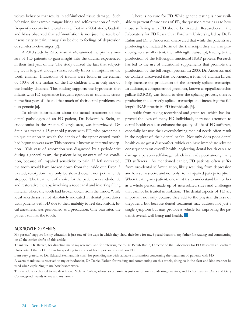volves behavior that results in self-inflicted tissue damage. Such behavior, for example tongue biting and self-extraction of teeth, frequently occurs in the oral cavity. But in a 2004 study, Gadoth and Mass observed that self-mutilation is not just the result of insensitivity to pain, it may also be due to feelings of depression or self-destructive urges [2].

A 2010 study by Zilberman *et. al.*examined the primary molars of FD patients to gain insight into the trauma experienced in their first year of life. The study utilized the fact that subjecting teeth to great enough stress, actually leaves an imprint on the tooth enamel. Indications of trauma were found in the enamel of 100% of the molars of the FD children and in only one of the healthy children. This finding supports the hypothesis that infants with FD experience frequent episodes of traumatic stress in the first year of life and that much of their dental problems are non-genetic [6].

To obtain information about the actual treatment of the dental pathologies of an FD patient, Dr. Edward A. Stein, an endodontist in the Atlanta Georgia area, was interviewed. Dr. Stein has treated a 15-year old patient with FD, who presented a unique situation in which the dentin of the upper central tooth had begun to wear away. This process is known as internal resorption. This case of resorption was diagnosed by a pedodontist during a general exam, the patient being unaware of the condition, because of impaired sensitivity to pain. If left untreated, the tooth would have broken down from the inside out. Even if treated, resorption may only be slowed down, not permanently stopped. The treatment of choice for the patient was endodontic and restorative therapy, involving a root canal and inserting filling material where the tooth had broken down from the inside. While local anesthesia is not absolutely indicated in dental procedures with patients with FD due to their inability to feel discomfort, local anesthesia was performed as a precaution. One year later, the patient still has the tooth.

There is no cure for FD. While genetic testing is now available to prevent future cases of FD, the question remains as to how those suffering with FD should be treated. Researchers in the Laboratory for FD Research at Fordham University, led by Dr. B. Rubin and Dr. S. Anderson, discovered that while the patients are producing the mutated form of the transcript, they are also producing, to a small extent, the full-length transcript, leading to the production of the full-length, functional IKAP protein. Research has led to the use of nutritional supplements that promote the production of the full-length protein. In 2003, Dr. Anderson and co-workers discovered that tocotrienol, a form of vitamin E, can help increase the production of the correctly spliced transcript. In addition, a component of green tea, known as epigallocatechin gallate (EGCG), was found to alter the splicing process, thereby producing the correctly spliced transcript and increasing the full length IKAP protein in FD individuals [5].

Aside from taking tocotrienol and green tea, which has improved the lives of many FD individuals, increased attention to dental health can also enhance the quality of life of FD sufferers, especially because their overwhelming medical needs often result in the neglect of their dental health. Not only does poor dental health cause great discomfort, which can have immediate adverse consequences on overall health, neglecting dental health can also damage a person's self-image, which is already poor among many FD sufferers. As mentioned earlier, FD patients often suffer from oro-dental self-mutilation, likely resulting from depression and low self-esteem, and not only from impaired pain perception. When treating any patient, one must try to understand him or her as a whole person made up of interrelated sides and challenges that cannot be treated in isolation. The dental aspects of FD are important not only because they add to the physical distress of thepatient, but because dental treatment may address not just a single symptom but may provide a vehicle for improving the patient's overall well being and health.

### **ACKNOWLEDGMENTS**

My parents' support for my education is just one of the ways in which they show their love for me. Special thanks to my father for reading and commenting on all the earlier drafts of this article.

Thank you, Dr. Babich, for directing me in my research, and for referring me to Dr. Berish Rubin, Director of the Laboratory for FD Research at Fordham University. I thank Dr. Rubin for speaking to me about his important research on FD.

I am very grateful to Dr. Edward Stein and his staff for providing me with valuable information concerning the treatment of patients with FD.

A warm thank you is reserved to my orthodontist, Dr. Daniel Farber, for reading and commenting on this article, doing so in the clear and kind manner he used when explaining to me how braces work.

This article is dedicated to my dear friend Melanie Cohen, whose sweet smile is just one of many endearing qualities, and to her parents, Dana and Gary Cohen, good friends to me and my family.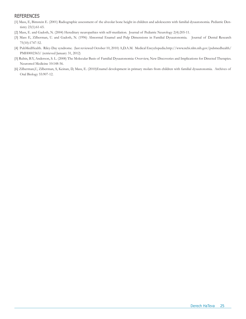- [1] Mass, E, Bimstein E. (2001) Radiographic assessment of the alveolar bone height in children and adolescents with familial dysautonomia. Pediatric Dentistry 23(1):61-65.
- [2] Mass, E. and Gadoth, N. (2004) Hereditary neuropathies with self-mutilation. Journal of Pediatric Neurology 2(4):205-11.
- [3] Mass E, Zilberman, U. and Gadoth, N. (1996) Abnormal Enamel and Pulp Dimensions in Familial Dysautonomia. Journal of Dental Research 75(10):1747-52.
- [4] PubMedHealth. Riley-Day syndrome. (last reviewed October 10, 2010) A,D.A.M. Medical Encyclopedia.http://www.ncbi.nlm.nih.gov/pubmedhealth/ PMH0002363/ (retrieved January 31, 2012)
- [5] Rubin, B.Y, Anderson, S. L. (2008) The Molecular Basis of Familial Dysautonomia: Overview, New Discoveries and Implications for Directed Therapies. Neuromol Medicine 10:148-56.
- [6] Zilberman,U, Zilberman, S, Keinan, D, Mass, E. (2010)Enamel development in primary molars from children with familial dysautonomia. Archives of Oral Biology 55:907-12.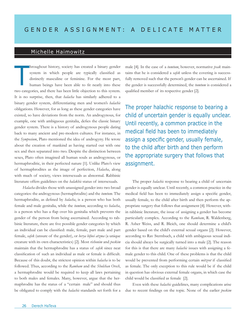### Michelle Haimowitz

hroughout history, society has created a binary gender system in which people are typically classified as distinctly masculine or feminine. For the most part, human beings have been able to fit neatly into these two categories, and there has been little objection to this system. It is no surprise, then, that *halacha* has similarly adhered to a binary gender system, differentiating men and women's *halachic* obligations. However, for as long as these gender categories have existed, so have deviations from the norm. An androgynous, for example, one with ambiguous genitalia, defies the classic binary gender system. There is a history of androgynous people dating back to many ancient and pre-modern cultures. For instance, in the *Symposium*, Plato mentioned the idea of androgyny. He wrote about the creation of mankind as having started out with one sex and then separated into two. Despite the distinction between sexes, Plato often imagined all human souls as androgynous, or hermaphroditic, in their perfected nature [1]. Unlike Plato's view of hermaphrodites as the image of perfection, *Halacha*, along with much of society, views intersexuals as abnormal. Rabbinic literature offers guidelines on the *halakhic* status of intersexuals. T

*Halacha* divides those with unassigned gender into two broad categories: the androgynous (hermaphrodite) and the *tumtum*. The hermaphrodite, as defined by *halacha*, is a person who has both female and male genitalia, while the *tumtum*, according to *halacha*, is a person who has a flap over his genitalia which prevents the gender of the person from being ascertained. According to rabbinic literature, there are five possible gender categories by which an individual can be classified: male, female, part male and part female, *safek* (unsure of the gender), or *berya bifnei atzma* (a unique creature with its own characteristics) [2]. Most *rishonim* and *poskim* maintain that the hermaphrodite has a status of *safek* since neat classification of such an individual as male or female is difficult. Because of this doubt, the strictest opinion within *halacha* is to be followed. Thus, according to the *Rambam* and the *Shulchan Orech*, a hermaphrodite would be required to keep all laws pertaining to both males and females. Many, however, argue that the hermaphrodite has the status of a "certain male" and should thus be obligated to comply with the *halachic* standards set forth for a

male [4]. In the case of a *tumtum*, however, normative *psak* maintains that he is considered a *safek* unless the covering is successfully removed such that the person's gender can be ascertained. If the gender is successfully determined, the *tumtum* is considered a qualified member of its respective gender [2].

The proper halachic response to bearing a child of uncertain gender is equally unclear. Until recently, a common practice in the medical field has been to immediately assign a specific gender, usually female, to the child after birth and then perform the appropriate surgery that follows that assignment.

The proper *halachic* response to bearing a child of uncertain gender is equally unclear. Until recently, a common practice in the medical field has been to immediately assign a specific gender, usually female, to the child after birth and then perform the appropriate surgery that follows that assignment [4]. However, within rabbinic literature, the issue of assigning a gender has become particularly complex. According to the *Rambam*, R. Waldenberg, R. Asher Weiss, and R. Bleich, one should determine a child's gender based on the child's external sexual organs [2]. However, according to Rav Sternbuch, a child with ambiguous sexual indicia should always be surgically turned into a male [2]. The reason for this is that there are many *halachic* issues with assigning a female gender to this child. One of these problems is that the child would be prevented from performing certain *mitzvot* if classified as female. The only exception to this rule would be if the child in question has obvious external female organs, in which case the child would be classified as female [2].

Even with these *halachic* guidelines, many complications arise due to recent findings on the topic. None of the earlier *poskim*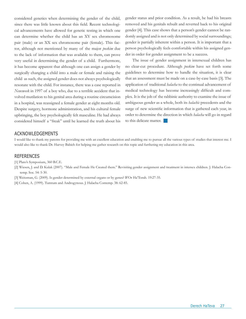considered genetics when determining the gender of the child, since there was little known about this field. Recent technological advancements have allowed for genetic testing in which one can determine whether the child has an XY sex chromosome pair (male) or an XX sex chromosome pair (female). This factor, although not mentioned by many of the major *poskim* due to the lack of information that was available to them, can prove very useful in determining the gender of a child. Furthermore, it has become apparent that although one can assign a gender by surgically changing a child into a male or female and raising the child as such, the assigned gender does not always psychologically resonate with the child. For instance, there was a case reported in *Newsweek* in 1997 of a boy who, due to a terrible accident that involved mutilation to his genital area during a routine circumcision in a hospital, was reassigned a female gender at eight months old. Despite surgery, hormone administration, and his cultural female upbringing, the boy psychologically felt masculine. He had always considered himself a "freak" until he learned the truth about his

gender status and prior condition. As a result, he had his breasts removed and his genitals rebuilt and reverted back to his original gender [4]. This case shows that a person's gender cannot be randomly assigned and is not only determined by social surroundings; gender is partially inherent within a person. It is important that a person psychologically feels comfortable within his assigned gender in order for gender assignment to be a success.

The issue of gender assignment in intersexual children has no clear-cut procedure. Although *poskim* have set forth some guidelines to determine how to handle the situation, it is clear that an assessment must be made on a case-by-case basis [3]. The application of traditional *halacha* to the continual advancement of medical technology has become increasingly difficult and complex. It is the job of the rabbinic authority to examine the issue of ambiguous gender as a whole, both its *halachic* precedents and the surge of new scientific information that is gathered each year, in order to determine the direction in which *halacha* will go in regard to this delicate matter.

### Acknowledgements

I would like to thank my parents for providing me with an excellent education and enabling me to pursue all the various types of studies that interest me. I would also like to thank Dr. Harvey Babich for helping me gather research on this topic and furthering my education in this area.

- [1] Plato's Symposium, 360 B.C.E.
- [2] Wiesen, J. and D. Kulak (2007). "Male and Female He Created them." Revisiting gender assignment and treatment in intersex children. J. Halacha Contemp. Soc. 54: 5-30.
- [3] Weitzman, G. (2009). Is gender determined by external organs or by genes? B'Or Ha'Torah. 19:27-35.
- [4] Cohen, A. (1999). Tumtum and Androgynous. J. Halacha Contemp. 38: 62-85.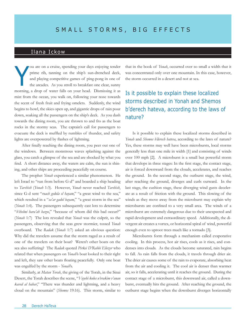### Ilana Ickow

ou are on a cruise, spending your days enjoying tender prime rib, tanning on the ship's sun-drenched deck, and playing competitive games of ping-pong in one of the arcades. As you stroll to breakfast one clear, sunny morning, a drop of water falls on your head. Dismissing it as mist from the ocean, you walk on, following your nose towards the scent of fresh fruit and frying omelets. Suddenly, the wind begins to howl, the skies open up, and gigantic drops of rain pour down, soaking all the passengers on the ship's deck. As you dash towards the dining room, you are thrown to and fro as the boat rocks in the stormy seas. The captain's call for passengers to evacuate the deck is muffled by rumbles of thunder, and safety lights are overpowered by flashes of lightning. You are on a cruise, spending your days enjoying tender that in the book of *Yonah*, occurred over so small a width that it prime rib, tanning on the ship's sun-drenched deck, was concentrated only over one mountain. In th

After finally reaching the dining room, you peer out one of the windows. Between monstrous waves splashing against the glass, you catch a glimpse of the sea and are shocked by what you find. A short distance away, the waters are calm, the sun is shining, and other ships are proceeding peacefully on course.

The prophet *Yonah* experienced a similar phenomenon. He left Israel to "run from before G-d" and boarded a ship heading to *Tarshish* (*Yonah* 1:3). However, *Yonah* never reached *Tarshish*, since G-d sent "*ruach gedola el hayam*," "a great wind to the sea," which resulted in a "sa'ar gadol bayam," "a great storm in the sea" (*Yonah* 1:4). The passengers subsequently cast lots to determine "*b'shelmi hara'ah hazos*," "because of whom did this bad occur?" (*Yonah* 1:7) The lots revealed that *Yonah* was the culprit, so the passengers, observing that the seas grew stormier, tossed *Yonah* overboard. The *Radak* (*Yonah* 1:7) asked an obvious question: Why did the travelers assume that the storm raged as a result of one of the travelers on their boat? Weren't other boats on the sea also suffering? The *Radak* quoted *Pirkei D'Rabbi Eliezer* who related that when passengers on *Yonah*'s boat looked to their right and left, they saw other boats floating peacefully. Only one boat was engulfed by the storm - *Yonah*'s.

Similarly, at *Matan Torah*, the giving of the Torah, in the Sinai Desert, the Torah describes the scene, "*Vayehi kolos u'vrakim v'anan kaved al hahar*," "There was thunder and lightning, and a heavy cloud on the mountain" (*Shemos* 19:16). This storm, similar to was concentrated only over one mountain. In this case, however, the storm occurred in a desert and not at sea.

### Is it possible to explain these localized storms described in Yonah and Shemos b'derech hateva, according to the laws of nature?

Is it possible to explain these localized storms described in *Yonah* and *Shemos b'derech hateva*, according to the laws of nature? Yes, these storms may well have been microbursts, local storms generally less than one mile in width [1] and consisting of winds over 100 mph [2]. A microburst is a small but powerful storm that develops in three stages: In the first stage, the contact stage, air is forced downward from the clouds, accelerates, and reaches the ground. In the second stage, the outburst stage, the wind, after reaching the ground, diverges and curls outward. In the last stage, the cushion stage, these diverging wind gusts decelerate as a result of friction with the ground. This slowing of the winds as they move away from the microburst may explain why microbursts are confined to a very small area. The winds of a microburst are extremely dangerous due to their unexpected and rapid development and extraordinary speed. Additionally, the divergent air creates a vortex, or horizontal spiral of wind, powerful enough even to uproot trees much like a tornado [3].

Microbursts form through a mechanism called evaporative cooling. In this process, hot air rises, cools as it rises, and condenses into clouds. As the clouds become saturated, rain begins to fall. As rain falls from the clouds, it travels through drier air. The drier air causes some of the rain to evaporate, absorbing heat from the air and cooling it. The cool air is denser than warmer air, so it falls, accelerating until it reaches the ground. During the contact stage of a microburst, this downward air, called a downburst, eventually hits the ground. After reaching the ground, the outburst stage begins when the downburst diverges horizontally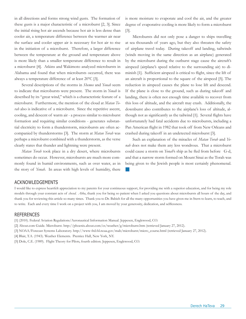in all directions and forms strong wind gusts. The formation of these gusts is a major characteristic of a microburst [2, 3]. Since the initial rising hot air ascends because hot air is less dense than cooler air, a temperature difference between the warmer air near the surface and cooler upper air is necessary for hot air to rise in the initiation of a microburst. Therefore, a larger difference between the temperature at the ground and temperature above is more likely than a smaller temperature difference to result in a microburst [4]. Atkins and Wakimoto analyzed microbursts in Alabama and found that when microbursts occurred, there was always a temperature difference of at least 20ºC [3].

Several descriptions of the storms in *Shemos* and *Yonah* seem to indicate that microbursts were present. The storm in *Yonah* is described by its "great wind," which is a characteristic feature of a microburst. Furthermore, the mention of the cloud at *Matan Torah* also is indicative of a microburst. Since the repetitive ascent, cooling, and descent of warm air - a process similar to microburst formation and requiring similar conditions - generates substantial electricity to form a thunderstorm, microbursts are often accompanied by thunderstorms [3]. The storm at *Matan Torah* was perhaps a microburst combined with a thunderstorm, as the verse clearly states that thunder and lightning were present.

*Matan Torah* took place in a dry desert, where microbursts sometimes do occur. However, microbursts are much more commonly found in humid environments, such as over water, as in the story of *Yonah*. In areas with high levels of humidity, there is more moisture to evaporate and cool the air, and the greater degree of evaporative cooling is more likely to form a microburst [3].

Microbursts did not only pose a danger to ships travelling at sea thousands of years ago, but they also threaten the safety of airplane travel today. During takeoff and landing, tailwinds (winds moving in the same direction as an airplane) generated by the microburst during the outburst stage cause the aircraft's airspeed (airplane's speed relative to the surrounding air) to diminish [1]. Sufficient airspeed is critical to flight, since the lift of an aircraft is proportional to the square of the airspeed [5]. The reduction in airspeed causes the plane to lose lift and descend. If the plane is close to the ground, such as during takeoff and landing, there is often not enough time available to recover from this loss of altitude, and the aircraft may crash. Additionally, the downburst also contributes to the airplane's loss of altitude, although not as significantly as the tailwind [1]. Several flights have unfortunately had fatal accidents due to microbursts, including a Pan American flight in 1982 that took off from New Orleans and crashed during takeoff in an undetected microburst [3].

Such an explanation of the miracles of *Matan Torah* and *Yonah* does not make them any less wondrous. That a microburst could cause a storm on *Yonah*'s ship as he fled from before G-d, and that a narrow storm formed on Mount Sinai as the Torah was being given to the Jewish people is most certainly phenomenal. g

#### Acknowledgements

I would like to express heartfelt appreciation to my parents for your continuous support, for providing me with a superior education, and for being my role models through your constant acts of *chesed*. *Abba*, thank you for being so patient when I asked you questions about microbursts all hours of the day, and thank you for reviewing this article so many times. Thank you to Dr. Babich for all the many opportunities you have given me in Stern to learn, to teach, and to write. Each and every time I work on a project with you, I am moved by your generosity, dedication, and selflessness.

#### **REFERENCES**

[1] (2010). Federal Aviation Regulations/Aeronautical Information Manual. Jeppesen, Englewood, CO.

[2] About.com Guide. Microburst. http://phoenix.about.com/cs/weather/g/microburst.htm (retrieved January 27, 2012).

[3] NOAA/Forecast Systems Laboratory. http://www-frd.fsl.noaa.gov/mab/microburst/micro\_course.html (retrieved January 27, 2012).

[4] Blair, T.A. (1943). Weather Elements. Prentice Hall, New York, NY.

[5] Dole, C.E. (1989). Flight Theory for Pilots, fourth edition. Jeppesen, Englewood, CO.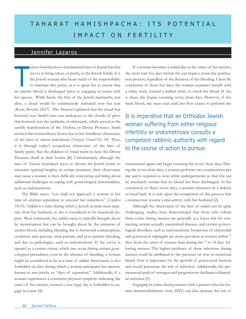# TAHARAT HAMISHPACHA: ITS POTENTIAL IMPACT ON FERTILITY

### Jennifer Lazaros

*aharat hamishpacha* is a fundamental area of Jewish law that serves to bring *tahara*, or purity, to the Jewish family. It is the Jewish woman who bears much of the responsibility to maintain this purity, as it is upon her to ensure that no uterine blood is discharged prior to engaging in coitus with her spouse. While Sarah, the first of the Jewish matriarchs, was alive, a cloud would be continuously stationed over her tent (*Rashi, Bereishis* 24:67). The *Maharal* explained that the cloud that hovered over Sarah's tent was analogous to the clouds of glory that hovered over the *mishkahn*, or tabernacle, which served as the earthly manifestation of the *Shechina,* or Divine Presence*.* Sarah merited this extraordinary honor due to her fastidious observance of the laws of *taharat hamishpacha* (*Netzach Yisrael* Ch. 54). Thus, it is through today's scrupulous observance of the laws of family purity that the children of Israel merit to have the Divine Presence dwell in their homes [8]. Unfortunately, although the laws of *Taharat hamishpach* serve to elevate the Jewish home to awesome spiritual heights, in certain instances, their observance may cause a woman to have difficulty conceiving and bring about additional challenges in coping with gynecological abnormalities, such as endometriosis.

The Bible states "you shall not approach a woman in her time of unclean separation to uncover her nakedness" (*Vayikra*  18:19). *Niddah* is a state during which a Jewish woman must separate from her husband, as she is considered to be *halachically* impure. Most commonly, the *niddah* status is typically brought about by menstruation but can be brought about by the emission of uterine blood, including bleeding due to hormonal contraception, ovulation, ante-partum, intra-partum, and post-partum bleeding, and due to pathologies, such as endometriosis. If the cervix is opened to a certain extent, which can occur during certain gynecological procedures, even in the absence of bleeding, a woman might be considered to be in a state of *niddah.* Intercourse is also forbidden on days during which a woman anticipates her menses, known as *onot perisha*, or "days of separation." Additionally, if a woman experiences a consistent physical symptom indicating the onset of her menses, termed a *veset haguf*, she is forbidden to engage in coitus [4].

abarat hamishpacha is a fundamental area of Jewish law that<br>serves to bring tahara, or purity, to the Jewish family. It is<br>the must wait five days before she can begin a seven-day purifica-<br>the Jewish woman who bears much she must wait five days before she can begin a seven-day purification process, regardless of the duration of her bleeding. Upon the conclusion of these five days, the woman examines herself with a white cloth, termed a *bedikah* cloth, to check for blood. If she is clean, she begins counting seven clean days. However, if she finds blood, she must wait until her flow ceases to perform the

> It is imperative that an Orthodox Jewish woman suffering from either religious infertility or endometriosis consults a competent rabbinic authority with regard to the course of action to pursue.

examination again and begin counting the seven clean days. During the seven clean days, a woman performs two examinations per day and is required to wear white undergarments so that she can be absolutely certain that no blood has been discharged. At the conclusion of these seven days, a woman immerses in a *mikvah,*  or ritual bath. It is only upon the completion of this process that a woman may resume coital activity with her husband [2].

Although the observance of the laws of *niddah* can be quite challenging, studies have demonstrated that those who refrain from coitus during menses are generally at a lower risk for contracting certain sexually transmitted diseases and certain gynecological disorders, such as endometriosis. Symptoms of chlamydial and gonococcal salpingitis are more prevalent in women within 7 days from the onset of menses than during the 7 to 14 days following menses. The higher incidence of these infections during menses could be attributed to the presence of iron in menstrual blood. Iron is important for the growth of gonococcal bacteria and would potentiate the risk of infection. Additionally, the premenstrual peak of estrogen and progesterone facilitates chlamydial infection [1].

Engaging in coitus during menses with a partner who has human immunodeficiency virus (HIV) can also increase the risk of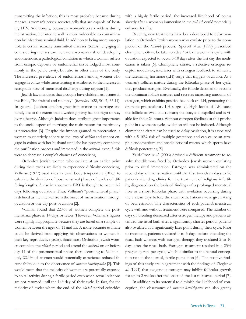transmitting the infection; this is most probably because during menses, a woman's cervix secretes cells that are capable of hosting HIV. Additionally, because a woman's cervix widens during menstruation, her uterine wall is more vulnerable to contamination by infectious seminal fluid. In addition to being more susceptible to certain sexually transmitted diseases (STDs), engaging in coitus during menses can increase a woman's risk of developing endometriosis, a pathological condition in which a woman suffers from ectopic deposits of endometrial tissue lodged most commonly in the pelvic cavity, but also in other areas of the body. The increased prevalence of endometriosis among women who engage in coitus while menstruating is attributed to the increase in retrograde flow of menstrual discharge during orgasm [1].

Jewish law mandates that a couple have children, as it states in the Bible, "be fruitful and multiply" (*Bereishis:* 1:28, 9:1-7, 35:11). In general, Judaism attaches great importance to marriage and family life to the extent that a wedding party has the right of way over a hearse. Although Judaism does attribute great importance to the social aspect of marriage, the main reason for matrimony is procreation [3]. Despite the import granted to procreation, a woman must strictly adhere to the laws of *niddah* and cannot engage in coitus with her husband until she has properly completed the purification process and immersed in the *mikvah,* even if this were to decrease a couple's chances of conceiving.

Orthodox Jewish women who ovulate at an earlier point during their cycles are likely to experience difficulty conceiving. Vollman (1977) used rises in basal body temperature (BBT) to calculate the duration of postmenstrual phases of cycles of differing lengths. A rise in a woman's BBT is thought to occur 1-2 days following ovulation. Thus, Vollman's "postmentrual phase" is defined as the interval from the onset of menstruation through ovulation or one day post-ovulation [2].

Vollman found that 22.4% of women complete the postmenstrual phase in 14 days or fewer (However, Vollman's figures were slightly inappropriate because they are based on a sample of women between the ages of 11 and 55. A more accurate estimate could be derived from applying his observations to women in their key reproductive years). Since most Orthodox Jewish women complete the *niddah* period and attend the *mikvah* on or before day 14 of the postmenstrual phase, then according to Vollman, only 22.4% of women would potentially experience reduced fecundability due to the observance of *taharat hamishpacha* [2]. This would mean that the majority of women are potentially exposed to coital activity during a fertile period even when sexual relations are not resumed until the 14<sup>th</sup> day of their cycle. In fact, for the majority of cycles where the end of the *niddah* period coincides

with a highly fertile period, the increased likelihood of coitus shortly after a woman's immersion in the *mikvah* could potentially enhance fertility.

Recently, new treatments have been developed to delay ovulation in Orthodox Jewish women who ovulate prior to the completion of the *taharah* process. Speroff *et al.* (1999) prescribed clomiphene citrate be taken on day 7 or 8 of a woman's cycle, with ovulation expected to occur 5-10 days after the last day the medication is taken [6]. Clomiphene citrate, a selective estrogen receptor modulator, interferes with estrogen feedback to stimulate the luteinizing hormone (LH) surge that triggers ovulation. As a woman's follicles mature during the follicular phase of her cycle, they produce estrogen. Eventually, the follicle destined to become the dominant follicle matures and secretes increasing amounts of estrogen, which exhibits positive feedback on LH, generating the dramatic pre-ovulatory LH surge [9]. High levels of LH cause the follicle to swell and rupture; the oocyte is expelled and is viable for about 24 hours. Without estrogen feedback at this precise point in a woman's cycle, ovulation will not be induced. Although clomiphene citrate can be used to delay ovulation, it is associated with a 5-10% risk of multiple gestations and can cause an atrophic endometrium and hostile cervical mucus, which sperm have difficult penetrating [5].

Yairi-Oron *et al.* (2006) devised a different treatment to resolve the dilemma faced by Orthodox Jewish women ovulating prior to ritual immersion. Estrogen was administered on the second day of menstruation until the first two clean days to 26 patients attending clinics for the treatment of religious infertility, diagnosed on the basis of findings of a prolonged menstrual flow or a short follicular phase with ovulation occurring during the 7 clean days before the ritual bath. Patients were given 4 mg of beta estradiol. The characteristics of each patient's menstrual cycle with and without treatment were compared. The number of days of bleeding decreased after estrogen therapy and patients attended the ritual bath after a significantly shorter period; patients also ovulated at a significantly later point during their cycle. Prior to treatment, patients ovulated 0 to 5 days before attending the ritual bath whereas with estrogen therapy, they ovulated 2 to 10 days after the ritual bath. Estrogen treatment resulted in a 23% pregnancy rate per cycle, which is similar to the natural conception rate in the normal, fertile population [6]. The positive findings of this study are in agreement with the findings of Ziegler *et al.* (1991) that exogenous estrogen may inhibit follicular growth for up to 2 weeks after the onset of the last menstrual period [7].

In addition to its potential to diminish the likelihood of conception, the observance of *taharat hamishpacha* can also greatly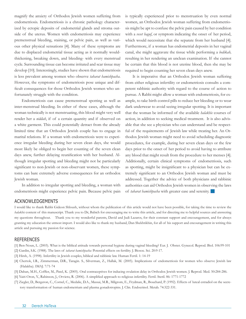magnify the anxiety of Orthodox Jewish women suffering from endometriosis. Endometriosis is a chronic pathology characterized by ectopic deposits of endometrial glands and stroma outside of the uterus. Women with endometriosis may experience premenstrual bleeding, staining, or pelvic pain, as well as various other physical sensations [4]. Many of these symptoms are due to displaced endometrial tissue acting as it normally wouldthickening, breaking down, and bleeding- with every menstrual cycle. Surrounding tissue can become irritated and scar tissue may develop [10]. Interestingly, studies have shown that endometriosis is less prevalent among women who observe *taharat hamishpacha*. However, the symptoms of endometriosis pose unique and difficult consequences for those Orthodox Jewish women who unfortunately struggle with the condition.

Endometriosis can cause premenstrual spotting as well as inter-menstrual bleeding. In either of these cases, although the woman technically is not menstruating, this blood might very well render her a *niddah*, if of a certain quantity and if observed on a white garment. This could potentially detract from the already limited time that an Orthodox Jewish couple has to engage in marital relations. If a woman with endometriosis were to experience irregular bleeding during her seven clean days, she would most likely be obliged to begin her counting of the seven clean days anew, further delaying reunification with her husband. Although irregular spotting and bleeding might not be particularly significant to non-Jewish or non-observant women, these symptoms can bare extremely adverse consequences for an orthodox Jewish woman.

In addition to irregular spotting and bleeding, a woman with endometriosis might experience pelvic pain. Because pelvic pain is typically experienced prior to menstruation by even normal women, an Orthodox Jewish woman suffering from endometriosis might be apt to confuse the pelvic pain caused by her condition with a *veset haguf*, or symptom indicating the onset of her period, which would necessitate that she separate from her husband [4]. Furthermore, if a woman has endometrial deposits in her vaginal canal, she might aggravate the tissue while performing a *bedikah,*  resulting in her rendering an unclean examination. If she cannot be certain that this blood is not uterine blood, then she may be required to begin counting her seven clean days anew.

It is imperative that an Orthodox Jewish woman suffering from either religious infertility or endometriosis consults a competent rabbinic authority with regard to the course of action to pursue. A Rabbi might allow a woman with endometriosis, for example, to take birth control pills to reduce her bleeding or to wear dark underwear to avoid seeing irregular spotting. It is important that the woman be informed of the available *halakhic* courses of action, in addition to seeking medical treatment. It is also advisable that she see a physician who can understand and be respectful of the requirements of Jewish law while treating her. An Orthodox Jewish woman might need to avoid scheduling diagnostic procedures, for example, during her seven clean days or the few days prior to the onset of her period to avoid having to attribute any blood that might result from the procedure to her menses [4]. Additionally, certain clinical symptoms of endometriosis, such as spotting, might be insignificant to a physician but can be extremely significant to an Orthodox Jewish woman and must be addressed. Together the advice of both physicians and rabbinic authorities can aid Orthodox Jewish women in observing the laws of *taharat hamishpacha* with greater ease and serenity. g

### ACKNOWLEDGEMENTS

I would like to thank Rabbi Gideon Shloush, without whom the publication of this article would not have been possible, for taking the time to review the *halakhic* content of this manuscript. Thank you to Dr, Babich for encouraging me to write this article, and for directing me to helpful sources and answering my questions throughout. Thank you to my wonderful parents, David and Judi Lazaros, for their constant support and encouragement, and for always granting my education the utmost import. I would also like to thank my husband, Dan Shekhtikhin, for all of his support and encouragement in writing this article and pursuing my passion for science.

- [1] Ben-Noun, L. (2003). What is the biblical attitude towards personal hygiene during vaginal bleeding? Eur. J. Obstet. Gynecol. Reprod. Biol. 106:99-101
- [2] Gardin, S.K. (1988). The laws of *taharat hamishpacha:* Potential effects on fertility. J. Biosoc. Sci. 20:9-17.
- [3] Hirsh, A. (1998). Infertility in Jewish couples, biblical and rabbinic law. Human Fertil. 1: 14-19
- [4] Chertok, I.R., Zimmerman, D.R., Taragin. S., Silverman, Z., Hallak, M. (2005). Implications of endometriosis for women who observe Jewish law (Halakha). IMAJ. 7:71-74
- [5] Dahan, M.H., Coffler, M., Patel, K. (2005). Oral contraceptives for inducing ovulation delay in Orthodox Jewish women. J. Reprod. Med. 50:284-286.
- [6] Yairi-Oron, Y., Rabinson, J., Orvieto, R. (2006). A simplified approach to religious infertility. Fertil. Steril. 86: 1771-1772
- [7] Ziegler, D., Bergeron, C., Cornel, C., Medalie, D.A., Massai, M.R., Milgrom, E., Frydman, R., Bouchard, P. (1992). Effects of luteal estradiol on the secretory transformation of human endometrium and plasma gonadotropins. J. Clin. Endocrinol. Metab. 74:322-331.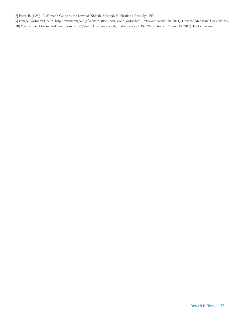[8] Forst, B. (1999). A Woman's Guide to the Laws of Niddah. Mesorah Publications, Brooklyn, NY.

[9] Epigee. Women's Health. http://www.epigee.org/menstruation\_how\_cycle\_works.html (retrieved August 30, 2011). How the Menstrual Cycle Works. [10] Mayo Clinic. Disease and Conditions. http://mayoclinic.com/health/endometriosis/DS00289 (retrieved August 30, 2011). Endometriosis.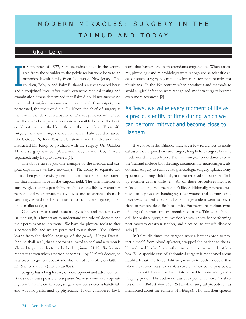# MODERN MIRACLES: SURGERY IN THE TALMUD AND TODAY

### Rikah Lerer

n September of 1977, Siamese twins joined in the ventral area from the shoulder to the pelvic region were born to an orthodox Jewish family from Lakewood, New Jersey. The children, Baby A and Baby B, shared a six-chambered heart and a conjoined liver. After much extensive medical testing and examination, it was determined that Baby A could not survive no matter what surgical measures were taken, and if no surgery was performed, the two would die. Dr. Koop, the chief of surgery at the time in the Children's Hospital of Philadelphia, recommended that the twins be separated as soon as possible because the heart could not maintain the blood flow to the two infants. Even with surgery there was a large chance that neither baby could be saved. On October 6, Rav Moshe Feinstein made his decision and instructed Dr. Koop to go ahead with the surgery. On October 11, the surgery was completed and Baby B and Baby A were separated; only Baby B survived [1]. I

The above case is just one example of the medical and surgical capabilities we have nowadays. The ability to separate two human beings successfully demonstrates the tremendous potential that humans have in the surgical field. The phenomenon of surgery gives us the possibility to choose one life over another, recreate and reconstruct, to save lives and to enhance them. It seemingly would not be so unusual to compare surgeons, albeit on a smaller scale, to

G-d, who creates and sustains, gives life and takes it away. In Judaism, it is important to understand the role of doctors and their permission to intervene. We have the physical tools to alter a person's life, and we are permitted to use them. The Talmud learns from the double language of the *pasuk,* "*V'rapo Yirapei,*" (and he shall heal), that a doctor is allowed to heal and a person is allowed to go to a doctor to be healed (*Shemos* 21:19). *Rashi* comments that even when a person becomes ill by *Hashem*'s decree, he is allowed to go to a doctor and should not rely solely on faith in *Hashem* to heal him (*Bava Kama* 85a).

Surgery has a long history of development and advancement. It was not always possible to separate Siamese twins in an operating room. In ancient Greece, surgery was considered a handicraft and was not performed by physicians. It was considered lowly

work that barbers and bath attendants engaged in. When anatomy, physiology and microbiology were recognized as scientific areas of study, surgery began to develop as an accepted practice for physicians. In the 19th century, when anesthesia and methods to avoid surgical infection were recognized, modern surgery became even more advanced [2].

### As Jews, we value every moment of life as a precious entity of time during which we can perform mitzvot and become close to Hashem.

If we look in the Talmud, there are a few references to medical cases that required invasive surgery long before surgery became modernized and developed. The main surgical procedures cited in the Talmud include bloodletting, circumcision, neurosurgery, abdominal surgery to remove fat, gynecologic surgery, splenectomy, episiotomy during childbirth, and the removal of putrefied flesh by excision with a knife [2]. All of these procedures involved risks and endangered the patient's life. Additionally, reference was made to a physician bandaging a leg wound and cutting some flesh away to heal a patient. Lepers in Jerusalem went to physicians to remove dead flesh or limbs. Furthermore, various types of surgical instruments are mentioned in the Talmud such as a drill for brain surgery, circumcision knives, knives for performing post-mortem cesarean section, and a scalpel to cut off diseased skin [2].

In Talmudic times, the surgeon wore a leather apron to protect himself from blood splatters, strapped the patient to the table and used his knife and other instruments that were kept in a box [3]. A specific case of abdominal surgery is mentioned about Rabbi Eleazar and Rabbi Ishmael, who were both so obese that when they stood waist to waist, a yoke of an ox could pass below them. Rabbi Eleazar was taken into a marble room and given a sleeping potion. His abdomen was cut open to remove "basketfuls of fat" (*Baba Metzia* 83b). Yet another surgical procedure was mentioned about the runners of *Adonijah,* who had their spleens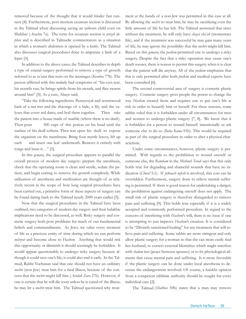removed because of the thought that it would hinder fast runners [4]. Furthermore, post mortem cesarean section is discussed in the Talmud when discussing saving an unborn child even on Shabbat (*Arachin* 7a). The term for cesarean section is *yotzeh dophen* and is described in Talmudic commentators as a situation in which a woman's abdomen is opened by a knife. The Talmud also discusses surgical procedures done to amputate a limb of a leper [3].

In addition to the above cases, the Talmud describes in depth a type of cranial surgery performed to remove a type of growth referred to as *ra'atan* that rests on the meninges (*Kesubos* 77b). The person afflicted with this malady had symptoms of "his eyes tear, his nostrils run, he brings spittle from his mouth, and flies swarm around him" [5]. As a cure, Abaye said,

"Take the following ingredients: Pennyroyal and wormwood bark of a nut tree and the shavings of a hide, a lily, and the calyxes that cover red dates, and boil them together. Then take the patient into a house made of marble (where there is no draft). Then pour 300 cups of this potion on his head until the surface of his skull softens. Then tear open his skull to expose the organism on the membrane. Bring four myrtle leaves, lift up each and insert one leaf underneath. Remove it entirely with tongs and burn it…" [5].

In this *gemara*, the surgical procedure appears to parallel the overall process of modern day surgery: prepare the anesthesia, check that the operating room is clean and sterile, sedate the patient, and begin cutting to remove the growth completely. While utilization of anesthesia and sterilization are thought of as relatively recent in the scope of how long surgical procedures have been carried out, a primitive form of these aspects of surgery can be found dating back to the Talmud nearly 2000 years earlier [5].

Now that the surgical procedures in the Talmud have been outlined, two categories of modern day surgery and their halakhic implications need to be discussed, as well. Risky surgery and cosmetic surgery both pose problems for much of our fundamental beliefs and commandments. As Jews, we value every moment of life as a precious entity of time during which we can perform *mitzvot* and become close to *Hashem*. Anything that would risk this opportunity or diminish it should seemingly be forbidden. It would appear questionable to undergo risky surgery because although it could save one's life, it could also end it early. In the Talmud, Rabbi Yochanan said that one should not have an ordinary *nochri* (non-Jew) treat him for a fatal illness, because of the concern that the *nochri* might kill him (*Avodah Zara* 27b). However, if one is certain that he will die soon unless he is cured of the illness, he may let a *nochri* treat him. The Talmud questioned why treatment at the hands of a non-Jew was permitted in this case at all. By allowing the *nochri* to treat him, he may be sacrificing even the little amount of life he has left. The Talmud answered that since without the treatment, he will only have *chayei sha'ah* (momentary life), and if the treatment was successful he may gain many years of life, he may ignore the possibility that the *nochri* might kill him. Based on this *gemara*, the *poskim* permitted one to undergo a risky surgery. Despite the fact that a risky operation may cause one's death sooner, there is reason to permit this surgery when it is clear that the patient will die anyway. All of the *poskim* emphasize that this is only permitted after both *poskim* and medical experts have been consulted [6].

The second controversial area of surgery is cosmetic plastic surgery. Cosmetic surgery gives people the power to change the way *Hashem* created them and requires one to put one's life at risk in order to beautify him or herself. For these reasons, some rabbis ruled that it is forbidden under all circumstances for men and women to undergo plastic surgery [7, 8]. We know that it is forbidden for a person to wound himself intentionally or ask someone else to do so (*Baba Kama* 91b). This would be required as part of the surgical procedure in order to alter a physical characteristic.

Under some circumstances, however, plastic surgery is permitted. With regards to the prohibition to wound oneself or someone else, the *Rambam* in the *Mishneh Torah* says that this only holds true for degrading and shameful wounds that have no indication (*Chovel* 5:1). If *pikuach nefesh* is involved, this *issur* can be overridden. Furthermore, surgery done to relieve mental suffering is permitted. If there is good reason for undertaking a danger, the prohibition against endangering oneself does not apply. The small risk of plastic surgery is therefore disregarded to remove pain and suffering [9]. This holds true especially if it is a widely accepted and commonly performed procedure. In regard to the concern of interfering with *Hashem*'s will, there is no issue if one is attempting to just improve *Hashem*'s creation. It is considered to be "Divinely sanctioned healing" for any treatment that will relieve pain and suffering. Some rabbis are more stringent and only allow plastic surgery for a woman so that she can more easily find her husband, to correct external blemishes which might interfere with *shalom bais* (peace between spouses) or to fix physiological ailments that cause mental pain and suffering. It is more favorable if the plastic surgery can be done under local anesthesia to decrease the endangerment involved. Of course, a *halakhic* opinion from a competent rabbinic authority should be sought for every individual case [2].

The Talmud (*Shabbas* 50b) states that a man may remove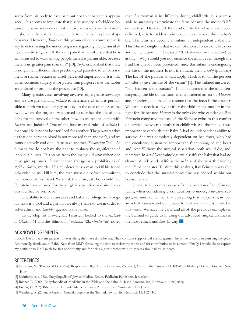scabs from his body to ease pain but not to enhance his appearance. This seems to implicate that plastic surgery is forbidden because the same way one cannot remove scabs to beautify himself, he shouldn't be able to induce injury to enhance his physical appearance. However, *Tosfos* on this *gemara* raised a concept that is key to determining the underlying issue regarding the permissibility of plastic surgery: "If the only pain that he suffers is that he is embarrassed to walk among people then it is permissible, because there is no greater pain than this" [10]. *Tosfos* established that there is no greater affliction than psychological pain due to embarrassment or shame because of a self-perceived imperfection. It is only when cosmetic surgery is for purely vain purposes that the rabbis are inclined to prohibit the procedure [10].

Many specific cases involving invasive surgery arise nowadays and we use pre-standing *halacha* to determine when it is permissible to perform such surgery or not. In the case of the Siamese twins where the surgeon was forced to sacrifice the life of one baby for the survival of the other, how do we reconcile this with *halacha* and Judaism? One of the fundamental rules of *halacha* is that one life is not to be sacrificed for another. The *gemara* teaches us that one person's blood is not more red than another's, and we cannot actively end one life to save another (*Sandhedrin* 74a). As humans, we do not have the right to evaluate the significance of individual's lives. This stems from the *yehareg v'al yavor* (when one must give up one's life rather than transgress a prohibition) of *shfichus damim*, murder. If a murderer tells a man to kill his friend otherwise he will kill him, the man must die before committing the murder of his friend. We must, therefore, ask, how could Rav Feinstein have allowed for the surgical separation and simultaneous sacrifice of one baby?

The ability to derive answers and halakhic rulings from original texts is a tool and a gift that we always have to use in order to solve ethical and *halakhic* questions that arise.

To develop his answer, Rav Feinstein looked to the *mishnah*  in *Ohalos* 7:61 and the Talmud in *Sanhedrin* 72b. *Ohalos* 7:61 noted

that if a woman is in difficulty during childbirth, it is permissible to surgically exterminate the fetus because the mother's life comes first. However, if the head of the fetus has already been delivered, it is forbidden to intervene even to save the mother's life. The fetus has become an infant, an independent viable life. This *Mishnah* taught us that we do not choose to save one life over another. The *gemara* in *Sanhedrin* 72b elaborates on the *mishnah* by asking, "Why should you not sacrifice the infant even though the head has already been presented, since this infant is endangering the life of the mother? Is not the infant, then, a *rodef* (pursuer)? The law of the pursuer should apply, which is to kill the pursuer in order to save the life of the victim" [1]. The Talmud answered: "No, Heaven is the pursuer" [1]. This means that the infant endangering the life of the mother is considered an act of *Hashem,* and, therefore, one may not assume that the fetus is the attacker. We cannot decide to favor either the child or the mother in this fight for life because *Hashem* is the only One who can decide. Rav Feinstein compared the case of the Siamese twins to this conflict of survival between a mother in childbirth and the fetus. It was important to establish that Baby A had no independent ability to survive. She was completely dependent on her sister, who had the circulatory system to support the functioning of the heart and liver. Without the surgical separation, both would die, and, therefore, in *halakhic* terminology we classify the baby that had no chance of independent life as the *rodef*, as if she were threatening the life of her sister [1]. With this analysis, Rav Feinstein was able to conclude that the surgical procedure was indeed within our license to heal.

Similar to the complex case of the separation of the Siamese twins, when considering every decision to undergo invasive surgery, we must remember that everything that happens is, in fact, an act of *Hashem* and our power to heal and create is limited in this world. We have the *Torah* and all of the previous examples in the Talmud to guide us in using our advanced surgical abilities in the most ethical and *halachic* way.

### Acknowledgements

I would like to thank my parents for everything they have done for me. Their constant support and encouragement helps me to continue pursuing my goals. Additionally, thank you to Rabbi Katz from MMY for taking the time to review my article and for contributing to its content. Finally, I would like to express my gratitude to Dr. Babich for this opportunity and for being a great teacher who truly cares about all his students.

#### References

- [1] Feinstein, M., Tendler M.D., (1996). Responsa of Rav Moshe Feinstein, Volume I, Care of the Critically Ill. KTAV Publishing House, Hoboken New Jersey.
- [2] Steinberg, A. (1988). Encyclopedia of Jewish Medical Ethics. Feldheim Publishers, Jerusalem.
- [3] Rosner, F. (2000). Encyclopedia of Medicine in the Bible and the Talmud. Jason Aronson Inc, Northvale, New Jersey.
- [4] Preuss, J. (1993). Biblical and Talmudic Medicine. Jason Aronson Inc., Northvale, New Jersey.
- [5] Weinberg, A. (2006). A Case of Cranial Surgery in the Talmud. Jewish Hist.Neurosci. 15: 102-110.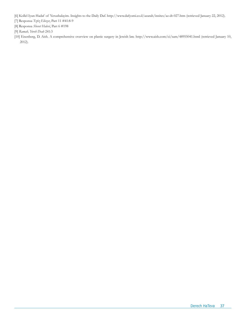[6] Kollel Iyun Hadaf of Yerushalayim. Insights to the Daily Daf. http://www.dafyomi.co.il/azarah/insites/az-dt-027.htm (retrieved January 22, 2012).

[7] Responsa *Tztiz Eliezer*, Part 11 #41:8-9

[8] Responsa *Shevet Halevi*, Part 6 #198

[9] *Ramah, Yoreh Deah* 241:3

[10] Eisenberg, D. Aish. A comprehensive overview on plastic surgery in Jewish law. http://www.aish.com/ci/sam/48955041.html (retrieved January 10, 2012).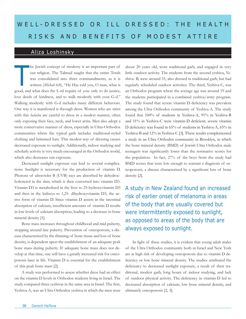# WELL-DRESSED OR ILL DRESSED: THE HEALTH RISKS AND BENEFITS OF MODEST ATTIRE

## Aliza Loshinsky

he Jewish concept of modesty is an important part of our religion. The Talmud taught that the entire Torah was consolidated into three commandments, as it is written (*Michah* 6:8), "He Has told you, O man, what is good, and what does the L-rd require of you: only to do justice, love deeds of kindness, and to walk modestly with your G-d." Walking modestly with G-d includes many different behaviors. One way it is manifested is through dress. Women who are strict with this *halacha* are careful to dress in a modest manner, often only exposing their face, neck, and lower arms. Men also adopt a more conservative manner of dress, especially in Ultra-Orthodox communities where the typical garb includes traditional-styled clothing and brimmed hats. This modest way of dressing causes decreased exposure to sunlight. Additionally, indoor studying and scholarly activity is very much encouraged in the Orthodox world, which also decreases sun exposure. T

Decreased sunlight exposure can lead to several complications. Sunlight is necessary for the production of vitamin D. Photons of ultraviolet B (UVB) rays are absorbed by dehydrocholesterol in the skin, which is then converted into vitamin D3. Vitamin D3 is metabolized in the liver to 25-hydroxyvitamin D3 and then in the kidneys to 1,25- dihydroxyvitamin D3, the active form of vitamin D. Since vitamin D assists in the intestinal absorption of calcium, insufficient amounts of vitamin D results in low levels of calcium absorption, leading to a decrease in bone mineral density [1].

Bone mass increases throughout childhood and mid-puberty, stopping around late puberty. Prevention of osteoporosis, a disease characterized by the thinning of bone tissue and loss of bone density, is dependent upon the establishment of an adequate peak bone mass during puberty. If adequate bone mass does not develop at that time, one will have a greatly increased risk for osteoporosis later in life. Vitamin D is essential for the establishment of this peak bone mass [2].

A study was performed to assess whether dress had an effect on the vitamin D levels in Orthodox students living in Israel. The study compared three yeshivas in the same area in Israel. The first, Yeshiva-A, was an Ultra Orthodox yeshiva in which the men were

about 20 years old, wore traditional garb, and engaged in very little outdoor activity. The students from the second yeshiva, Yeshiva- B, were around 33, also dressed in traditional garb, but had regularly scheduled outdoor activities. The third, Yeshiva-C, was an Orthodox program where the average age was around 19 and the students participated in a combined yeshiva/army program. The study found that severe vitamin D deficiency was prevalent among the Ultra Orthodox community of Yeshiva-A. The study found that 100% of students in Yeshiva-A, 91% in Yeshiva-B and 51% in Yeshiva-C were vitamin-D deficient; severe vitamin D deficiency was found in 65% of students in Yeshiva-A, 65% in Yeshiva-B and 12% in Yeshiva-C [3]. These results complemented a study in an Ultra Orthodox community in Brooklyn, in which the bone mineral density (BMD) of Jewish Ultra Orthodox male teenagers was significantly lower than the normative scores for the population. In fact, 27% of the boys from the study had BMD scores that were low enough to warrant a diagnosis of osteoporosis, a disease characterized by a significant loss of bone density [2].

A study in New Zealand found an increased risk of earlier onset of melanoma in areas of the body that are usually covered but were intermittently exposed to sunlight, as opposed to areas of the body that are always exposed to sunlight.

In light of these studies, it is evident that young adult males of the Ultra Orthodox community both in Israel and New York are at high risk of developing osteoporosis due to vitamin D deficiency or low bone mineral density. The studies attributed the deficiency to decreased sunlight exposure, a result of their traditional, modest garb, long hours of indoor studying, and lack of outdoor physical activity. The deficiency in vitamin-D led to decreased absorption of calcium, low bone mineral density, and ultimately osteoporosis [2, 3].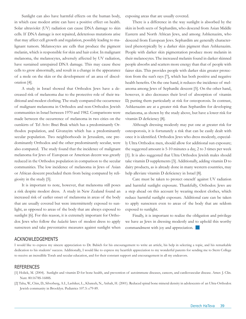Sunlight can also have harmful effects on the human body, in which case modest attire can have a positive effect on health. Solar ultraviolet (UV) radiation can cause DNA damage to skin cells. If DNA damage is not repaired, deleterious mutations arise that may affect cell growth and regulation, possibly leading to malignant tumors. Melanocytes are cells that produce the pigment melanin, which is responsible for skin and hair color. In malignant melanoma, the melanocytes, adversely affected by UV radiation, have sustained unrepaired DNA damage. This may cause these cells to grow abnormally, and result in a change in the appearance of a mole on the skin or the development of an area of discoloration [4].

A study in Israel showed that Orthodox Jews have a decreased risk of melanoma due to the protective role of their traditional and modest clothing. The study compared the occurrence of malignant melanoma in Orthodox and non-Orthodox Jewish communities in Israel between 1970 and 1982. Comparisons were made between the occurrence of melanoma in two cities on the outskirts of Tel Aviv: Bnei Brak which has a predominantly Orthodox population, and Givatayim which has a predominantly secular population. Two neighborhoods in Jerusalem, one predominantly Orthodox and the other predominantly secular, were also compared. The study found that the incidence of malignant melanoma for Jews of European or American decent was greatly reduced in the Orthodox population in comparison to the secular communities. The low incidence of melanoma in Jews of Asian or African descent precluded them from being compared by religiosity in the study [5].

It is important to note, however, that melanoma still poses a risk despite modest dress. A study in New Zealand found an increased risk of earlier onset of melanoma in areas of the body that are usually covered but were intermittently exposed to sunlight, as opposed to areas of the body that are always exposed to sunlight [6]. For this reason, it is extremely important for Orthodox Jews who follow the *halachic* laws of modest dress to apply sunscreen and take preventative measures against sunlight when

exposing areas that are usually covered.

There is a difference in the way sunlight is absorbed by the skin in both sects of Sephardim, who descend from Asian Middle Eastern and North African Jews, and among Ashkenazim, who descend from European Jews. Sephardim are generally characterized phenotypically by a darker skin pigment than Ashkenazim. People with darker skin pigmentation produce more melanin in their melanocytes. The increased melanin found in darker skinned people absorbs and scatters more energy than that of people with fairer skin. This provides people with darker skin greater protection from the sun's rays [7], which has both positive and negative health benefits. On the one hand, it reduces the incidence of melanoma among Jews of Sephardic descent [5]. On the other hand, however, it also decreases their level of absorption of vitamin D, putting them particularly at risk for osteoporosis. In contrast, Ashkenazim are at a greater risk than Sephardim for developing melanoma, as shown by the study above, but have a lower risk for vitamin D deficiency [8].

Although dressing modestly may put one at greater risk for osteoporosis, it is fortunately a risk that can be easily dealt with once it is identified. Orthodox Jews who dress modestly, especially Ultra Orthodox men, should allow for additional sun exposure; the suggested amount is 5-10 minutes a day, 2 to 3 times per week [1]. It is also suggested that Ultra Orthodox Jewish males should take vitamin D supplements [3]. Additionally, adding vitamin D to dairy products, as is already done in many western countries, may help alleviate vitamin D deficiency in Israel [8].

Care must be taken to protect oneself against UV radiation and harmful sunlight exposure. Thankfully, Orthodox Jews are a step ahead on this account by wearing modest clothes, which reduce harmful sunlight exposure. Additional care can be taken to apply sunscreen even to areas of the body that are seldom exposed to sunlight.

Finally, it is important to realize the obligation and privilege we have as Jews in dressing modestly and to uphold this worthy commandment with joy and appreciation.  $\Box$ 

#### Acknowledgements

I would like to express my sincere appreciation to Dr. Babich for his encouragement to write an article, his help in selecting a topic, and his remarkable dedication to his students' success. Additionally, I would like to express my heartfelt appreciation to my wonderful parents for sending me to Stern College to receive an incredible Torah and secular education, and for their constant support and encouragement in all my endeavors.

- [1] Holick, M. (2004). Sunlight and vitamin D for bone health, and prevention of autoimmune diseases, cancers, and cardiovascular disease. Amer. J. Clin. Nutr. 80:1678S-1688S.
- [2] Taha, W., Chin, D., Silverberg, A.I., Lashiker, L., Khateeb, N., Anhalt, H. (2001). Reduced spinal bone mineral density in adolescents of an Ultra-Orthodox Jewish community in Brooklyn. Pediatrics 107.5: e79-89.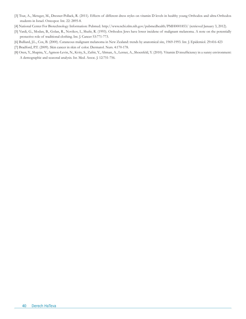- [3] Tsur, A., Metzger, M., Dresner-Pollack, R. (2011). Effects of different dress styles on vitamin D levels in healthy young Orthodox and ultra-Orthodox students in Israel. Osteopor. Int. 22: 2895-8.
- [4] National Center For Biotechnology Information: Pubmed. http://www.ncbi.nlm.nih.gov/pubmedhealth/PMH0001853/ (retrieved January 3, 2012).
- [5] Vardi, G., Modan, B., Golan, R., Novikov, I., Shafir, R. (1993). Orthodox Jews have lower incidene of malignant melanoma. A note on the potentially protective role of traditional clothing. Int. J. Cancer 53:771-773.
- [6] Bulliard, J.L., Cox, B. (2000). Cutaneous malignant melanoma in New Zealand: trends by anatomical site, 1969-1993. Int. J. Epidemiol. 29:416-423
- [7] Bradford, P.T. (2009). Skin cancer in skin of color. Dermatol. Nurs. 4:170-178.
- [8] Oren, Y., Shapira, Y., Agmon-Levin, N., Kvity, S., Zafrir, Y., Altman, A., Lerner, A., Shoenfeld, Y. (2010). Vitamin D insufficiency in a sunny environment: A demographic and seasonal analysis. Isr. Med. Assoc. J. 12:751-756.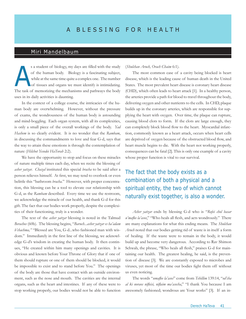## Miri Mandelbaum

s a student of biology, my days are filled with the study of the human body. Biology is a fascinating subject, while at the same time quite a complex one. The number of tissues and organs we must identify is intimidating. The task of memorizing the mechanisms and pathways the body uses in its daily activities is daunting. A

In the context of a college course, the intricacies of the human body are overwhelming. However, without the pressure of exams, the wondrousness of the human body is astounding and mind-boggling. Each organ system, with all its complexities, is only a small piece of the overall workings of the body. *Yad Hashem* is so clearly evident. It is no wonder that the *Rambam*, in discussing the commandments to love and fear G-d, says that the way to attain these emotions is through the contemplation of nature (*Hilchot Yesodei HaTorah* 2:2).

We have the opportunity to stop and focus on these miracles of nature multiple times each day, when we recite the blessing of *asher yatzar. Chazal* instituted this special *bracha* to be said after a person relieves himself. At first, we may tend to overlook or even belittle this "bathroom *bracha.*" However, with proper concentration, this blessing can be a tool to elevate our relationship with G-d, as the *Rambam* described. Every time we use the restroom, we acknowledge the miracle of our health, and thank G-d for this gift. The fact that our bodies work properly, despite the complexities of their functioning, truly is a wonder.

The text of the *asher yatzar* blessing is noted in the Talmud *Berachos* (60b). The blessing begins, "*Baruch...asher yatzar es ha'adam b'chachma,"* "Blessed are You, G-d...who fashioned man with wisdom." Immediately in the first line of the blessing, we acknowledge G-d's wisdom in creating the human body. It then continues, "He created within him many openings and cavities. It is obvious and known before Your Throne of Glory that if one of them should rupture or one of them should be blocked, it would be impossible to exist and to stand before You." The openings of the body are those that have contact with an outside environment, such as the nose and mouth. The cavities are the internal organs, such as the heart and intestines. If any of these were to stop working properly, our bodies would not be able to function

#### (*Shulchan Aruch, Orach Chaim* 6:1).

The most common case of a cavity being blocked is heart disease, which is the leading cause of human death in the United States. The most prevalent heart disease is coronary heart disease (CHD), which often leads to heart attack [1]. In a healthy person, the arteries provide a path for blood to travel throughout the body, delivering oxygen and other nutrients to the cells. In CHD, plaque builds up in the coronary arteries, which are responsible for supplying the heart with oxygen. Over time, the plaque can rupture, causing blood clots to form. If the clots are large enough, they can completely block blood flow to the heart. Myocardial infarction, commonly known as a heart attack, occurs when heart cells are deprived of oxygen because of the obstructed blood flow, and heart muscle begins to die. With the heart not working properly, consequences can be fatal [2]. This is only one example of a cavity whose proper function is vital to our survival.

## The fact that the body exists as a combination of both a physical and a spiritual entity, the two of which cannot naturally exist together, is also a wonder.

*Asher yatzar* ends by blessing G-d who is "*Rofei chol basar u'maflee la'asos*," "Who heals all flesh, and acts wondrously." There are many explanations for what this ending means. The *Shulchan Aruch* noted that our bodies getting rid of waste is in itself a form of healing. If the waste were to remain in the body, it would build up and become very dangerous. According to Rav Shimon Schwab, the phrase, "Who heals all flesh," praises G-d for maintaining our health. The greatest healing, he said, is the prevention of disease [3]. We are constantly exposed to microbes and viruses, yet most of the time our bodies fight them off without us even noticing.

The words "*umaflee la'asos*" come from *Tehillim* 139:14, "*od'cha al ki noraos nifleisi, niflaim ma'asecha*," "I thank You because I am awesomely fashioned; wondrous are Your works" [3]. If an in-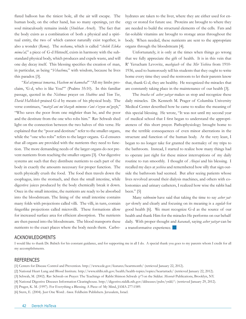flated balloon has the tiniest hole, all the air will escape. The human body, on the other hand, has so many openings, yet the soul miraculously remains inside (*Shulchan Aruch*). The fact that the body exists as a combination of both a physical and a spiritual entity, the two of which cannot naturally exist together, is also a wonder (*Rema*). The *neshama*, which is called "*chelek Eloka mima'al,*" a piece of G-d Himself, exists in harmony with the substandard physical body, which produces and expels waste, and will one day decay itself. This blessing specifies the creation of man, in particular, as being "*b'chachma,*" with wisdom, because he lives this paradox [3].

"*Kol atzmosai tomarna, Hashem mi kamocha!*" "All my limbs proclaim, 'G-d, who is like You!'" (Psalms 35:10). In this familiar passage, quoted in the *Nishmas* prayer on *Shabbos* and *Yom Tov*, *David HaMelech* praised G-d by means of his physical body. The verse continues, "*matzil ani me'chazak mimenu v'ani v'evyon mi'gozlo*," "Who saves the poor from one mightier than he, and the poor and the destitute from the one who robs him." Rav Schwab shed light on the connection between the two halves of this verse. He explained that the "poor and destitute" refer to the smaller organs, while the "one who robs" refers to the larger organs. G-d ensures that all organs are provided with the nutrients they need to function. The more demanding needs of the larger organs do not prevent nutrients from reaching the smaller organs [3]. Our digestive systems are such that they distribute nutrients to each part of the body in exactly the amounts necessary for proper function. The teeth physically crush the food. The food then travels down the esophagus, into the stomach, and then the small intestine, while digestive juices produced by the body chemically break it down. Once in the small intestine, the nutrients are ready to be absorbed into the bloodstream. The lining of the small intestine contains many folds with projections called villi. The villi, in turn, contain fingerlike projections called microvilli. These formations allow for increased surface area for efficient absorption. The nutrients are then passed into the bloodstream. The blood transports these nutrients to the exact places where the body needs them. Carbohydrates are taken to the liver, where they are either used for energy or stored for future use. Proteins are brought to where they are needed to build the structural elements of the cells. Fats and fat-soluble vitamins are brought to storage areas throughout the body. When needed, these nutrients are sent to the appropriate organs through the bloodstream [4].

Unfortunately, it is only at the times when things go wrong that we fully appreciate the gift of health. It is in this vein that R' Yerucham Levovitz, *mashgiach* of the *Mir Yeshiva* from 1910- 1936, used to humorously tell his students that they ought to write home every time they used the restroom to let their parents know that, thank G-d, they are healthy. He recognized the miracles that are constantly taking place in the maintenance of our health [3].

The *bracha* of *asher yatzar* makes us stop and recognize these daily miracles. Dr. Kenneth M. Prager of Columbia University Medical Center described how he came to realize the meaning of this special blessing. He wrote, "It was not until my second year of medical school that I first began to understand the appropriateness of this short prayer. Pathophysiology brought home to me the terrible consequences of even minor aberrations in the structure and function of the human body. At the very least, I began to no longer take for granted the normalcy of my trips to the bathroom. Instead, I started to realize how many things had to operate just right for these minor interruptions of my daily routine to run smoothly. I thought of *Abayei* and his blessing. I recalled my days at *yeshiva* and remembered how silly that sign outside the bathroom had seemed. But after seeing patients whose lives revolved around their dialysis machines, and others with colostomies and urinary catheters, I realized how wise the rabbi had been." [5]

Many *rabbonim* have said that taking the time to say *asher yatzar* slowly and clearly and focusing on its meaning is a *segulah* for good health [6]. We must recognize G-d as the source of our health and thank Him for the miracles He performs on our behalf daily. With proper thought and *kavanah*, saying *asher yatzar* can be a transformative experience.

#### **ACKNOWLEDGMENTS**

I would like to thank Dr. Babich for his constant guidance, and for supporting me in all I do. A special thank you goes to my parents whom I credit for all my accomplishments.

#### **REFERENCES**

[1] Centers for Disease Control and Prevention. http://www.cdc.gov/features/heartmonth/ (retrieved January 22, 2012).

[2] National Heart Lung and Blood Institute. http://www.nhlbi.nih.gov/health/health-topics/topics/heartattack/ (retrieved January 22, 2012).

- [3] Schwab, M. (2002). Rav Schwab on Prayer: The Teachings of Rabbi Shimon Schwab *zt"l* on the Siddur. *Mesorah* Publications, Brooklyn, NY.
- [4] National Digestive Diseases Information Clearinghouse. http://digestive.niddk.nih.gov/ddiseases/pubs/yrdd/\ (retrieved January 29, 2012).

[5] Prager, K. M. (1997). For Everything a Blessing. A Piece of My Mind, JAMA 277:1589.

[6] Stern, E. (2004). Just One Word: *Amen.* Feldheim Publishers. Jerusalem, Israel.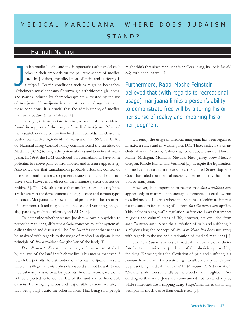# MEDICAL MARIJUANA: WHERE DOES JUDAISM STAND?

## Hannah Marmor

ewish medical oaths and the Hippocratic oath parallel each other in their emphasis on the palliative aspect of medical care. In Judaism, the alleviation of pain and suffering is a *mitzvah*. Certain conditions such as migraine headaches, Alzheimer's, muscle spasms, fibromyalgia, arthritic pain, glaucoma, and nausea induced by chemotherapy are alleviated by the use of marijuana. If marijuana is superior to other drugs in treating these conditions, it is crucial that the administering of medical marijuana be *halachically* analyzed [1]. J

To begin, it is important to analyze some of the evidence found in support of the usage of medical marijuana. Most of the research conducted has involved cannabinoids, which are the best-known active ingredients in marijuana. In 1997, the Office of National Drug Control Policy commissioned the Institute of Medicine (IOM) to weigh the potential risks and benefits of marijuana. In 1999, the IOM concluded that cannabinoids have some potential to relieve pain, control nausea, and increase appetite [2]. Also noted was that cannabinoids probably affect the control of movement and memory, so patients using marijuana should not drive a car. However, its effect on the immune system was not definitive [3]. The IOM also stated that smoking marijuana might be a risk factor in the development of lung disease and certain types of cancer. Marijuana has shown clinical promise for the treatment of symptoms related to glaucoma, nausea and vomiting, analgesia, spasticity, multiple sclerosis, and AIDS [4].

To determine whether or not Judaism allows a physician to prescribe marijuana, different *halachic* concepts must be systematically analyzed and discussed. The first *halachic* aspect that needs to be analyzed with regards to the usage of medical marijuana is the principle of *dina d'malchuta dina* (the law of the land) [1].

*Dina d'malchuta dina* stipulates that, as Jews, we must abide by the laws of the land in which we live. This means that even if Jewish law permits the distribution of medical marijuana in a state where it is illegal, a Jewish physician would still not be able to use medical marijuana to treat his patients. In other words, we would still be expected to follow the law of the land and be honorable citizens. By being righteous and responsible citizens, we are, in fact, being a light unto the other nations. That being said, people might think that since marijuana is an illegal drug, its use is *halachically* forbidden as well [1].

Furthermore, Rabbi Moshe Feinstein believed that (with regards to recreational usage) marijuana limits a person's ability to demonstrate free will by altering his or her sense of reality and impairing his or her judgment.

Currently, the usage of medical marijuana has been legalized in sixteen states and in Washington, D.C. These sixteen states include Alaska, Arizona, California, Colorado, Delaware, Hawaii, Maine, Michigan, Montana, Nevada, New Jersey, New Mexico, Oregon, Rhode Island, and Vermont [5]. Despite the legalization of medical marijuana in these states, the United States Supreme Court has ruled that medical necessity does not justify the allocation of marijuana.

However, it is important to realize that *dina d'malchuta dina* applies only to matters of monetary, commercial, or civil law, not to religious law. In areas where the State has a legitimate interest for the smooth functioning of society, *dina d'malchuta dina* applies. This includes taxes, traffic regulation, safety, etc. Laws that impact religious and cultural areas of life, however, are excluded from *dina d'malchuta dina*. Since the alleviation of pain and suffering is a religious law, the concept of *dina d'malchuta dina* does not apply with regards to the use and distribution of medical marijuana.[1].

The next *halachic* analysis of medical marijuana would therefore be to determine the prudence of the physician prescribing the drug. Knowing that the alleviation of pain and suffering is a *mitzvah*, how far must a physician go to alleviate a patient's pain by prescribing medical marijuana? In *Vayikrah* 19:16 it is written, "Neither shalt thou stand idly by the blood of thy neighbor." According to this verse, Jews are commanded not to stand idly by while someone's life is slipping away. *Tosafot* maintained that living with pain is much worse than death itself [1].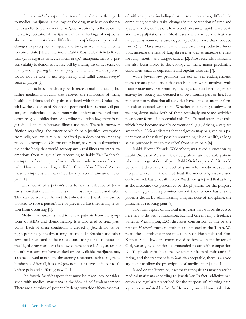The next *halachic* aspect that must be analyzed with regards to medical marijuana is the impact the drug may have on the patient's ability to perform other *mitzvot.* According to the scientific literature, recreational marijuana can cause feelings of euphoria, short-term memory loss, difficulty in completing complex tasks, changes in perception of space and time, as well as the inability to concentrate [2]. Furthermore, Rabbi Moshe Feinstein believed that (with regards to recreational usage) marijuana limits a person's ability to demonstrate free will by altering his or her sense of reality and impairing his or her judgment. Therefore, this person would not be able to act responsibly and fulfill crucial *mitzvot,*  such as prayer [1].

This article is not dealing with recreational marijuana, but rather medical marijuana that relieves the symptoms of many health conditions and the pain associated with them. Under Jewish law, the violation of Shabbat is permitted for a seriously ill person, and individuals in even minor discomfort are relieved from other religious obligations. According to Jewish law, there is no genuine distinction between illness and pain. There is, however, friction regarding the extent to which pain justifies exemption from religious law. A minute, localized pain does not warrant any religious exemption. On the other hand, severe pain throughout the entire body that would accompany a real illness warrants exemptions from religious law. According to Rabbi Yair Bachrach, exemptions from religious law are allowed only in cases of severe pain. However, according to Rabbi Chaim Yosef David Azulay, these exemptions are warranted by a person in any amount of pain [1].

This notion of a person's duty to heal is reflective of Judaism's view that the human life is of utmost importance and value. This can be seen by the fact that almost any Jewish law can be violated to save a person's life or prevent a life-threatening situation from occurring [1].

Medical marijuana is used to relieve patients from the symptoms of AIDS and chemotherapy. It is also used to treat glaucoma. Each of these conditions is viewed by Jewish law as being a potentially life-threatening situation. If Shabbat and other laws can be violated in these situations, surely the distribution of the illegal drug marijuana is allowed here as well. Also, assuming no other treatments have worked or are available, marijuana may also be allowed in non life-threatening situations such as migraine headaches. After all, it is a *mitzvah* not just to save a life, but to alleviate pain and suffering as well [1].

The fourth *halachic* aspect that must be taken into consideration with medical marijuana is the idea of self-endangerment. There are a number of potentially dangerous side effects associated with marijuana, including short term memory loss, difficulty in completing complex tasks, changes in the perception of time and space, anxiety, confusion, low blood pressure, rapid heart beat, and heart palpitations [2]. Most researchers also believe marijuana contains numerous carcinogens (50-70% more than tobacco smoke) [6]. Marijuana can cause a decrease in reproductive function, increase the risk of lung disease, as well as increase the risk for lung, mouth, and tongue cancer [2]. Most recently, marijuana has also been linked to the etiology of many major psychiatric conditions, such as depression and bipolar disorder [7].

While Jewish law prohibits the act of self-endangerment, there are acceptable risks that can be taken when involved with routine activities. For example, driving a car can be a dangerous activity but society has deemed it to be a routine part of life. It is important to realize that all activities have some or another form of risk associated with them. Whether it is taking a subway or walking down stairs, both of these seemingly mundane activities pose some form of a potential risk. The Talmud states that risks which have become socially conventional (e.g., driving a car) are acceptable. *Halacha* dictates that analgesics may be given to a patient even at the risk of possibly shortening his or her life, as long as the purpose is to achieve relief from acute pain [8].

Rabbi Eliezer Yehuda Waldenberg was asked a question by Rabbi Professor Avraham Steinberg about an incurable patient who was in a great deal of pain. Rabbi Steinberg asked if it would be permitted to raise the level of pain relief medicine, such as morphine, even if it did not treat the underlying disease and could, in fact, hasten death. Rabbi Waldenberg replied that as long as the medicine was prescribed by the physician for the purpose of relieving pain, it is permitted even if the medicine hastens the patient's death. By administering a higher dose of morphine, the physician is reducing pain [8].

The final aspect of medical marijuana that will be discussed here has to do with compassion. Richard Greenberg, a freelance writer in Washington, D.C., discusses compassion as one of the first of *Hashem's* thirteen attributes mentioned in the Torah. We recite these attributes three times on Rosh Hashanah and Yom Kippur. Since Jews are commanded to behave in the image of G-d, we are, by extension, commanded to act with compassion [9]. If a physician is able to relieve a patient from his pain and suffering, and the treatment is *halachically* acceptable, there is a good argument to allow the prescription of medical marijuana [1].

Based on the literature, it seems that physicians may prescribe medical marijuana according to Jewish law. In fact, addictive narcotics are regularly prescribed for the purpose of relieving pain, a practice mandated by *halacha*. However, one still must take into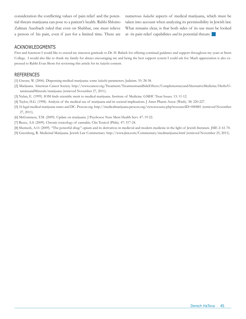consideration the conflicting values of pain relief and the potential threats marijuana can pose to a patient's health. Rabbi Shlomo Zalman Auerbach ruled that even on Shabbat, one must relieve a person of his pain, even if just for a limited time. There are numerous *halachic* aspects of medical marijuana, which must be taken into account when analyzing its permissibility in Jewish law. What remains clear, is that both sides of its use must be looked at- its pain relief capabilities *and* its potential threats. g

#### Acknowledgments

First and foremost I would like to extend my sincerest gratitude to Dr. H. Babich for offering continual guidance and support throughout my years at Stern College. I would also like to thank my family for always encouraging me and being the best support system I could ask for. Much appreciation is also expressed to Rabbi Evan Shore for reviewing this article for its *halachic* content.

- [1] Greene, W. (2006). Dispensing medical marijuana: some *halachic* parameters. Judaism. 55: 28-38.
- [2] Marijuana. American Cancer Society. http://www.cancer.org/Treatment/TreatmentsandSideEffects/ComplementaryandAlternativeMedicine/HerbsVitaminsandMinerals/marijuana (retrieved November 27, 2011).
- [3] Nelan, E. (1999). IOM finds scientific merit to medical marijuana. Institute of Medicine. GMHC Treat Issues. 13: 11-12.
- [4] Taylor, H.G. (1998). Analysis of the medical use of marijuana and its societal implications. J Amer Pharm Assoc (Wash). 38: 220-227.
- [5] 16 legal medical marijuana states and DC. Procon.org. http://medicalmarijuana.procon.org/view.resource.php?resourceID=000881 (retrieved November 27, 2011).
- [6] McGuinness, T.M. (2009). Update on marijuana. J Psychosoc Nurs Ment Health Serv. 47: 19-22.
- [7] Reece, A.S. (2009). Chronic toxicology of cannabis. Clin Toxicol (Phila). 47: 517-24.
- [8] Shemesh, A.O. (2009). "The powerful drug:" opium and its derivatives in medieval and modern medicine in the light of Jewish literature. JME 2: 61-70.
- [9] Greenberg, R. Medicinal Marijuana. Jewish Law Commentary. http://www.jlaw.com/Commentary/medmarijuana.html (retrieved November 25, 2011).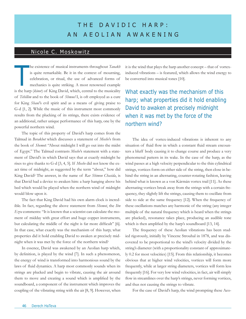## THE DAVIDIC HARP: a n a eoli a n awak ening

## Nicole C. Moskowitz

he existence of musical instruments throughout *Tanakh* is quite remarkable. Be it in the context of mourning, celebration, or ritual, the use of advanced forms of mechanics is quite striking. A most renowned example is the harp (*kinor*) of King David, which, central to the musicality of *Tehillim* and to the book of *Shmuel* I, is oft employed as a cure for King *Shaul'*s evil spirit and as a means of giving praise to G-d [1, 2]. While the music of this instrument most commonly results from the plucking of its strings, there exists evidence of an additional, rather unique performance of this harp, one by the powerful northern wind. T

The topic of this property of David's harp comes from the Talmud in *Berakhot* which discusses a statement of *Moshe*'s from the book of *Shemot*: "About midnight I will go out into the midst of Egypt." The Talmud contrasts *Moshe*'s statement with a statement of David's in which David says that at exactly midnight he rises to give thanks to G-d [3, 4, 5]. If *Moshe* did not know the exact time of midnight, as suggested by the term "about," how did King David? The answer, in the name of *Rav Shimon Chasida*, is that David had a device to awaken him: a harp hanging above his bed which would be played when the northern wind of midnight would blow upon it.

The fact that King David had his own alarm clock is incredible. In fact, regarding the above statement from *Shemot*, the *Ibn Ezra* comments: "It is known that a scientist can calculate the moment of midday with great effort and huge copper instruments, but calculating the middle of the night is far more difficult" [6]. In that case, what exactly was the mechanism of this harp; what properties did it hold enabling David to awaken at precisely midnight when it was met by the force of the northern wind?

In essence, David was awakened by an Aeolian harp which, by definition, is played by the wind [7]. In such a phenomenon, the energy of wind is transformed into harmonious sound by the laws of fluid dynamics. A harp most commonly sounds when its strings are plucked and begin to vibrate, causing the air around them to move and creating a sound which is amplified by the soundboard, a component of the instrument which improves the coupling of the vibrating string with the air [8, 9]. However, when

it is the wind that plays the harp another concept – that of vortexinduced vibrations – is featured, which allows the wind energy to be converted into musical tones [10].

## What exactly was the mechanism of this harp; what properties did it hold enabling David to awaken at precisely midnight when it was met by the force of the northern wind?

The idea of vortex-induced vibrations is inherent to any situation of fluid flow in which a constant fluid stream encounters a bluff body causing it to change course and produce a very phenomenal pattern in its wake. In the case of the harp, as the wind passes at a high velocity perpendicular to the thin cylindrical strings, vortices form on either side of the string, then close in behind the string in an alternating, counter-rotating fashion, leaving behind what is known as a von Kármán vortex trail [11]. As these alternating vortices break away from the strings with a certain frequency, they slightly lift the strings, causing them to oscillate from side to side at the same frequency [12]. When the frequency of these oscillations matches any harmonic of the string (any integer multiple of the natural frequency which is heard when the strings are plucked), resonance takes place, producing an audible tone which is then amplified by the harp's soundboard [13, 14].

The frequency of these Aeolian vibrations has been studied rigorously, initially by Vincenc Strouhal in 1878, and was discovered to be proportional to the wind's velocity divided by the string's diameter (with a proportionality constant of approximately 0.2 for most velocities) [15]. From this relationship, it becomes obvious that at higher wind velocities, vortices will form more frequently, while at larger string diameters, vortices will form less frequently [16]. For very low wind velocities, in fact, air will simply flow in streamlines over the harp's strings, never forming vortices, and thus not causing the strings to vibrate.

For the case of David's harp, the wind prompting these Aeo-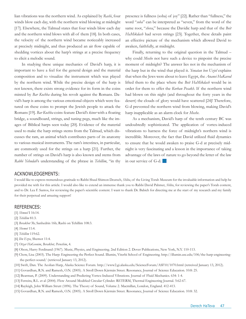lian vibrations was the northern wind. As explained by *Rashi*, four winds blow each day, with the northern wind blowing at midnight [17]. Elsewhere, the Talmud states that four winds blow each day and the northern wind blows with all of them [18]. In both cases, the velocity of the northern wind became noticeably increased at precisely midnight, and thus produced an air flow capable of shedding vortices about the harp's strings at a precise frequency to elicit a melodic sound.

In studying these unique mechanics of David's harp, it is important to have a feel for the general design and the material composition and to visualize the instrument which was played by the northern wind. While the precise design of the harp is not known, there exists strong evidence for its form in the coins minted by *Bar Kochba* during his revolt against the Romans. David's harp is among the various emotional objects which were featured on these coins to prompt the Jewish people to attack the Romans [19]. *Bar Kochba* coins feature David's *kinor* with a floating bridge, a soundboard, strings, and tuning pegs, much like the images of Biblical harps seen today [20]. Evidence of the material used to make the harp strings stems from the Talmud, which discusses the ram, an animal which contributes parts of its anatomy to various musical instruments. The ram's intestines, in particular, are commonly used for the strings on a harp [21]. Further, the number of strings on David's harp is also known and stems from *Rabbi Yehudah*'s understanding of the phrase in *Tehillim*, "in thy

presence is fullness (soba) of joy" [22]. Rather than "fullness," the word "*soba*" can be interpreted as "seven," from the word of the same root, "*sheva*," because the Davidic harp and that of the *Beit HaMikdash* had seven strings [23]. Together, these details paint an effective picture of the mechanism which allowed David to awaken, faithfully, at midnight.

Finally, returning to the original question in the Talmud – why could *Moshe* not have such a device to pinpoint the precise moment of midnight? The answer lies not in the mechanism of the harp but in the wind that played it. *Yonatan ben Uziel* explains that when the Jews were about to leave Egypt, the *Ananei HaKavod*  lifted them to the place where the *Beit HaMikdash* would be in order for them to offer the *Korban Pesakh*. If the northern wind had blown on this night (and throughout the forty years in the desert) the clouds of glory would have scattered [24]! Therefore, G-d prevented the northern wind from blowing, making David's harp inapplicable as an alarm clock for *Moshe*.

As a mechanism, David's harp of the tenth century BC was undoubtedly sophisticated. The application of vortex-induced vibrations to harness the force of midnight's northern wind is incredible. Moreover, the fact that David utilized fluid dynamics to ensure that he would awaken to praise G-d at precisely midnight is very fascinating and a lesson in the importance of taking advantage of the laws of nature to go beyond the letter of the law in our service of G-d.

#### Acknowledgements:

I would like to express tremendous gratitude to Rabbi Shaul Shimon Deutsch, *Shlita*, of the Living Torah Museum for the invaluable information and help he provided me with for this article. I would also like to extend an immense thank you to Rabbi David Pahmer, *Shlita*, for reviewing the paper's Torah content, and to Dr. Lea F. Santos, for reviewing the paper's scientific content. I want to thank Dr. Babich for directing me at the start of my research and my family for their perpetual and amazing support!

#### References:

- [1] *Shmuel* I 16:14.
- [2] *Tehillim* 81:3.
- [3] *Berakhot* 3b; Sanhedrin 16b; Rashi on Tehillim 108:3.
- [4] *Shemot* 11:4.
- [5] *Tehillim* 119:62.
- [6] *Ibn Ezra*, Shemot 11:4.
- [7] *Otzar HaGeonim*, *Berakhot, Perushim*, 4.
- [8] Olson, Harry Ferdinand (1967). Music, Physics, and Engineering. 2nd Edition 2. Dover Publications, New York, N.Y. 110-113.
- [9] Chow, Lisa (2003). The Harp: Engineering the Perfect Sound. Illumin, Viterbi School of Engineering. http://illumin.usc.edu/106/the-harp-engineeringthe-perfect-sound/ (retrieved January 13, 2012).
- [10] Swift, Dan. The Aeolian Harp, Alaska Science Forum. http://www2.gi.alaska.edu/ScienceForum/ASF10/1070.html (retreived January 13, 2012).
- [11] Govardhan, R.N. and Ramesh, O.N. (2005). A Stroll Down Kármán Street. Resonance, Journal of Science Education. 10:8: 25.
- [12] Bearman, P. (2009). Understanding and Predicting Vortex-Induced Vibrations. Journal of Fluid Mechanics. 634: 1-4.
- [13] Ferreira, R.L. et al (2004). Flow Around Modified Circular Cylinder. RETERM, Thermal Engineering Journal. 5:62-67.
- [14] Rayleigh, John William Strutt (1896). The Theory of Sound, Volume 2. Macmillan, London, England. 412-413.
- [15] Govardhan, R.N. and Ramesh, O.N. (2005). A Stroll Down Kármán Street. Resonance, Journal of Science Education. 10:8: 32.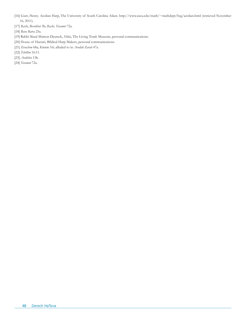- [16] Gurr, Henry. Aeolian Harp, The University of South Carolina Aiken. http://www.usca.edu/math/~mathdept/hsg/aeolian.html (retrieved November 16, 2011).
- [17] *Rashi*, *Berakhot* 3b; *Rashi*, *Yevamot* 72a.
- [18] *Bava Batra* 25a.
- [19] Rabbi Shaul Shimon Deutsch, *Shlita*, The Living Torah Museum, personal communications.
- [20] House of Harrari, Biblical Harp Makers, personal communications.
- [21] *Zevachim* 68a; *Kinnim* 3:6; alluded to in *Avodah Zarah* 47a.
- [22] *Tehillim* 16:11.
- [23] *Arakhin* 13b.
- [24] *Yevamot* 72a.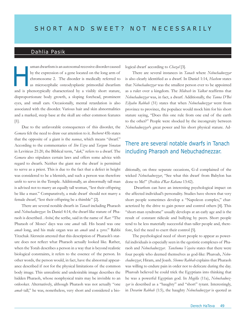## Dahlia Pasik

uman dwarfism is an autosomal recessive disorder caused by the expression of a gene located on the long arm of chromosome 2. The disorder is medically referred to as microcephalic osteodysplastic primordial dwarfism and is phenotypically characterized by a visibly short stature, disproportionate body growth, a sloping forehead, prominent eyes, and small ears. Occasionally, mental retardation is also associated with the disorder. Various hair and skin abnormalities and a marked, steep base at the skull are other common features [1]. H

Due to the unfavorable consequences of this disorder, the *Gemara* felt the need to draw our attention to it. *Bechorot* 45b states that the opposite of a giant is the *nannas*, which means "dwarf." According to the commentaries of *Ibn Ezra* and *Targum Yonatan* in Leviticus 21:20, the Biblical term, "*dak*," refers to a dwarf. The *Gemara* also stipulates certain laws and offers some advice with regard to dwarfs. Neither the giant nor the dwarf is permitted to serve as a priest. This is due to the fact that a defect in height was considered to be a blemish, and such a person was therefore unfit to serve in the Temple. Additionally, an abnormally tall man is advised not to marry an equally tall woman, "lest their offspring be like a mast." Comparatively, a male dwarf should not marry a female dwarf, "lest their offspring be a thimble" [2].

There are several notable dwarfs in *Tanach* including Pharaoh and *Nebuchadnezzar*. In Daniel 4:14, the dwarf-like stature of Pharaoh is described. *Avitul*, the scribe, said in the name of *Rav*: "The Pharaoh of Moses' days was one *amah* tall. His beard was one *amah* long, and his male organ was an *amah* and a *zeres*." Rabbi Yitzchak Alerstein attested that this description of Pharaoh's stature does not reflect what Pharaoh actually looked like. Rather, when the Torah describes a person in a way that is beyond realistic biological constraints, it refers to the essence of the person. In other words, the person would, in fact, have the abnormal appearance described if not for the physical limitations of the common body image. This unrealistic and undesirable image describes the hidden Pharaoh, whose nonphysical traits may be invisible to an onlooker. Alternatively, although Pharaoh was not actually "one *amah* tall," he was, nonetheless, very short and considered a biological dwarf according to *Chazal* [3].

There are several instances in *Tanach* where *Nebuchadnezzar* is also clearly identified as a dwarf. In Daniel 1:14, *Hashem* states that *Nebuchadnezzar* was the smallest person ever to be appointed as a ruler over a kingdom. The *Midrash* in *Yalkut* reaffirms that *Nebuchadnezzar* was, in fact, a dwarf. Additionally, the *Tanna D'Bei Eliyahu Rabbah* (31) states that when *Nebuchadnezzar* went from province to province, the populace would mock him for his short stature saying, "Does this one rule from one end of the earth to the other?" People were shocked by the incongruity between *Nebuchadnezzar*'s great power and his short physical stature. Ad-

## There are several notable dwarfs in Tanach including Pharaoh and Nebuchadnezzar.

ditionally, on three separate occasions, G-d complained of the wicked *Nebuchadnezzar*, "See what this dwarf from Babylon has done to Me!" (*Pesikta d'Rav Kahana* 13:42).

 Dwarfism can have an interesting psychological impact on the affected individual's personality. Studies have shown that very short people sometimes develop a "Napoleon complex," characterized by the drive to gain power and control others [4]. This "short-man syndrome" usually develops at an early age and is the result of constant ridicule and bullying by peers. Short people tend to be less materially successful than taller people and, therefore, feel the need to exert their control [5].

The psychological need of short people to appear as powerful individuals is especially seen in the egotistic complexes of Pharaoh and *Nebuchadnezzar*. *Tanchuma Vayeira* states that there were four people who deemed themselves as god-like: Pharoah, *Nebuchadnezzar*, Hiram, and Joash. *Shemos Rabbah* explains that Pharaoh was willing to endure pain in order not to defecate during the day. Pharoah believed he could trick the Egyptians into thinking that he was a powerful Egyptian god. In *Megilla* (11a), *Nebuchadnez*zar is described as a "haughty" and "short" tyrant. Interestingly, in *Devarim Rabbah* (1:5), the haughty *Nebuchadnezzar* is quoted as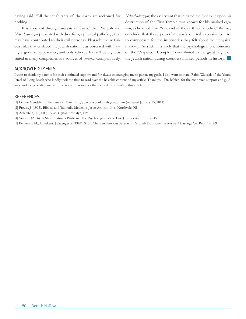having said, "All the inhabitants of the earth are reckoned for nothing."

It is apparent through analysis of *Tanach* that Pharaoh and *Nebuchadnezzar* presented with dwarfism, a physical pathology that may have contributed to their evil personas. Pharaoh, the nefarious ruler that enslaved the Jewish nation, was obsessed with having a god-like appearance, and only relieved himself at night as stated in many complementary sources of *Shemos*. Comparatively, *Nebuchadnezzar*, the evil tyrant that initiated the first exile upon his destruction of the First Temple, was known for his marked egoism, as he ruled from "one end of the earth to the other." We may conclude that these powerful dwarfs exerted excessive control to compensate for the insecurities they felt about their physical make-up. As such, it is likely that the psychological phenomenon of the "Napoleon Complex" contributed to the great plight of the Jewish nation during countless marked periods in history.

### Acknowledgments

I want to thank my parents for their continued support and for always encouraging me to pursue my goals. I also want to thank Rabbi Wakslak of the Young Israel of Long Beach who kindly took the time to read over the halachic content of my article. Thank you, Dr. Babich, for the continued support and guidance and for providing me with the scientific resources that helped me in writing this article.

#### **REFERENCES**

[1] Online Mendelian Inheritance in Man. http://www.ncbi.nlm.nih.gov/omim (retrieved January 15, 2011).

[2] Preuss, J. (1993). Biblical and Talmudic Medicine. Jason Aronson Inc., Northvale, NJ.

[3] Adlerstein, Y. (2000). *Be'er Hagolah*. Brooklyn, NY.

[4] Voss, L. (2006). Is Short Stature a Problem? The Psychological View. Eur. J. Endocrinol. 155:39-45.

[5] Benjamin, M., Muyskens, J., Saenger P. (1984). Short Children. Anxious Parents: Is Growth Hormone the Answer? Hastings Ctr. Rept. 14: 5-9.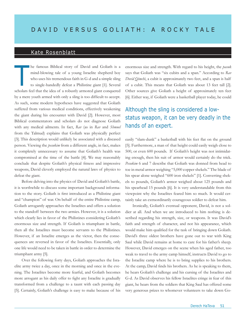### Kate Rosenblatt

he famous Biblical story of David and Goliath is a mind-blowing tale of a young Israelite shepherd boy who uses his tremendous faith in G-d and a simple sling to single-handedly defeat a Philistine giant [1]. Several scholars feel that the idea of a robustly armored giant conquered by a mere youth armed with only a sling is too difficult to accept. As such, some modern hypotheses have suggested that Goliath suffered from various medical conditions, effectively weakening the giant during his encounter with David [2]. However, most Biblical commentators and scholars do not diagnose Goliath with any medical ailments. In fact, *Rav* (as in *Rav* and *Shmuel* from the Talmud) explains that Goliath was physically perfect [3]. This description would unlikely be associated with a diseased person. Viewing the *pesukim* from a different angle, in fact, makes it completely unnecessary to assume that Goliath's health was compromised at the time of the battle [4]. We may reasonably conclude that despite Goliath's physical fitness and impressive weapons, David cleverly employed the natural laws of physics to defeat the giant. T

Before delving into the physics of David and Goliath's battle, it is worthwhile to discuss some important background information to the story. Goliath is first introduced as a Philistine giant and "champion" of war. On behalf of the entire Philistine camp, Goliath arrogantly approaches the Israelites and offers a solution to the standoff between the two armies. However, it is a solution which clearly lies in favor of the Philistines considering Goliath's enormous size and strength. If Goliath is triumphant in battle, then all the Israelites must become servants to the Philistines. However, if an Israelite emerges as the victor, then the consequences are reversed in favor of the Israelites. Essentially, only one life would need to be taken in battle in order to determine the triumphant army [5].

Over the following forty days, Goliath approaches the Israelite army twice a day, once in the morning and once in the evening. The Israelites become more fearful, and Goliath becomes more arrogant as his daily offer to fight any Israelite is gradually transformed from a challenge to a taunt with each passing day [5]. Certainly, Goliath's challenge is easy to make because of his enormous size and strength. With regard to his height, the *pasuk* says that Goliath was "six cubits and a span." According to *Rav Dovid Qimchi*, a cubit is approximately two feet, and a span is half of a cubit. This means that Goliath was about 13 feet tall [2]. Other sources give Goliath a height of approximately ten feet [6]. Either way, if Goliath were a basketball player today, he could

## Although the sling is considered a lowstatus weapon, it can be very deadly in the hands of an expert.

easily "slam-dunk" a basketball with his feet flat on the ground [5]. Furthermore, a man of that height could easily weigh close to 500, or even 600 pounds. If Goliath's height was not intimidating enough, then his suit of armor would certainly do the trick. *Pesukim* 6 and 7 describe that Goliath was donned from head to toe in metal armor weighing "5,000 copper shekels." The blade of his spear alone weighed "600 iron shekels" [1]. Converting shekels to pounds, Goliath's armor weighed about 125 pounds and his spearhead 15 pounds [6]. It is very understandable from this viewpoint why the Israelites feared him so much. It would certainly take an extraordinarily courageous soldier to defeat him.

Ironically, Goliath's eventual opponent, David, is not a soldier at all. And when we are introduced to him nothing is described regarding his strength, size, or weapons. It was David's faith and strength of character, and not his appearance, which would make him qualified for the task of bringing down Goliath. David's three oldest brothers have gone out to war with King Saul while David remains at home to care for his father's sheep. However, David emerges on the scene when his aged father, too weak to travel to the army camp himself, instructs David to go to the Israelite camp where he is to bring supplies to his brothers. At the camp, David finds his brothers. As he is speaking to them, he hears Goliath's challenge and his cursing of the Israelites and G-d. As David observes his fellow Israelites cringe in fear of this giant, he hears from the soldiers that King Saul has offered some very generous prizes to whomever volunteers to take down Go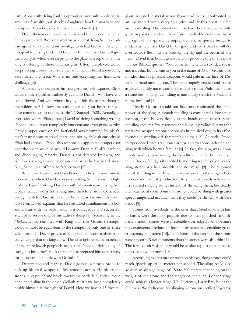liath. Apparently, King Saul has promised not only a substantial amount of wealth, but also his daughter's hand in marriage and exemption from taxes for the volunteer's family [5].

David then asks several people around him to confirm what he has just heard. Wouldn't any true soldier of King Saul take advantage of this tremendous privilege to defeat Goliath? After all, this giant is cursing G-d and David has full faith that G-d will give the victory to whomever steps up to the plate. On top of that, the king is offering all these fabulous gifts! Utterly perplexed, David keeps asking around to ensure that what he has heard about King Saul's offer is correct. Why is no one accepting this honorable challenge [5]?

Angered by the sight of his younger brother's inquiries, Eliab, David's oldest brother, ruthlessly cuts into David. "Why have you come down? And with whom have you left those few sheep in the wilderness? I know the wickedness of your heart; for you have come down to see the battle" (1 Samuel 17:28). Actually, in every area where Eliab accuses David of doing something wrong, David's actions were completely innocent and even praiseworthy. David's appearance on the battlefield was prompted by his father's instructions to travel there, and not by childish curiosity as Eliab had accused. David also responsibly appointed a supervisor over the sheep while he would be away. Despite Eliab's insulting and discouraging remarks, David is not deterred by them, and continues asking around to ensure that what he has heard about King Saul's great offer is, in fact, correct [5].

When Saul hears about David's inquiries he summons him to his quarters, where David expresses to King Saul his wish to fight Goliath. Upon noticing David's youthful countenance, King Saul replies that David is too young and, therefore, not experienced enough to defeat Goliath who has been a warrior since his youth. However, David explains that he had killed simultaneously a lion and a bear with his bare hands in a courageous and successful attempt to rescue one of his father's sheep [1]. According to the *Malbim*, David reasoned with King Saul that Goliath's strength would at most be equivalent to the strength of only one of these wild beasts [7]. David proves to King Saul his warrior abilities so convincingly that the king allows David to fight Goliath on behalf of the entire Jewish people. It seems that David's "trivial" duty of caring for his father's flock of sheep has prepared him quite nicely for his upcoming battle with Goliath [5].

Determined and fearless, David goes to a nearby brook to pick up his fatal weapons - five smooth stones. He places the stones in his pouch and heads toward the battlefield, a stick in one hand and a sling in the other. Goliath must have been completely beside himself at the sight of David. Here we have a 13-foot tall giant, adorned in metal armor from head to toe, confronted by an unarmored youth carrying a stick and, at this point in time, an empty sling. The onlookers must have been overcome with great trepidation and utter confusion. Goliath's likely surprise at the sight of his apparently unprepared enemy quickly turned to disdain as he curses David by his gods and roars that he will deliver David's flesh "to the birds of the sky and the beasts of the field!" David then boldly asserts what is probably one of the most famous Biblical quotes: "You come to me with a sword, a spear, and a javelin, but I come to you in the name of G-d." Goliath had no idea that his physical weapons would pale in the face of David's spiritual ammunition. The battle rapidly ensued and ended as David quickly ran toward the battle line to the Philistine, pulled a stone out of his pouch, slung it, and fatally struck the Philistine in the forehead [1].

Clearly, Goliath should not have underestimated the lethal power of the sling. Although the sling is considered a low-status weapon, it can be very deadly in the hands of an expert. Since the sling requires few resources and is easily produced, it was the preferred weapon among shepherds in the field due to its effectiveness in warding off threatening animals [8]. As such, David, inexperienced with traditional armor and weapons, selected the sling with which he was familiar [4]. In fact, the sling was a commonly used weapon among the Israelite militia [8]. For example, in the Book of Judges it is noted that during war "everyone could sling stones at a hair breadth, and not miss" [9]. The common use of the sling in the Israelite army was due to the sling's effectiveness and ease of production. It is unclear exactly when men first started slinging stones instead of throwing them, but clearly, men learned at some point that stones could be slung with greater speed, range, and accuracy than they could be thrown with bare hands [8].

Stones from riverbeds, as the ones that David took with him to battle, were the most popular due to their polished smoothness. Smooth stones were preferable over edged rocks because they experienced reduced effects of air resistance, enabling greater accuracy and range [10]. In addition to the fact that the stones were smooth, *Rashi* comments that the stones were also thin [11]. The force of air resistance would be weaker against thin stones as opposed to wider ones [10].

According to literature on weapon history, slung stones could reach speeds up to 90 meters per second. The sling could also achieve an average range of 150 to 500 meters depending on the weight of the stone and the length of the sling. Longer slings could achieve a longer range [10]. Currently, Larry Bray holds the Guinness World Record for slinging a stone projectile (52 grams)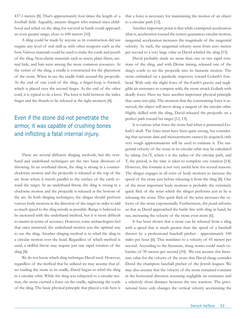437.1 meters [8]. That's approximately four times the length of a football field. Arguably, ancient slingers who trained since childhood and relied on the sling for survival in battle could approach an even greater range, close to 600 meters [10].

A sling could be made by anyone as its construction did not require any level of real skill as with other weapons such as the bow. Various materials could be used to make the cords and pouch of the sling. Non-elastic materials such as sinew, plant fibers, animal hide, and hair were among the more common resources. At the center of the sling, a cradle is constructed for the placement of the stone. When in use the cradle folds around the projectile. At the end of one cord of the sling, a finger-loop is formed, which is placed over the second finger. At the end of the other cord, it is typical to tie a knot. The knot is held between the index finger and the thumb to be released at the right moment [8].

## Even if the stone did not penetrate the armor, it was capable of crushing bones and inflicting a fatal internal injury.

There are several different slinging methods, but the overhand and underhand techniques are the two basic divisions of throwing. In an overhand throw, the sling is swung in a counterclockwise motion and the projectile is released at the top of the arc from where it travels parallel to the surface of the earth toward the target. In an underhand throw, the sling is swung in a clockwise motion and the projectile is released at the bottom of the arc. In both slinging techniques, the slinger should perform various body motions in the direction of the target in order to add as much speed to the sling missile as possible. Range is believed to be increased with the underhand method, but it is more difficult to master in terms of accuracy. However, some archaeologists feel that once mastered, the underhand motion was the optimal way to use the sling. Another slinging method is to whirl the sling in a circular motion over the head. Regardless of which method is used, a skillful throw may require just one rapid rotation of the sling [8].

We do not know which sling technique David used. However, regardless of the method that he utilized we may assume that after loading the stone in its cradle, David began to whirl the sling in a circular orbit. While the sling was subjected to a circular motion, the stone exerted a force on the cradle, tightening the cords of the sling. The basic physical principle that played a role here is

that a force is necessary for maintaining the motion of an object to a circular path [12].

Another important point is that while centripetal acceleration (that is, acceleration toward the center) guarantees circular motion, tangential acceleration increases the magnitude of the tangential velocity. As such, the tangential velocity went from zero meters per second to a very large value as David whirled the sling [13].

David probably made no more than one or two rapid rotations of the sling, and with Divine timing, released one of the sling's cords to set the projectile into its fantastic motion. The stone embarked on a parabolic trajectory toward Goliath's forehead. With only the slight force of the Earth's gravity and negligible air resistance to compete with, the stone struck Goliath with deadly force. Here we have another important physical principle that came into play. The moment that the constraining force is removed, the object will move along a tangent of the circular orbit. Highly skilled with the sling, David released the projectile on a perfect path toward his target [12, 13].

It is curious what force the stone had when it penetrated Goliath's skull. The force must have been quite strong, but considering that accurate data and measurements cannot be acquired, only very rough approximations will be used to estimate it. The tangential velocity of the stone in its circular orbit may be calculated by taking  $2\pi r/T$ , where r is the radius of the circular path, and T, the period, is the time is takes to complete one rotation [14]. However, this formula is not very useful here for several reasons. The slinger engages in all sorts of body motions to increase the speed of the stone just before releasing it from the sling [8]. One of the most important body motions is probably the extremely quick flick of the wrist which the slinger performs just as he is releasing the stone. This quick flick of the wrist increases the velocity of the stone exponentially. Furthermore, the *pasuk* informs us that as David approached the battle line with sling in hand, he ran, increasing the velocity of the stone even more [6].

It has been shown that a stone can be released from a sling with a speed that is much greater than the speed of a baseball thrown by a professional baseball pitcher - approximately 100 miles per hour [6]. This translates to a velocity of 45 meters per second. According to the literature, slung stones could reach velocities of 90 meters per second [10]. We can assume this literature value for the velocity of the stone that David slung; consider David the champion baseball pitcher of the Jewish leagues. We may also assume that the velocity of the stone remained constant in the horizontal direction assuming negligible air resistance and a relatively short distance between the two warriors. The gravitational force only changes the vertical velocity accelerating the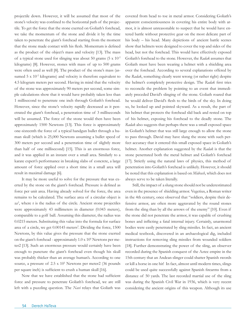projectile down. However, it will be assumed that most of the stone's velocity was confined to the horizontal path of the projectile. To get the force that the stone exerted on Goliath's forehead, we take the momentum of the stone and divide it by the time taken to penetrate the giant's forehead starting from the moment that the stone made contact with his flesh. Momentum is defined as the product of the object's mass and velocity [13]. The mass of a typical stone used for slinging was about 50 grams  $(5 \times 10^{-2}$ kilograms) [8]. However, stones with mass of up to 500 grams were often used as well [8]. The product of the stone's mass (assumed  $5 \times 10^{-2}$  kilograms) and velocity is therefore equivalent to 4.5 kilogram meters per second. Having in mind that the velocity of the stone was approximately 90 meters per second, some simple calculations show that it would have probably taken less than 1 millisecond to penetrate one inch through Goliath's forehead. However, since the stone's velocity rapidly decreased as it penetrated the giant's forehead, a penetration time of 3 milliseconds will be assumed. The force of the stone would then have been approximately 1500 Newtons [13]. This force is approximately one-sixteenth the force of a typical handgun bullet through a human skull (which is 25,000 Newtons assuming a bullet speed of 300 meters per second and a penetration time of slightly more than half of one millisecond) [15]. This is an enormous force, and it was applied in an instant over a small area. Similarly to a karate expert's performance in breaking slabs of concrete, a large amount of force applied over a short time in a small area will result in maximal damage [6].

It may be more useful to solve for the pressure that was exerted by the stone on the giant's forehead. Pressure is defined as force per unit area. Having already solved for the force, the area remains to be calculated. The surface area of a circular object is  $\pi r^2$ , where r is the radius of the circle. Ancient stone projectiles were approximately 43 millimeters in diameter (0.043 meters), comparable to a golf ball. Assuming this diameter, the radius was 0.0215 meters. Substituting this value into the formula for surface area of a circle, we get 0.00145 meters<sup>2</sup>. Dividing the force, 1500 Newtons, by this value gives the pressure that the stone exerted on the giant's forehead - approximately 1.0 x 10<sup>6</sup> Newtons per meter2 [13]. Such an enormous pressure would certainly have been enough to puncture the giant's forehead even though his skull was probably thicker than an average human's. According to one source, a pressure of 2.5 x  $10^5$  Newtons per meter2 (36 pounds per square inch) is sufficient to crush a human skull [16].

Now that we have established that the stone had sufficient force and pressure to penetrate Goliath's forehead, we are still left with a puzzling question. The *Navi* relays that Goliath was

covered from head to toe in metal armor. Considering Goliath's apparent conscientiousness in covering his entire body with armor, it is almost unreasonable to suspect that he would have entered battle without protective gear on the most delicate part of his body – his head. Many depictions of ancient battle scenes show that helmets were designed to cover the top and sides of the head, but not the forehead. This would have effectively exposed Goliath's forehead to the stone. However, the *Radak* assumes that Goliath must have been wearing a helmet with a shielding area over the forehead. According to several explanations offered by the *Radak*, something clearly went wrong (or rather right) despite the helmet's completely protective design. The *Radak* first tries to reconcile the problem by pointing to an event that immediately preceded David's slinging of the stone. Goliath roared that he would deliver David's flesh to the birds of the sky. In doing so, he looked up and pointed skyward. As a result, the part of his helmet that protects the forehead slid back and rested on top of his helmet, exposing his forehead to the deadly stone. The *Radak* also suggests that perhaps there was a small exposed space in Goliath's helmet that was still large enough to allow the stone to pass through. David may have slung the stone with such perfect accuracy that it entered this small exposed space in Goliath's helmet. Another explanation suggested by the *Radak* is that the stone penetrated both the metal helmet and Goliath's forehead [17]. Strictly using the natural laws of physics, this method of penetration into Goliath's forehead is unlikely. However, it should be noted that this explanation is based on *Midrash*, which does not always serve to be taken literally.

Still, the impact of a slung stone should not be underestimated even in the presence of shielding armor. Vegetius, a Roman writer in the 4th century, once observed that "soldiers, despite their defensive armor, are often more aggravated by the round stones from the sling than by all the arrows of the enemy" [10]. Even if the stone did not penetrate the armor, it was capable of crushing bones and inflicting a fatal internal injury. Certainly, unarmored bodies were easily penetrated by sling missiles. In fact, an ancient medical textbook, discovered in an archaeological dig, included instructions for removing sling missiles from wounded soldiers [18]. Further demonstrating the power of the sling, an observer recorded during the Spanish conquest of the Aztec empire in the 15th century that an Andean slinger could shatter Spanish swords or kill a horse in one hit! In fact, almost until modern times, slings could be used quite successfully against Spanish firearms from a distance of 50 yards. The last recorded martial use of the sling was during the Spanish Civil War in 1936, which is very recent considering the ancient origins of this weapon. Although its use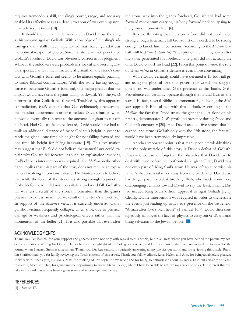requires tremendous skill, the sling's power, range, and accuracy enabled its effectiveness as a deadly weapon of war even up until relatively recent times [10].

It should then remain little wonder why David chose the sling as his weapon against Goliath. With knowledge of the sling's advantages and a skillful technique, David must have figured it was the optimal weapon of choice. Since the stone, in fact, penetrated Goliath's forehead, David was obviously correct in his judgment. While all the onlookers were probably in shock after observing David's spectacular feat, the immediate aftermath of the stone's contact with Goliath's forehead seems to be almost equally puzzling to some Biblical commentators. With the stone having enough force to penetrate Goliath's forehead, one might predict that the impact would have sent the giant falling backward. Yet, the *pasuk*  informs us that Goliath fell forward. Troubled by this apparent contradiction, *Rashi* explains that G-d deliberately orchestrated this peculiar occurrence in order to reduce David's burden when he would eventually run over to the unconscious giant to cut off his head. Had Goliath fallen backward, David would have had to walk an additional distance of twice Goliath's height in order to reach the giant - one time his height for not falling forward and one time his height for falling backward [19]. This explanation may suggest that *Rashi* did not believe that natural laws could explain why Goliath fell forward. As such, an explanation involving G-d's obvious intervention was required. The *Malbim* on the other hand implies that this part of the story does not require an explanation involving an obvious miracle. The *Malbim* seems to believe that while the force of the stone was strong enough to puncture Goliath's forehead it did not necessitate a backward fall. Goliath's fall was less a result of the stone's momentum than the giant's physical weakness, an immediate result of the stone's impact [20]. In support of the *Malbim*'s view, it is currently understood that gunshot victims frequently collapse, when shot, due to physical damage or weakness and psychological effects rather than the momentum of the bullet [21]. It is also possible that even after

#### Acknowledgments

Thank you, Dr. Babich, for your support and generous time not only with regard to this article, but in all areas where you have helped me pursue my academic aspirations. Writing for Derech Hateva has been a highlight of my college experience, and I am so thankful that you encouraged me to write for the journal when I started Stern as a freshman. Thank you, Dr. Lea Santos, for patiently answering all my physics questions and for reviewing this article. Rabbi Ian Shaffer, thank you for kindly reviewing the Torah content of this article. Thank you, fellow editors, Rose, Helen, and Ann, for being an absolute pleasure to work with. Thank you, my *chatan*, Max, for thinking of this topic for my article and for being so enthusiastic about my work. Last, but certainly not least, thank you, Mom and Dad, for giving me the opportunity to attend Stern College, where I have been able to achieve my academic goals. The interest that you take in my work has always been a great source of encouragement for me.

#### **REFERENCES**

[1] 1 Samuel 17.

the stone sank into the giant's forehead, Goliath still had some forward momentum carrying his body forward until collapsing to the ground moments later [6].

It is worth noting that the stone's force did not need to be strong enough to actually kill Goliath. It only needed to be strong enough to knock him unconscious. According to the *Malbim* Goliath still had "*ruach chaim bo*," "the spirit of life in him," even after the stone penetrated his forehead. The giant did not actually die until David cut off his head [22]. From this point of view, the role of *derech hateva* in Goliath's demise is even more convincing.

While David certainly could have defeated a 13-foot tall giant using the physical laws that govern our world, the suggestion in no way undermines G-d's presence at this battle. G-d's Providence can certainly operate through the natural laws of the world. In fact, several Biblical commentators, including the *Malbim*, approach Biblical text with this outlook. According to the *Malbim*, the fact that David struck the giant at all, let alone on his first try, demonstrates G-d's profound presence during David and Goliath's encounter [20]. Had David used all five stones that he carried, and struck Goliath only with the fifth stone, the feat still would have been tremendously impressive.

Another important point is that many people probably think that the only miracle of this story is David's defeat of Goliath. However, we cannot forget all the obstacles that David had to deal with even before he confronted the giant. First, David was not even part of King Saul's army. He was left to supervise his father's sheep several miles away from the battlefield. David also had to get past his oldest brother, Eliab, who made some very discouraging remarks toward David to say the least. Finally, David needed King Saul's official approval to fight Goliath [1, 5]. Clearly, Divine intervention was required in order to orchestrate the events just leading up to David's presence on the battlefield. "A man after G-d's own heart" (1 Samuel 16:7), David then courageously employed the laws of physics to carry out G-d's will and bring salvation to the Jewish people.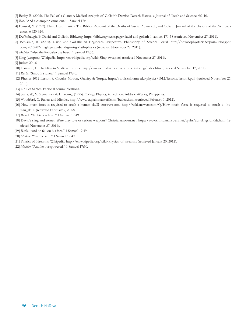- [2] Berley, R. (2005). The Fall of a Giant: A Medical Analysis of Goliath's Demise. Derech Hateva, a Journal of Torah and Science. 9:9-10.
- [3] *Rav*. "And a champion came out." 1 Samuel 17:4.
- [4] Feinsod, M. (1997). Three Head Injuries: The Biblical Account of the Deaths of Sisera, Abimelech, and Goliath. Journal of the History of the Neurosciences. 6:320-324.
- [5] Deffinbaugh, B. David and Goliath. Bible.org. http://bible.org/seriespage/david-and-goliath-1-samuel-171-58 (retrieved November 27, 2011).
- [6] Benjamin, R. (2005). David and Goliath: an Engineer's Perspective. Philosophy of Science Portal. http://philosophyofscienceportal.blogspot. com/2010/02/mighty-david-and-giant-goliath-physics (retrieved November 27, 2011).
- [7] *Malbim*. "Also the lion, also the bear." 1 Samuel 17:36.
- [8] Sling (weapon). Wikipedia. http://en.wikipedia.org/wiki/Sling\_(weapon) (retrieved November 27, 2011).
- [9] Judges 20:16.
- [10] Harrison, C. The Sling in Medieval Europe. http://www.chrisharrison.net/projects/sling/index.html (retrieved November 12, 2011).
- [11] *Rashi*. "Smooth stones." 1 Samuel 17:40.
- [12] Physics 1012 Lesson 8, Circular Motion, Gravity, & Torque. https://tools.crk.umn.edu/physics/1012/lessons/lesson8.pdf (retrieved November 27, 2011).
- [13] Dr. Lea Santos. Personal communications.
- [14] Sears, W., M. Zemansky, & H. Young. (1975). College Physics, 4th edition. Addison-Wesley, Philippines.
- [15] Woodford, C. Bullets and Missiles. http://www.explainthatstuff.com/bullets.html (retrieved February 1, 2012).
- [16] How much force is required to crush a human skull? Answers.com. http://wiki.answers.com/Q/How\_much\_force\_is\_required\_to\_crush\_a \_human\_skull. (retrieved February 7, 2012).
- [17] *Radak*. "To his forehead." 1 Samuel 17:49.
- [18] David's sling and stones: Were they toys or serious weapons? Christiananswers.net. http://www.christiananswers.net/q-abr/abr-slingsforkids.html (retrieved November 27, 2011).
- [19] *Rashi*. "And he fell on his face." 1 Samuel 17:49.
- [20] *Malbim*. "And he sent." 1 Samuel 17:49.
- [21] Physics of Firearms. Wikipedia. http://en.wikipedia.org/wiki/Physics\_of\_firearms (retrieved January 20, 2012).
- [22] *Malbim*. "And he overpowered." 1 Samuel 17:50.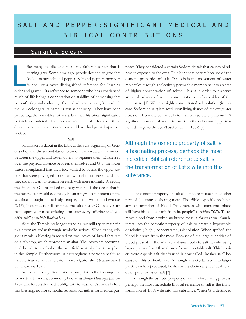# SALT AND PEPPER: SIGNIFICANT MEDICAL AND BIBLICAL CONTRIBUTIONS

## Samantha Selesny

ike many middle-aged men, my father has hair that is turning gray. Some time ago, people decided to give that look a name: salt and pepper. Salt and pepper, however, is not just a more distinguished reference for "turning older and grayer." Its reference to someone who has experienced much of life brings a connotation of stability, of something that is comforting and enduring. The real salt and pepper, from which the hair color gets its name, is just as enduring. They have been paired together on tables for years, but their historical significance is rarely considered. The medical and biblical effects of these dinner condiments are numerous and have had great impact on society. l<br>L<br>L<br>L

#### Salt

Salt makes its debut in the Bible at the very beginning of Genesis (1:6). On the second day of creation G-d created a firmament between the upper and lower waters to separate them. Distressed over the physical distance between themselves and G-d, the lower waters complained that they, too, wanted to be like the upper waters that were privileged to remain with Him in heaven and that they did not want to remain on earth with mere mortals. To rectify the situation, G-d promised the salty waters of the ocean that in the future, salt would eventually be an integral component of the sacrifices brought in the Holy Temple, as it is written in Leviticus (2:13), "You may not discontinue the salt of your G-d's covenant from upon your meal-offering - on your every offering shall you offer salt" (*Bereishis Rabbah* 5:4).

With the Temple no longer standing, we still try to maintain this covenant today through symbolic actions. When eating religious meals, a blessing is recited on two loaves of bread that rest on a tabletop, which represents an altar. The loaves are accompanied by salt to symbolize the sacrificial worship that took place in the Temple. Furthermore, salt strengthens a person's health so that he may serve his Creator more vigorously (*Shulchan Aruch Orach Chayim* 167:5).

Salt becomes significant once again prior to the blessing that we recite after meals, commonly known as *Birkat Hamazon* (*Eruvin* 17b). The Rabbis deemed it obligatory to wash one's hands before this blessing, not for symbolic reasons, but rather for medical purposes. They considered a certain Sodomitic salt that causes blindness if exposed to the eyes. This blindness occurs because of the osmotic properties of salt. Osmosis is the movement of water molecules through a selectively permeable membrane into an area of higher concentration of solute. This is in order to preserve an equal balance of solute concentrations on both sides of the membrane [1]. When a highly concentrated salt solution (in this case, Sodomitic salt) is placed upon living tissues of the eye, water flows out from the ocular cells to maintain solute equilibrium. A significant amount of water is lost from the cells causing permanent damage to the eye (Tosefet Chulin 105a) [2].

Although the osmotic property of salt is a fascinating process, perhaps the most incredible Biblical reference to salt is the transformation of Lot's wife into this substance.

The osmotic property of salt also manifests itself in another part of Judaism: koshering meat. The Bible explicitly prohibits any consumption of blood: "Any person who consumes blood will have his soul cut off from its people" (*Leviticus* 7:27). To remove blood from newly slaughtered meat, a *shochet* (ritual slaughterer) uses the osmotic property of salt to create a hypertonic, or relatively highly concentrated, salt solution. When applied, the blood is drawn from the meat. Because of the large quantities of blood present in the animal, a *shochet* needs to salt heavily, using larger grains of salt than those of common table salt. This heavier, more capable salt that is used is now called "kosher salt" because of this particular use. Although it is crystallized into larger particles when processed, kosher salt is chemically identical to all other pure forms of salt [3].

Although the osmotic property of salt is a fascinating process, perhaps the most incredible Biblical reference to salt is the transformation of Lot's wife into this substance. When G-d destroyed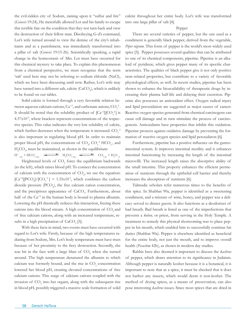the evil-ridden city of Sodom, raining upon it "sulfur and fire" (*Genesis* 19:24), He mercifully allowed Lot and his family to escape this terrible fate on the condition that they not turn back and view the destruction of their fellow man. Disobeying G-d's command, Lot's wife turned around to view the demise of the city's inhabitants and as a punishment, was immediately transformed into a pillar of salt (*Genesis* 19:15-26). Scientifically speaking, a rapid change in the homeostasis of Mrs. Lot must have occurred for this chemical mystery to take place. To explain this phenomenon from a chemical perspective, we must recognize that the term 'salt' used here may not be referring to sodium chloride (NaCl), which we have been discussing until now. Rather, Lot's wife may have turned into a different salt, calcite (CaCO<sub>3</sub>), which is unlikely to be found on our tables.

Solid calcite is formed through a very favorable relation between aqueous calcium cations,  $Ca^{+2}$ , and carbonate anions,  $CO_3^2$ . It should be noted that the solubility product of  $\left[\text{Ca}^{+2}\right]\left[\text{CO}_3^{-2}\right]$  is  $4.57x10<sup>-9</sup>$ , where brackets represent concentrations of the respective species. This value indicates the very low solubility of calcite, which further decreases when the temperature is increased.  $\mathrm{CO}_3^{-2}$ is also important in regulating blood pH. In order to maintain proper blood pH, the concentrations of  $\text{CO}_2$ ,  $\text{CO}_3^{-2}$ , HCO<sub>3</sub>, and  $H_2CO_3$ , must be maintained, as shown in the equilibrium:

 $H^*_{(aq)} + HCO_{3}(aq) \longrightarrow H_2CO_{3}(aq) \longrightarrow CO_{2(q)} + H_2O_{0}$ Heightened levels of  $\mathrm{CO}_2$  force the equilibrium backwards (to the left), which raises blood pH. To connect the concentration of calcium with the concentration of  $CO<sub>2</sub>$ , we use the equation:  $\left[\text{Ca}^{+2}\right]\left[\text{PO}_2\right]/\left[\text{CO}_3^{-2}\right] = 1.55 \times 10^{-5}$ , which combines the carbon dioxide pressure (PCO<sub>2</sub>), the free calcium cation concentration, and the precipitous appearance of CaCO<sub>3</sub>. Furthermore, about half of the  $Ca^{+2}$  in the human body is bound to plasma albumin. Lowering the pH drastically reduces this interaction, freeing these cations into the blood stream. A high concentration of  $CO<sub>2</sub>$  and of free calcium cations, along with an increased temperature, results in a high precipitation of  $CaCO<sub>3</sub>$  [5].

With these facts in mind, two events must have occurred with regard to Lot's wife. Firstly, because of the high temperatures radiating from Sodom, Mrs. Lot's body temperature must have risen because of her proximity to the fiery destruction. Secondly, she was hit in the face with a large blast of  $\mathrm{CO}_2$  when she turned around. The high temperature denatured the albumin to which calcium was formerly bound, and the rise in  $\mathrm{CO}_2$  concentration lowered her blood pH, creating elevated concentrations of free calcium cations. This surge of calcium cations coupled with the invasion of  $\mathrm{CO}_2$  into her organs, along with the subsequent rise in blood pH, possibly triggered a massive scale formation of solid

calcite throughout her entire body. Lot's wife was transformed into one large pillar of salt [4].

#### Pepper

There are several varieties of pepper, but the one used as a condiment is generally black pepper, derived from the vegetable, *Piper nigrum*. This form of pepper is the world's most widely used spice [5]. Pepper possesses several qualities that can be attributed to one of its chemical components, piperine. Piperine is an alkaloid of pyridiene, which gives pepper many of its specific characteristics. The qualities of black pepper give it not only positive taste-related properties, but contribute to a variety of favorable physiological effects, as well. In recent studies, piperine has been shown to enhance the bioavailability of therapeutic drugs by increasing their plasma half-life and delaying their excretion. Piperine also possesses an antioxidant effect. Oxygen radical injury and lipid peroxidation are suggested as major causes of cancer. Reactive oxygen species generated from chemical carcinogens can cause cell damage and in turn stimulate the process of carcinogenesis. Antioxidants have properties that inhibit this oxidation. Piperine protects against oxidative damage by preventing the formation of reactive oxygen species and lipid peroxidaton [6].

Furthermore, piperine has a positive influence on the gastrointestinal system. It improves intestinal motility and it enhances intestinal functioning by increasing the length of the intestinal microvilli. The increased length raises the absorptive ability of the small intestine. This property enhances the efficient permeation of nutrients through the epithelial cell barrier and thereby increases the absorption of nutrients [6].

Talmudic scholars refer numerous times to the benefits of this spice. In Shabbat 90a, pepper is identified as a sweetening condiment, and a mixture of wine, honey, and pepper was a delicacy served to dinner guests. It also functions as a deodorizer of bad breath. Bad breath is listed as one of the imperfections that prevents a *kohen,* or priest, from serving in the Holy Temple. A treatment to remedy this physical shortcoming was to place pepper in his mouth, which enabled him to successfully continue his duties (Shabbat 90a). Pepper is elsewhere identified as beneficial for the entire body, not just the mouth, and to improve overall health (*Pesachim* 42b), as shown in modern day studies.

Rabbis have also deemed it important to discuss the *kashrus* of pepper, which draws attention to its significance in Judaism. Although pepper is naturally kosher because it is a botanical, it is important to note that as a spice, it must be checked that it does not harbor any insects, which would deem it non-kosher. The method of drying spices, as a means of preservation, can also pose interesting *kashrus* issues. Since most spices that are dried in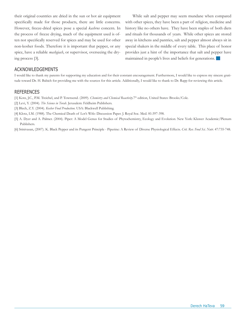their original countries are dried in the sun or hot air equipment specifically made for those products, there are little concerns. However, freeze-dried spices pose a special *kashrus* concern. In the process of freeze drying, much of the equipment used is often not specifically reserved for spices and may be used for other non-kosher foods. Therefore it is important that pepper, or any spice, have a reliable *mashgiach*, or supervisor, overseeing the drying process [3].

While salt and pepper may seem mundane when compared with other spices, they have been a part of religion, medicine and history like no others have. They have been staples of both diets and rituals for thousands of years. While other spices are stored away in kitchens and pantries, salt and pepper almost always sit in special shakers in the middle of every table. This place of honor provides just a hint of the importance that salt and pepper have maintained in people's lives and beliefs for generations.

#### Acknowledgements

I would like to thank my parents for supporting my education and for their constant encouragement. Furthermore, I would like to express my sincere gratitude toward Dr. H. Babich for providing me with the sources for this article. Additionally, I would like to thank to Dr. Rapp for reviewing this article.

- [1] Kotz, J.C., P.M. Treichel, and P. Townsend. (2009). *Chemistry and Chemical Reactivity*.7th edition, United States: Brooks/Cole.
- [2] Levi, Y. (2004). *The Science in Torah*. Jerusalem: Feldheim Publishers.
- [3] Blech, Z.Y. (2004). *Kosher Food Production*. USA: Blackwell Publishing.
- [4] Klotz, I.M. (1988). The Chemical Death of Lot's Wife: Discussion Paper. J. Royal Soc. Med. 81:397-398.
- [5] A. Dyer and A. Palmer. (2004). Piper: A Model Genus for Studies of Phytochemistry, Ecology and Evolution. New York: Kluwer Academic/Plenum Publishers.
- [6] Srinivasan, (2007). K. Black Pepper and its Pungent Principle Piperine: A Review of Diverse Physiological Effects. *Crit. Rev. Food Sci. Nutr.* 47:735-748.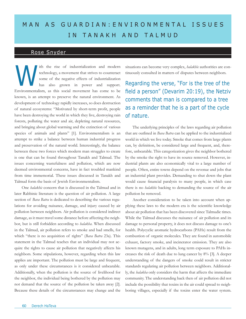# MAN AS GUARDIAN: ENVIRONMENTAL ISSUES in ta n ak h a nd ta l m u d

### Rose Snyder

ith the rise of industrialization and modern technology, a movement that strives to counteract some of the negative effects of industrialization has also grown in power and support. Environmentalism, as this social movement has come to be known, is an attempt to preserve the natural environment. As development of technology rapidly increases, so does destruction of natural ecosystems: "Motivated by short-term profit, people have been destroying the world in which they live, destroying rain forests, polluting the water and air, depleting natural resources, and bringing about global warming and the extinction of various species of animals and plants" [1]. Environmentalism is an attempt to strike a balance between human industrial progress and preservation of the natural world. Interestingly, the balance between these two forces which modern man struggles to create is one that can be found throughout Tanakh and Talmud. The issues concerning wastefulness and pollution, which are now deemed environmental concerns, have in fact troubled mankind from time immemorial. These issues discussed in Tanakh and Talmud form the basis of Jewish Environmentalism.

One *halakhic* concern that is discussed in the Talmud and in later Rabbinic literature is the question of air pollution. A large section of *Bava Batra* is dedicated to describing the various regulations for avoiding nuisance, damage, and injury caused by air pollution between neighbors. Air pollution is considered indirect damage, as it must travel some distance before affecting the neighbor, but is still forbidden according to *halakha*. When discussed in the Talmud, air pollution refers to smoke and bad smells, for which "there is no acquisition of rights" (*Bava Batra* 23a). This statement in the Talmud teaches that an individual may not acquire the rights to cause air pollution that negatively affects his neighbors. Some stipulations, however, regarding when this law applies are important. The pollution must be large and frequent, as only under these circumstances is it considered unbearable. Additionally, when the pollution is the source of livelihood for the neighbor, the individual being bothered by the pollution may not demand that the source of the pollution be taken away [2]. Because these details of the circumstances may change and the

situations can become very complex, *halakhic* authorities are continuously consulted in matters of disputes between neighbors.

Regarding the verse, "For is the tree of the field a person" (Devarim 20:19), the Netziv comments that man is compared to a tree as a reminder that he is a part of the cycle of nature.

The underlying principles of the laws regarding air pollution that are outlined in *Bava Batra* can be applied to the industrialized world in which we live today. Smoke that comes from large plants can, by definition, be considered large and frequent, and, therefore, unbearable. This categorization gives the neighbor bothered by the smoke the right to have its source removed. However, industrial plants are also economically vital to a large number of people. Often, entire towns depend on the revenue and jobs that an industrial plant provides. Demanding to shut down the plant would cause financial paralysis to many people, in which case there is no *halakhic* backing to demanding the source of the air pollution be removed.

Another consideration to be taken into account when applying these laws to the modern era is the scientific knowledge about air pollution that has been discovered since Talmudic times. While the Talmud discusses the nuisance of air pollution and its damage to personal property, it does not discuss damage to one's health. Polycyclic aromatic hydrocarbons (PAHs) result from the combustion of organic molecules. They are found in automobile exhaust, factory smoke, and incinerator emission. They are also known mutagens, and in adults, long term exposure to PAHs increases the risk of death due to lung cancer by 8% [3]. A deeper understanding of the dangers of smoke could result in stricter standards regulating air pollution between neighbors. Additionally, the *halakha* only considers the harm that affects the immediate community. The understanding back then of air pollution did not include the possibility that toxins in the air could spread to neighboring villages, especially if the toxins enter the water system.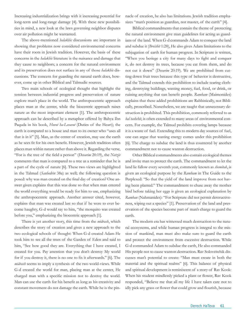Increasing industrialization brings with it increasing potential for long-term and long-range damage [4]. With these new possibilities in mind, a new look at the laws governing neighbor disputes over air pollution might be warranted.

The above-mentioned *halakhic* discussions are important in showing that problems now considered environmental concerns have their roots in Jewish tradition. However, the basis of these concerns in the *halakhic* literature is the nuisance and damage that they cause to neighbors; a concern for the natural environment and its preservation does not surface in any of those *halakhic* discussions. The concern for guarding the natural earth does, however, come up in other Biblical and Talmudic sources.

Two main schools of ecological thought that highlight the tension between industrial progress and preservation of nature explore man's place in the world. The anthropocentric approach places man at the center, while the biocentric approach raises nature as the most important element [1]. The anthropocentric approach can be described by a metaphor offered by Bahya Ibn Paquda in his book, *Hovot ha-Levavot* (Duties of the Heart); the earth is compared to a house and man to its owner who "uses all that is in it" [5]. Man, as the center of creation, may use the earth as he sees fit for his own benefit. However, Jewish tradition often places man within nature rather than above it. Regarding the verse, "For is the tree of the field a person" (*Devarim* 20:19), the *Netziv* comments that man is compared to a tree as a reminder that he is a part of the cycle of nature [6]. These two views are highlighted in the Talmud (*Sanhedrin* 38a) as well; the following question is posed: why was man created on the final day of creation? One answer given explains that this was done so that when man entered the world everything would be ready for him to use, emphasizing the anthropocentric approach. Another answer cited, however, explains that man was created last so that if he were to ever become haughty, G-d would say to him, "the mosquito was created before you," emphasizing the biocentric approach [1].

There is yet another story, this time from the *midrash*, which describes the story of creation and gives a new approach to the two ecological schools of thought: When G-d created Adam He took him to see all the trees of the Garden of Eden and said to him, "See how good they are. Everything that I have created, I created for you. Pay attention that you don't destroy My world for if you destroy it, there is no one to fix it afterwards." [6]. The *midrash* seems to imply a synthesis of the two world-views. While G-d created the world for man, placing man at the center, He charged man with a specific mission not to destroy the world. Man can use the earth for his benefit as long as his creativity and constant movement do not damage the earth. While he is the pinnacle of creation, he also has limitations. Jewish tradition emphasizes "man's position as guardian, not master, of the earth" [4].

Biblical commandments that contain the theme of protecting the natural environment give man guidelines for acting as guardians of the land. When G-d commands Adam to conquer the land and subdue it (*Breishit* 1:28), He also gives Adam limitations to the subjugation of earth for human progress. In Scripture is written, "When you besiege a city for many days to fight and conquer it, do not destroy its trees, because you eat from them, and do not cut it down" (*Devarim* 20:19). We are prohibited from cutting down fruit trees because this type of behavior is destructive, and the Talmud extends this prohibition to include tearing clothing, destroying buildings, wasting money, fuel, food, or drink, or ruining anything that can benefit people. *Rambam* (Maimonides) explains that these added prohibitions are Rabbinically, not Biblically, proscribed. Nonetheless, we are taught that unnecessary destruction is prohibited. This prohibition, commonly referred to as *bal tashchit*, is often extended to many areas of environmental concern. For example, the Talmud prohibits covering lamps because it is a waste of fuel. Extending this to modern day sources of fuel, one can argue that wasting energy comes under this prohibition [6]. The charge to subdue the land is thus countered by another commandment not to cause wanton destruction.

Other Biblical commandments also contain ecological themes and invite man to protect the earth. The commandment to let the land lie fallow every seventh year, commonly known as *shemitah*, is given an ecological purpose by the *Rambam* in The Guide to the Perplexed: "So that the yield of the land improve from not having been planted." The commandment to chase away the mother bird before taking her eggs is given an ecological explanation by *Ramban* (Nahmanides): "For Scripture did not permit destructiveness, wiping out a species" [1]. Preservation of the land and preservation of the species become part of man's charge to guard the earth.

The modern era has witnessed much destruction to the natural ecosystems, and while human progress is integral to the mission of mankind, man must also make sure to guard the earth and protect the environment from excessive destruction. While G-d commanded Adam to subdue the earth, He also commanded His people not to cause wanton destruction. Rav Soloveitchik discusses man's potential to create: "Man must create in both the material and the spiritual realms" [6]. This balance of physical and spiritual development is reminiscent of a story of Rav Kook: When his student mindlessly picked a plant or flower, Rav Kook responded, "Believe me that all my life I have taken care not to idly pick any grass or flower that could grow and flourish, because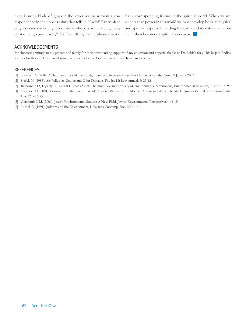there is not a blade of grass in the lower realms without a correspondence in the upper realms that tells it: 'Grow!' Every blade of grass says something, every stone whispers some secret, every creation sings some song" [1]. Everything in the physical world has a corresponding feature in the spiritual world. When we use our creative power in this world we must develop both its physical and spiritual aspects. Guarding the earth and its natural environment then becomes a spiritual endeavor.  $\Box$ 

### Acknowledgements

My sincerest gratitude to my parents and family for their never-ending support of my education and a special thanks to Dr. Babich for all his help in finding sources for this article and in allowing his students to develop their passion for Torah and science.

- [1] Shemesh, Y. (2002). "The Eco-Ethics of the Torah," Bar-Ilan University's Parashat Hashavuah Study Center, 9 January 2003.
- [2] Sichel, M. (1985). Air Pollution- Smoke and Odor Damage, The Jewish Law Annual, 5: 25-43.
- [3] Belpomme D., Irigaray P., Hardell L., *et al*. (2007). The multitude and diversity of environmental carcinogens, Environmental Research, 105: 414- 429.
- [4] Sheinson, O. (2001). Lessons from the Jewish Law of Property Rights for the Modern American Takings Debate, Columbia Journal of Environmental Law, 26: 483-530.
- [5] Gerstenfeld, M. (2001). Jewish Environmental Studies: A New Field, Jewish Environmental Perspectives, 1: 1-15.
- [6] Turkel, E. (1991). Judaism and the Environment, J. Halacha Contemp. Soc., 22: 44-61.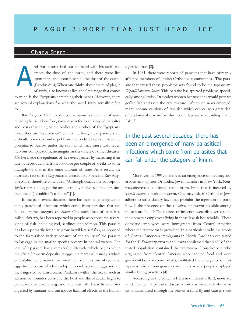## Chana Stern

nd Aaron stretched out his hand with his staff and smote the dust of the earth, and there were lice upon men, and upon beast; all the dust of the earth" (Exodus 8:14).When one thinks about the third plague of *kinim*, also known as lice, the first image that comes to mind is the Egyptians scratching their heads. However, there are several explanations for what the word *kinim* actually refers to.  $\epsilon$ A

Rav Avigdor Miller explained that *kinim* is the plural of *kina*, meaning louse. Therefore, *kinim* may refer to an array of parasites and pests that clung to the bodies and clothes of the Egyptians. Once they are "established" within the host, these parasites are difficult to remove and expel from the body. They even have the potential to burrow under the skin, which may cause rash, fever, nervous complications, meningitis, and a variety of other diseases. *Hashem* made the epidemic of lice even greater by increasing their rate of reproduction, from 5000 lice per couple of weeks to some multiple of that in the same amount of time. As a result, the mortality rate of the Egyptians increased to 70 percent. Rav Avigdor Miller therefore concluded, "Although usually the concept of *kinim* refers to lice, yet the term certainly includes all the parasites that attach ("establish") to hosts" [1].

In the past several decades, there has been an emergence of many parasitical infections which come from parasites that can fall under the category of *kinim*. One such class of parasites, called *Anisakis*, has been reported in people who consume several kinds of fish including cod, sardines, and salmon. This parasite has been primarily found to grow in wild-raised fish, as opposed to the farm-raised variety, because of the ability of the parasite to lay eggs in the marine species present in natural waters. The *Anasakis* parasite has a remarkable lifecycle which begins when the *Anasakis* worm deposits its eggs in a mammal, usually a whale or dolphin. The marine mammal then excretes unembryonated eggs in the ocean which develop into embryonated eggs and are then ingested by crustaceans. Predators within the ocean such as salmon or flounder consume the host and the *Anisakis* begin to pierce into the visceral organs of the host fish. These fish are later ingested by humans and can induce harmful effects to the human

digestive tract [2].

In 1981, there were reports of parasites that have primarily affected members of Jewish Orthodox communities. The parasite that caused these problems was found to be the tapeworm, *Diphyllobothrium latum*. This parasite has spurred problems specifically among Jewish Orthodox women because they would prepare gefilte fish and taste the raw mixture. After such news emerged, many became cautious of raw fish which can cause a great deal of abdominal discomfort due to the tapeworms residing in the fish [3].

## In the past several decades, there has been an emergence of many parasitical infections which come from parasites that can fall under the catagory of kinim.

Moreover, in 1991, there was an emergence of neurocysticercosis among four Orthodox Jewish families in New York. Neurocysticercosis is infected tissue in the brain that is induced by *Taenia solium*, a pork tapeworm. One may ask, if Orthodox Jews adhere to strict dietary laws that prohibit the ingestion of pork, how is the presence of the *T. solium* tapeworm possible among these households? The sources of infection were discovered to be the domestic employees living in these Jewish households. These domestic employees were immigrants from Central America where the tapeworm is prevalent. In a particular study, the stools of Central American immigrants in North Carolina were tested for the *T. Solium* tapeworm and it was confirmed that 4.4% of the tested population contained the tapeworm. Housekeepers who originated from Central America who handled food and were given child care responsibilities, facilitated the emergence of this tapeworm in a homogenous community where people displayed similar hiring practices [4].

According to the Soncino Edition of Exodus 8:12, *kinim* are sand flies [5]. A parasitic disease known as visceral leishmaniasis is transmitted through the bite of a sand fly and causes sores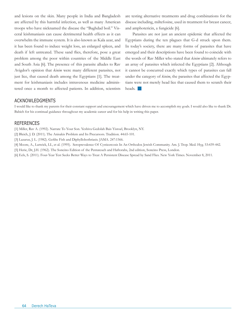and lesions on the skin. Many people in India and Bangladesh are affected by this harmful infection, as well as many American troops who have nicknamed the disease the "Baghdad boil." Visceral leishmaniasis can cause detrimental health effects as it can overwhelm the immune system. It is also known as Kala azar, and it has been found to induce weight loss, an enlarged spleen, and death if left untreated. These sand flies, therefore, pose a great problem among the poor within countries of the Middle East and South Asia [6]. The presence of this parasite alludes to Rav Avigdor's opinion that *kinim* were many different parasites, not just lice, that caused death among the Egyptians [1]. The treatment for leishmaniasis includes intravenous medicine administered once a month to affected patients. In addition, scientists are testing alternative treatments and drug combinations for the disease including, miltefosine, used in treatment for breast cancer, and amphotericin, a fungicide [6].

Parasites are not just an ancient epidemic that affected the Egyptians during the ten plagues that G-d struck upon them. In today's society, there are many forms of parasites that have emerged and their descriptions have been found to coincide with the words of Rav Miller who stated that *kinim* ultimately refers to an array of parasites which infected the Egyptians [2]. Although it cannot be concurred exactly which types of parasites can fall under the category of *kinim*, the parasites that affected the Egyptians were not merely head lice that caused them to scratch their heads.

#### **ACKNOWLEDGMENTS**

I would like to thank my parents for their constant support and encouragement which have driven me to accomplish my goals. I would also like to thank Dr. Babich for his continual guidance throughout my academic career and for his help in writing this paper.

#### **REFERENCES**

[1] Miller, Rav A. (1992). Narrate To Your Son. Yeshiva Gedolah Bais Yisroel, Brooklyn, NY.

[2] Bleich, J. D. (2011). The Anisakis Problem and Its Precursors. Tradition. 44:65-101.

[3] Lazarus, J. L. (1982). Gefilte Fish and Diphyllobothriasis. JAMA. 247:1566.

[4] Moore, A., Lutwick, LI., et al. (1995). Seroprevalence Of Cysticercosis In An Orthodox Jewish Community. Am. J. Trop. Med. Hyg. 53:439-442.

[5] Herie, Dr, J.H. (1962). The Soncino Edition of the Pentateuch and Haftorahs, 2nd edition, Soncino Press, London.

[6] Eels, S. (2011). Four-Year Test Seeks Better Ways to Treat A Persistent Disease Spread by Sand Flies. New York Times. November 8, 2011.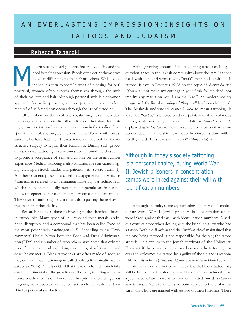# AN EVERLASTING IMPRESSION: INSIGHTS ON tatt o o s a nd j u d a i sm

### Rebecca Tabaroki

odern society heavily emphasizes individuality and the need for self-expression. People often define themselves by what differentiates them from others. While some individuals turn to specific types of clothing for selfportrayal, women often express themselves through the style of their makeup and hair. Although personal style is a common approach for self-expression, a more permanent and modern method of self-rendition occurs through the art of tattooing. M

Often, when one thinks of tattoos, she imagines an individual with exaggerated and creative illustrations on her skin. Interestingly, however, tattoos have become common in the medical field, specifically in plastic surgery and cosmetics. Women with breast cancer who have had their breasts removed may opt for reconstructive surgery to regain their femininity. During such procedures, medical tattooing is sometimes done around the chest area to promote acceptance of self and closure on the breast cancer experience. Medical tattooing is also common for scar camouflaging, cleft lips, stretch marks, and patients with severe burns [1]. Another cosmetic procedure called micropigmentation, which is "sometimes referred to as permanent make-up, is a technique in which minute, metabolically inert pigment granules are implanted below the epidermis for cosmetic or corrective enhancement" [2]. These uses of tattooing allow individuals to portray themselves in the image that they desire.

Research has been done to investigate the chemicals found in tattoo inks. Many types of ink revealed toxic metals, endocrine disruptors, and a compound that has been called "one of the most potent skin carcinogens" [3]. According to the Environmental Health News, both the Food and Drug Administration (FDA) and a number of researchers have noted that colored inks often contain lead, cadmium, chromium, nickel, titanium and other heavy metals. Black tattoo inks are often made of soot, so they contain known carcinogens called polycyclic aromatic hydrocarbons (PAHs) [3]. It is evident that the toxins found in such inks can be detrimental to the genetics of the skin, resulting in melanoma or other forms of skin cancer. In spite of these dangerous reagents, many people continue to insert such chemicals into their skin for personal satisfaction.

With a growing amount of people getting tattoos each day, a question arises in the Jewish community about the ramifications for Jewish men and women who "mark" their bodies with such tattoos. It says in Leviticus 19:28 on the topic of *ketovet ka'aka*, "You shall not make any cuttings in your flesh for the dead, nor imprint any marks on you; I am the L-rd." As modern society progressed, the literal meaning of "imprint" has been challenged. The Mishnah understood *ketovet ka'aka* to mean tattooing. It specified "*kochal,*" a blue-colored eye paint, and other colors, as the pigments used by gentiles for their tattoos (*Makot* 3:6). *Rashi* explained *ketovet ka'aka* to mean "a scratch or incision that is embedded deeply [in the skin], can never be erased, is done with a needle, and darkens [the skin] forever" (*Makot* 21a) [4].

Although in today's society tattooing is a personal choice, during World War II, Jewish prisoners in concentration camps were inked against their will with identification numbers.

Although in today's society tattooing is a personal choice, during World War II, Jewish prisoners in concentration camps were inked against their will with identification numbers. A serious conflict arose when dealing with the burial of a Jew who had a tattoo. Both the *Rambam* and the *Shulchan Aruch* maintained that the one being tattooed is not responsible for the sin; the tattoo artist is. This applies to the Jewish survivors of the Holocaust. However, if the person being tattooed assists in the tattooing process and welcomes the tattoo, he is guilty of the sin and is responsible for his actions (*Rambam; Shulchan Aruch Yoreh Deah* 180:2).

While tattoos are not permitted, a Jew that has a tattoo may still be buried in a Jewish cemetery. The only Jews excluded from a Jewish burial are those who have committed suicide (*Shulchan Aruch, Yoreh Deah* 345:2). This account applies to the Holocaust survivors who were marked with tattoos on their forearms. These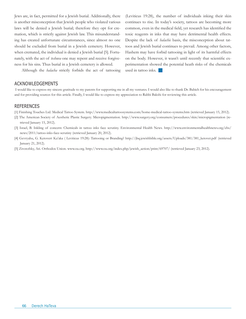Jews are, in fact, permitted for a Jewish burial. Additionally, there is another misconception that Jewish people who violated various laws will be denied a Jewish burial; therefore they opt for cremation, which is strictly against Jewish law. This misunderstanding has created unfortunate circumstances, since almost no one should be excluded from burial in a Jewish cemetery. However, when cremated, the individual is denied a Jewish burial [5]. Fortunately, with the act of *teshuva* one may repent and receive forgiveness for his sins. Thus burial in a Jewish cemetery is allowed.

Although the *halacha* strictly forbids the act of tattooing

Acknowledgements

(Leviticus 19:28), the number of individuals inking their skin continues to rise. In today's society, tattoos are becoming more common, even in the medical field, yet research has identified the toxic reagents in inks that may have detrimental health effects. Despite the lack of *halachic* basis, the misconception about tattoos and Jewish burial continues to prevail. Among other factors, Hashem may have forbid tattooing in light of its harmful effects on the body. However, it wasn't until recently that scientific experimentation showed the potential heath risks of the chemicals used in tattoo inks.

 I would like to express my sincere gratitude to my parents for supporting me in all my ventures. I would also like to thank Dr. Babich for his encouragement and for providing sources for this article. Finally, I would like to express my appreciation to Rabbi Bakshi for reviewing this article.

- [1] Finishing Touches Ltd. Medical Tattoo System. http://www.medicaltattoosystems.com/home-medical-tattoo-systems.htm (retrieved January 15, 2012).
- [2] The American Society of Aesthetic Plastic Surgery. Micropigmentation. http://www.surgery.org/consumers/procedures/skin/micropigmentation (retrieved January 15, 2012).
- [3] Israel, B. Inkling of concern: Chemicals in tattoo inks face scrutiny. Environmental Health News. http://www.environmentalhealthnews.org/ehs/ news/2011/tattoo-inks-face-scrutiny (retrieved January 20, 2012).
- [4] Gevryahu, G. Ketovert Ka'aka ( Leviticus 19:28): Tattooing or Branding? http://jbq.jewishbible.org/assets/Uploads/381/381\_ketovet.pdf (retrieved January 21, 2012).
- [5] Zivotofsky, Ari. Orthodox Union. www.ou.org. http://www.ou.org/index.php/jewish\_action/print/69707/ (retrieved January 23, 2012).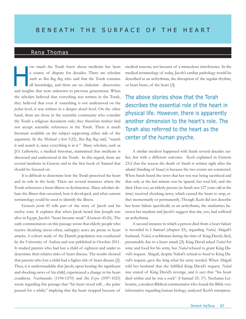### Rena Thomas

ow much the Torah knew about medicine has been a source of dispute for decades. There are scholars such as *Ben Bag Bag* who said that the Torah contains all knowledge, and there are no *chidushim -* discoveries and insights that were unknown to previous generations. When the scholars believed that everything was written in the Torah, they believed that even if something is not understood on the *peshat* level, it was written in a deeper *derash* level. On the other hand, there are those in the scientific community who consider the Torah a religious document only; they therefore neither find nor accept scientific references in the Torah. There is much literature available on the subject supporting either side of the argument. In the *Mishnah* (*Avot* 5:22), *Ben Bag Bag* said, "search it and search it, since everything is in it." Many scholars, such as J.O. Leibowitz, a medical historian, maintained that medicine is discussed and understood in the Torah. In this regard, there are several incidents in Genesis and in the first book of Samuel that should be focused on.  $\begin{array}{c} \begin{array}{c} \begin{array}{c} \begin{array}{c} \end{array} \\ \begin{array}{c} \end{array} \\ \begin{array}{c} \end{array} \end{array} \end{array}$ 

It is difficult to determine how the Torah perceived the heart and its role in the body. There are several instances where the Torah references a heart illness or dysfunction. Many scholars debate the illness that occurred, how it developed, and what current terminology could be used to identify the illness.

Genesis *perek* 45 tells part of the story of Jacob and his twelve sons. It explains that when Jacob heard that Joseph was alive in Egypt, Jacob's "heart became weak" (Genesis 45:26). The early commentators on this passage wrote that elderly people who receive shocking (most often, unhappy) news are prone to heart attacks. A cohort study of the Danish population was conducted by the University of Aarhus and was published in October 2011. It studied parents who had lost a child of eighteen and under to determine their relative risks of heart disease. The results showed that parents who lost a child had a higher risk of heart disease [2]. Thus, it is understandable that Jacob, upon hearing the significant and shocking news of his child, experienced a change in his heart condition. *Nachmanides* (1194-1270) and *Ibn Ezra* (1097-1023) wrote regarding this passage that "his heart stood still…the pulse paused for a while," implying that the heart stopped because of

medical reasons, not because of a miraculous interference. In the medical terminology of today, Jacob's cardiac pathology would be described as an arrhythmia, the disruption of the regular rhythm, or heart beats, of the heart [3].

The above stories show that the Torah describes the essential role of the heart in physical life. However, there is apparently another dimension to the heart's role. The Torah also referred to the heart as the center of the human psyche.

A similar incident happened with Sarah several decades earlier, but with a different outcome. *Rashi* explained in Genesis 23:2 that the reason the death of Sarah is written right after the *akedah* (binding of Isaac) is because the two events are connected. When Sarah heard the news that her son was being sacrificed and that only at the last minute was he spared, her soul left, and she died. Here too, an elderly person (as Sarah was 127 years old at the time) received shocking news, which caused the heart to stop, either momentarily or permanently. Though *Rashi* did not describe her heart failure specifically as an arrhythmia, the similarities between her incident and Jacob's suggest that she, too, had suffered an arrhythmia.

A second instance in which a person died from a heart failure is recorded in I Samuel (chapter 25), regarding *Nabal*, Abigail's husband. *Nabal*, a nobleman during the time of King David, died, presumably due to a heart attack [3]. King David asked *Nabal* for wine and food for his army, but *Nabal* refused to grant King David's request. Abigail, despite Nabal's refusal to heed to King David's request, gave the king what his army needed. When Abigail told her husband that she fulfilled King David's request, *Nabal* was scared of King David's revenge, and it says that "his heart died within and he was a rock" (I Samuel 25: 37). Nechama Leibowitz, a modern Biblical commentator who found the Bible very informative regarding human biology, analyzed *Rashi*'s interpreta-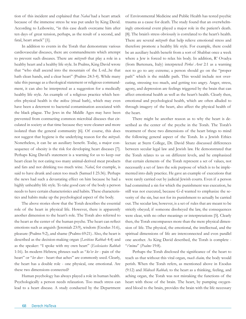tion of this incident and explained that *Nabal* had a heart attack because of the immense stress he was put under by King David. According to Leibowitz, "in this case death overcame him after ten days of great tension, perhaps, as the result of a second, and fatal, heart attack" [1].

In addition to events in the Torah that demonstrate various cardiovascular diseases, there are commandments which attempt to prevent such diseases. There are *mitzvoth* that play a role in a healthy heart and a healthy life style. In Psalms, King David wrote that "who shall ascend into the mountain of the L-rd...he that hath clean hands, and a clear heart" (Psalms 24:3-4). While many take this passage as a theological statement or religious commandment, it can also be interpreted as a suggestion for a medically healthy life style. An example of a religious practice which benefits physical health is the *mikva* (ritual bath), which may even have been a deterrent to bacterial contamination associated with the black plague. The Jews in the Middle Ages may have been prevented from contracting common microbial diseases that circulated in society at that time because they were cleaner and more isolated than the general community [6]. Of course, this does not suggest that hygiene is the underlying reason for the *mitzvah*. Nonetheless, it can be an auxiliary benefit. Today, a major consequence of obesity is the risk for developing heart diseases [7]. Perhaps King David's statement is a warning for us to keep our heart clean by not eating too many animal-derived meat products and fats and not drinking too much wine. *Nabal*, for example, is said to have drunk and eaten too much (Samuel I 25:36). Perhaps the news had such a devastating effect on him because he had a highly unhealthy life style. To take good care of the body a person needs to have certain characteristics and habits. These characteristics and habits make up the psychological aspect of the body.

The above stories show that the Torah describes the essential role of the heart in physical life. However, there is apparently another dimension to the heart's role. The Torah also referred to the heart as the center of the human psyche. The heart can reflect emotions such as anguish (Jeremiah 23:9), wisdom (Exodus 31:6), pleasure (Psalms 9:2), and shame (Psalms 69:21). Also, the heart is described as the decision-making organ (*Leviticus Rabbah* 4:4) and as the speaker: "I spoke with my own heart" (*Ecclesiastes Rabbah* 1:16). In modern Hebrew, phrases such as "*ke'ev lev* - pain of the heart" or "*lev doev* - heart that aches" are commonly used. Clearly, the heart has a double role - one physical, one emotional. Are these two dimensions connected?

Human psychology has always played a role in human health. Psychologically a person needs relaxation. Too much stress can lead to a heart disease. A study conducted by the Department of Environmental Medicine and Public Health has tested psychic trauma as a cause for death. The study found that an overwhelmingly emotional event played a major role in the patient's death. [8]. The brain's stress obviously is correlated to the heart's health. There are several *mitzvoth* that help relieve emotional stress and therefore promote a healthy life style. For example, there could be an auxiliary health benefit from a sort of Shabbat once a week where a Jew is forced to relax his body. In addition, R' Ovadya (from Bartenura, Italy) interpreted *Pirkei Avot* 2:1 as a warning not to go to any extreme; a person should go on the "proper path" which is the middle path. This would include not overeating, stressing too much, and getting too angry. Anger, stress, agony, and depression are feelings triggered by the brain that can affect emotional health as well as the heart's health. Clearly then, emotional and psychological health, which are often alluded to through imagery of the heart, also affect the physical health of the heart.

There might be another reason as to why the heart is described as the center of the psyche in the Torah. The Torah's treatment of these two dimensions of the heart brings to mind the following general aspect of the Torah. In a Jewish Ethics lecture at Stern College, Dr. David Shatz discussed differences between secular legal law and Jewish law. He demonstrated that the Torah relates to us on different levels, and he emphasized that certain elements of the Torah represent a set of values, not necessarily a set of laws the sole purpose of which is to be implemented into daily practice. He gave an example of executions that were rarely carried out by judicial Jewish courts. Even if a person had committed a sin for which the punishment was execution, he still was not executed, because G-d wanted to emphasize the severity of the sin, but not for its punishment to actually be carried out. The secular law, however, is a set of rules that are meant to be strictly obeyed; if someone disobeyed the law, the consequences were clear, with no other meanings or interpretations [5]. Clearly then, the Torah encompasses more than the mere physical dimension of life. The physical, the emotional, the intellectual, and the spiritual dimensions of life are interconnected and even parallel one another. As King David described, the Torah is complete - "*t'mima*" (*Psalms* 19:8).

Perhaps the Torah disclosed the significance of the heart to teach us that without this vital organ, *ruach chaim,* the body would perish. When the Torah refers, as mentioned above in Exodus (9:12) and *Midrash Rabbah,* to the heart as a thinking, feeling, and aching organ, the Torah was not mistaking the functions of the heart with those of the brain. The heart, by pumping oxygenated blood to the brain, provides the brain with the life necessary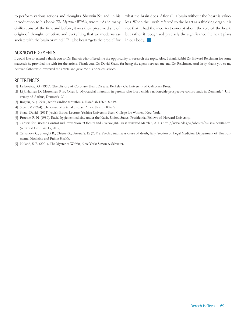to perform various actions and thoughts. Sherwin Nuland, in his introduction to his book *The Mysteries Within*, wrote, "As in many civilizations of the time and before, it was their presumed site of origin of thought, emotion, and everything that we moderns associate with the brain or mind" [9]. The heart "gets the credit" for what the brain does. After all, a brain without the heart is valueless. When the Torah referred to the heart as a thinking organ it is not that it had the incorrect concept about the role of the heart, but rather it recognized precisely the significance the heart plays in our body.  $\Box$ 

#### Acknowledgments

I would like to extend a thank you to Dr. Babich who offered me the opportunity to research the topic. Also, I thank Rabbi Dr. Edward Reichman for some materials he provided me with for the article. Thank you, Dr. David Shatz, for being the agent between me and Dr. Reichman. And lastly, thank you to my beloved father who reviewed the article and gave me his priceless advice.

- [1] Leibowitz, J.O. (1970). The History of Coronary Heart Disease. Berkeley, Ca: University of California Press.
- [2] Li J, Hansen D., Mortensen P. B., Olsen J. "Myocardial infarction in parents who lost a child: a nationwide prospective cohort study in Denmark." University of Aarhus, Denmark 2011.
- [3] Roguin, N. (1994). Jacob's cardiac arrhythmia. Harefuah 126:618-619.
- [4] Steier, M (1974). The cause of arterial disease. Amer. Heart J. 88:677.
- [5] Shatz, David. (2011) Jewish Ethics Lecture, Yeshiva University Stern College for Women, New York.
- [6] Proctor, R. N. (1989). Racial hygiene: medicine under the Nazis. United States: Presidential Fellows of Harvard University.
- [7] Centers for Disease Control and Prevention. "Obesity and Overweight." (last reviewed March 3, 2011) http://www.cdc.gov/obesity/causes/health.html (retrieved February 15, 2012).
- [8] Terranova C., Snenghi R., Thiene G., Ferrara S. D. (2011). Psychic trauma as cause of death, Italy: Section of Legal Medicine, Department of Environmental Medicine and Public Health.
- [9] Nuland, S. B. (2001). The Mysteries Within, New York: Simon & Schuster.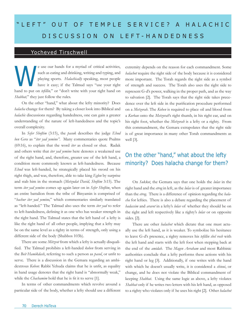# "LEFT" OUT OF TEMPLE SERVICE? A HALACHIC d i s c u ss ion on lef t - h a ndedne ss

## Yocheved Tirschwell

e use our hands for a myriad of critical activities, such as eating and drinking, writing and typing, and playing sports. *Halachically* speaking, most people have it easy; if the Talmud says "use your right hand to put on *tefillin,*" or "don't write with your right hand on *Shabbat,*" they just follow the rules.

On the other "hand," what about the lefty minority? Does *halacha* change for them? By taking a closer look into Biblical and *halachic* discussions regarding handedness, one can gain a greater understanding of the nature of left-handedness and the topic's overall complexity.

In *Sefer Shoftim* (3:15), the *pasuk* describes the judge *Ehud ben Gera* as "*iter yad yemino"*. Many commentaries quote Psalms (69:16), to explain that the word *iter* as closed or shut. Radak and others write that *iter yad yemino* here denotes a weakened use of the right hand, and, therefore, greater use of the left hand, a condition more commonly known as left-handedness. Because *Ehud* was left-handed, he strategically placed his sword on his right thigh, and was, therefore, able to take king *Eglon* by surprise and stab him in the stomach (*Metzudat David, Shoftim* 3:15). The term *iter yad yemino* comes up again later on in *Sefer Shoftim*, when an entire battalion from the tribe of Binyamin is comprised of "*bachur iter yad yemino,*" which commentaries similarly translated as "left-handed." The Talmud also uses the term *iter yad* to refer to left-handedness, defining it as one who has weaker strength in the right hand. The Talmud states that the left hand of a lefty is like the right hand of all other people, implying that a lefty may be on the same level as a righty in terms of strength, only using a different side of the body (Shabbos 103b).

There are some *Mitzvot* from which a lefty is actually disqualified. The Talmud prohibits a left-handed *kohen* from serving in the *Beit Hamikdash*, referring to such a person as *pasul*, or unfit to serve. There is a discussion in the Gemara regarding an ambidextrous *Kohen*: Rabbi Yehuda claims that he is unfit, as equality in hand usage denotes that the right hand is "abnormally weak," while the *Chachamim* hold that he is fit it to serve [1].

In terms of other commandments which revolve around a particular side of the body, whether a lefty should use a different

e use our hands for a myriad of critical activities, extremity depends on the reason for each commandment. Some such as eating and drinking, writing and typing, and *halachot* require the right side of the body because it *halachot* require the right side of the body because it is considered more important. The Torah regards the right side as a symbol of strength and success. The Torah also uses the right side to represent G-d's power, walking in the proper path, and as the way to salvation [2]. The Torah says that the right side takes precedence over the left side in the purification procedure performed on a *Metzorah*. The *Kohen* is required to place oil and blood from a *Korban* onto the *Metzorah*'s right thumb, in his right ear, and on his right foot, whether the *Metzorah* is a lefty or a righty. From this commandment, the Gemara extrapolates that the right side is of great importance in many other Torah commandments as well [3].

## On the other "hand," what about the lefty minority? Does halacha change for them?

On *Sukkot*, the Gemara says that one holds the *lulav* in the right hand and the *etrog* in left, as the *lulav* is of greater importance than the *etrog*. There is a difference of opinion regarding the *halacha* for lefties. There is also a debate regarding the placement of *hadassim* and *aravot* in a lefty's *lulav* of whether they should be on the right and left respectively like a righty's *lulav* or on opposite sides. [2].

There are other *halachot* which dictate that one must actually use the left hand, as it is weaker. To symbolize his hesitance to leave G-d's presence, a righty removes his *tefillin shel rosh* with the left hand and starts with the left foot when stepping back at the end of the *amidah*. The *Magen Avraham* and most Rabbinic authorities conclude that a lefty performs these actions with his right hand or leg [3]. Additionally, if one writes with the hand with which he doesn't usually write, it is considered a *shinui*, or change, and he does not violate the Biblical commandment of keeping *Shabbat*. Using the same logic as above, a lefty violates *Shabbat* only if he writes two letters with his left hand, as opposed to a righty who violates only if he uses his right [2]. Other *halachot*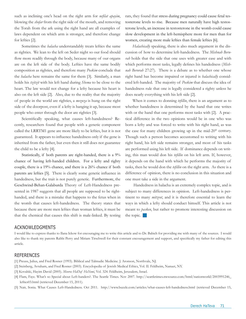such as inclining one's head on the right arm for *nefilat apayim*, blowing the *shofar* from the right side of the mouth, and removing the Torah from the ark using the right hand are all examples of laws dependent on which arm is stronger, and therefore change for lefties [2].

Sometimes the *halacha* understandably treats lefties the same as righties. We lean to the left on Seder night so our food should flow more readily through the body, because many of our organs are on the left side of the body. Lefties have the same bodily composition as righties, and therefore many *Poskim* conclude that the *halacha* here remains the same for them [3]. Similarly, a man holds his *tzitzit* with his left hand during *Shema* to be close to the heart. The law would not change for a lefty because his heart is also on the left side [2]. Also, due to the reality that the majority of people in the world are righties, a *mezuza* is hung on the right side of the doorpost, even if a lefty is hanging it up, because most people who enter through the door are righties [3].

Scientifically speaking, what causes left-handedness? Recently, researchers found that people with a genetic component called the LRRTM1 gene are more likely to be lefties, but it is not guaranteed. It appears to influence handedness only if the gene is inherited from the father, but even then it still does not guarantee the child to be a lefty [4].

Statistically, if both parents are right-handed, there is a 9% chance of having left-handed children. For a lefty and righty couple, there is a 19% chance, and there is a 26% chance if both parents are lefties [5]. There is clearly some genetic influence in handedness, but the trait is not purely genetic. Furthermore, the Geschwind-Behan-Galaburda Theory of Left-Handedness presented in 1987 suggests that all people are supposed to be righthanded, and there is a mistake that happens to the fetus when in the womb that causes left-handedness. The theory states that because there are more men lefties than woman lefties, it must be that the chemical that causes this shift is male-linked. By testing rats, they found that stress during pregnancy could cause fetal testosterone levels to rise. Because men naturally have high testosterone levels, an increase in testosterone in the womb could cause slow development in the left-hemisphere more for men than for women, creating more male lefties than female lefties [6].

*Halachically* speaking, there is also much argument in the discussion of how to determine left-handedness. The *Mishnah Berurah* holds that the side that one uses with greater ease and with which performs most tasks, legally defines his handedness (*Mishnah Berurah* 27:27). There is a debate as to whether one whose right hand has become impaired or injured is *halachically* considered left-handed. The majority of *Poskim* that discuss the idea of handedness rule that one is legally considered a righty unless he does nearly everything with his left side [2].

When it comes to donning *tefillin*, there is an argument as to whether handedness is determined by the hand that one writes with or the hand that one performs most tasks with [2]. A practical difference in the two opinions would be in one who was born a lefty and was forced to write with his right hand, as was the case for many children growing up in the mid- $20<sup>th</sup>$  century. Though such a person becomes accustomed to writing with his right hand, his left side remains stronger, and most of his tasks are performed using his left side. If dominance depends on writing, this man would don his *tefillin* on his left arm. If, however, it depends on the hand with which he performs the majority of tasks, then he would don the *tefillin* on the right arm. As there is a difference of opinion, there is no conclusion in this situation and one must take a side in the argument.

 Handedness in halacha is an extremely complex topic, and is subject to many differences in opinion. Left-handedness is pertinent to many *mitzvot*, and it is therefore essential to learn the ways in which a lefty should conduct himself. This article is not meant to *pasken*, but rather to promote interesting discussion on the topic.

#### ACKNOWLEDGMENTS

I would like to express thanks to Ilana Ickow for encouraging me to write this article and to Dr. Babich for providing me with many of the sources. I would also like to thank my parents Rabbi Perry and Miriam Tirschwell for their constant encouragement and support, and specifically my father for editing this article.

- [1] Preuss, Julius, and Fred Rosner (1993). Biblical and Talmudic Medicine. J. Aronson, Northvale, NJ.
- [2] Steinberg, Avraham, and Fred Rosner (2003). Encyclopedia of Jewish Medical Ethics, Vol. II. Feldheim, Nanuet, NY.
- [3] Kovalski, Hayim David (2005). *Meoros HaDaf HaYomi*, Vol. 324. Feldheim, Jerusalem, Israel.
- [4] Flam, Faye. What's so Special about Left-handers?. The Seattle Times. Nov 2007. http://seattletimes.nwsource.com/html/nationworld/2003991246\_ lefties03.html (retrieved December 15, 2011).
- [5] Nair, Sonia. What Causes Left-Handedness. Oct 2011. http://www.buzzle.com/articles/what-causes-left-handedness.html (retrieved December 15,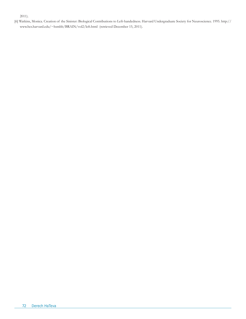#### 2011).

[6] Watkins, Monica. Creation of the Sinister: Biological Contributions to Left-handedness. Harvard Undergraduate Society for Neuroscience. 1995. http:// www.hcs.harvard.edu/~hsmbb/BRAIN/vol2/left.html (retrieved December 15, 2011).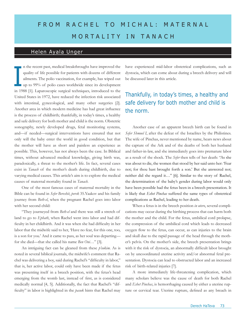# FROM RACHEL TO MICHAL: MATERNAL MORTALITY IN TANACH

## Helen Ayala Unger

n the recent past, medical breakthroughs have improved the quality of life possible for patients with dozens of different ailments. The polio vaccination, for example, has wiped out up to 99% of polio cases worldwide since its development in 1988 [1]. Laparoscopic surgical techniques, introduced to the United States in 1972, have reduced the infection risk associated with intestinal, gynecological, and many other surgeries [2]. Another area in which modern medicine has had great influence is the process of childbirth; thankfully, in today's times, a healthy and safe delivery for both mother and child is the norm. Obstetric sonography, newly developed drugs, fetal monitoring systems, and—if needed—surgical interventions have ensured that not only will the baby enter the world in good condition, but that the mother will have as short and painless an experience as possible. This, however, has not always been the case. In Biblical times, without advanced medical knowledge, giving birth was, paradoxically, a threat to the mother's life. In fact, several cases exist in *Tanach* of the mother's death during childbirth, due to varying medical causes. This article's aim is to explore the medical causes of maternal mortality found in *Tanach.* **I** 

One of the most famous cases of maternal mortality in the Bible can be found in *Sefer Bereshit*, *perek* 35.Yaakov and his family journey from *Beth-el*, when the pregnant Rachel goes into labor with her second child:

"They journeyed from *Beth-el* and there was still a stretch of land to go to *Ephath*, when Rachel went into labor and had difficulty in her childbirth. And it was when she had difficulty in her labor that the midwife said to her, 'Have no fear, for this one, too, is a son for you.' And it came to pass, as her soul was departing for she died—that she called his name *Ben Oni*…" [3].

An intriguing fact can be gleaned from these *p'sukim*. As is noted in several biblical journals, the midwife's comment that Rachel was delivering a boy, said during Rachel's "difficulty in labor," that is, her active labor, could only have been made if the fetus was presenting itself in a breech position, with the fetus's head emerging from the womb last, instead of first, as is considered medically normal [4, 5]. Additionally, the fact that Rachel's "difficulty" in labor is highlighted in the *pasuk* hints that Rachel may

have experienced mid-labor obstetrical complications, such as dystocia, which can come about during a breech delivery and will be discussed later in this article.

# Thankfully, in today's times, a healthy and safe delivery for both mother and child is the norm.

Another case of an apparent breech birth can be found in *Sefer Shmuel I*, after the defeat of the Israelites by the Philistines. The wife of Pinchas, never mentioned by name, hears news about the capture of the Ark and of the deaths of both her husband and father-in-law, and she immediately goes into premature labor as a result of the shock. The *Sefer* then tells of her death: "As she was about to die, the women that stood by her said unto her: 'Fear not; for thou hast brought forth a son.' But she answered not; neither did she regard it…" [6]. Similar to the story of Rachel, the determination of the baby's gender during labor would only have been possible had the fetus been in a breech presentation. It is likely that *Eshet Pinchas* suffered the same types of obstetrical complications as Rachel, leading to her death.

When a fetus is in the breech position *in utero*, several complications may occur during the birthing process that can harm both the mother and the child. For the fetus, umbilical cord prolapse, the compression of the umbilical cord which leads to decreased oxygen flow to the fetus, can occur, as can injuries to the brain and skull due to the rapid passage of the head through the mother's pelvis. On the mother's side, the breech presentation brings with it the risk of dystocia, an abnormally difficult labor brought on by uncoordinated uterine activity and/or abnormal fetal presentation. Dystocia can lead to obstructed labor and an increased risk of birth-related injuries [7].

A more immediately life-threatening complication, which many scholars believe was the cause of death for both Rachel and *Eshet Pinchas*, is hemorrhaging caused by either a uterine rupture or cervical tear. Uterine rupture, defined as any breach in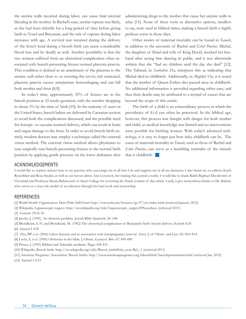the uterine walls incurred during labor, can cause fatal internal bleeding in the mother. In Rachel's case, uterine rupture was likely, as she had been infertile for a long period of time before giving birth to Yosef and Binyamin, and the risk of rupture during labor increases with age. A cervical tear incurred during the delivery of the fetus's head during a breech birth can cause considerable blood loss and be deadly as well. Another possibility is that the two women suffered from an obstetrical complication often associated with breech-presenting fetuses termed placenta praevia. This condition is defined as an attachment of the placenta to the uterine wall either close to or covering the cervix; left untreated, placenta praevia causes antepartum hemorrhaging and can kill both mother and fetus [8,9].

In today's time, approximately 25% of fetuses are in the breech position at 32 weeks gestation, with the number dropping to about 3% by the time of birth [10]. In the majority of cases in the United States, breech babies are delivered by Caesarian section to avoid both the complications discussed, and the possible need for forceps- or vacuum-assisted delivery, which can result in brain and organ damage to the fetus. In order to avoid breech birth entirely, modern doctors may employ a technique called the external vision method. The external vision method allows physicians to non-surgically turn breech-presenting fetuses to the normal birth position by applying gentle pressure on the lower abdomen after administering drugs to the mother that cause her uterine walls to relax [11]. None of these tools or alternative options, needless to say, were used in biblical times, making a breech birth a highly perilous event in those days.

Other stories of maternal mortality can be found in *Tanach*, in addition to the accounts of Rachel and *Eshet Pinchas*. Michal, the daughter of Shaul and wife of King David, mocked her husband after seeing him dancing in public, and it was afterwards written that she "had no children until the day she died" [12]. The Talmud, in *Sanhedrin* 21a, interprets this as indicating that Michal died in childbirth. Additionally, in *Megillah* 13a, it is noted that the mother of Queen Esther also passed away in childbirth. No additional information is provided regarding either case, and thus their deaths may be attributed to a myriad of causes that are beyond the scope of this article.

The birth of a child is an extraordinary process in which the providence of G-d can often be perceived. In the biblical age, however, this process was fraught with danger for both mother and child, as medical knowledge was limited and no interventions were possible for birthing women. With today's advanced technology, it is easy to forget just how risky childbirth can be. The cases of maternal mortality in *Tanach*, such as those of Rachel and *Eshet Pinchas*, can serve as a humbling reminder of the miracle that is childbirth.  $\Box$ 

#### Acknowledgements

I would like to express *hakarat hatov* to my parents, who encourage me in all that I do and support me in all my decisions. I also thank my co-editors, Kayla Rosenblatt and Rose Snyder, as well as our layout editor, Ann Levenson, for making this journal a reality. I would like to thank Rabbi Raphael Davidovich of Cleveland and Professor Deena Rabinovich of Stern College for reviewing the Torah content of this article. Lastly, I give tremendous thanks to Dr. Babich, who serves as a true role model of an educator through his hard work and mentorship.

#### **REFERENCES**

- [1] World Health Organization. Does Polio Still Exist? http://www.who.int/features/qa/07/en/index.html (retrieved January 2012)
- [2] Wikipedia. Laparoscopic surgery. http://en.wikipedia.org/wiki/Laparoscopic\_surgery#Procedures (retrieved 2011)
- [3] Genesis 35:16-18
- [4] Jacobs, J. (1996). An obstetric problem. Jewish Bible Quarterly 24: 188.
- [5] Blondheim, S. H. and Blondheim, M. (1982) The obstetrical complication of Benjamin's birth: breech delivery. Koroth 8:29.
- [6] Samuel I 4:20
- [7] Zhu, BP *et al*. (2006) Labor dystocia and its association with interpregnancy interval. Amer. J. of Obstet. and Gyn*.* 85: 810–814.
- [8] Levin, S. *et al*. (1960) Obstetrics in the bible. J. Obstet. Gynecol. Brit. 67: 490-498.
- [9] Preuss, J. (1993) Biblical and Talmudic medicine. Pages 428-431.
- [10] Wikipedia. Breech birth. http://en.wikipedia.org/wiki/Breech\_birth#cite\_note-Ref\_-1 (retrieved 2011)
- [11] American Pregnancy Association. Breech births. http://www.americanpregnancy.org/labornbirth/breechpresentation.html (retrieved Jan. 2012)
- [12] Samuel 2 6:23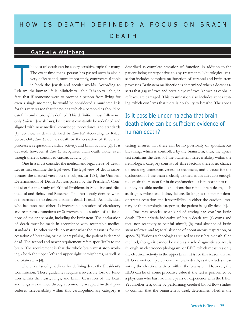# HOW IS DEATH DEFINED? A FOCUS ON BRAIN **DEATH**

### Gabrielle Weinberg

he idea of death can be a very sensitive topic for many. The exact time that a person has passed away is also a very delicate and, more importantly, controversial topic in both the Jewish and secular worlds. According to Judaism, the human life is infinitely valuable. It is so valuable, in fact, that if someone were to prevent a person from living for even a single moment, he would be considered a murderer. It is for this very reason that the point at which a person dies should be carefully and thoroughly defined. This definition must follow not only *halacha* (Jewish law), but it must constantly be redefined and aligned with new medical knowledge, procedures, and standards [1]. So, how is death defined by *halacha*? According to Rabbi Soloveichik, *halacha* defines death by the cessation of three vital processes: respiration, cardiac activity, and brain activity [2]. It is debated, however, if *halacha* recognizes brain death alone, even though there is continued cardiac activity [3]. T

One first must consider the medical and legal views of death. Let us first examine the legal view. The legal view of death incorporates the medical views on the subject. In 1981, the Uniform Determination of Death Act was passed by the President's Commission for the Study of Ethical Problems in Medicine and Biomedical and Behavioral Research. This Act clearly defined when it is permissible to declare a patient dead. It read, "An individual who has sustained either: 1) irreversible cessation of circulatory and respiratory functions or 2) irreversible cessation of all functions of the entire brain, including the brainstem. The declaration of death must be made in accordance with acceptable medical standards." In other words, no matter what the reason is for the cessation of breathing or the heart pulsing, the patient is deemed dead. The second and newer requirement refers specifically to the brain. The requirement is that the whole brain must stop working - both the upper left and upper right hemispheres, as well as the brain stem [4].

There is a list of guidelines for defining death the President's Commission. These guidelines require irreversible loss of function within the heart, lungs, and brain. Cessation of the heart and lungs is examined through commonly accepted medical procedures. Irreversibility within this cardiopulmonary category is

described as complete cessation of function, in addition to the patient being unresponsive to any treatments. Neurological cessation includes complete malfunction of cerebral and brain stem processes. Brainstem malfunction is determined when a doctor asserts that gag reflexes and certain eye reflexes, known as cephalic reflexes, are damaged. This examination also includes apnea testing, which confirms that there is no ability to breathe. The apnea

# Is it possible under halacha that brain death alone can be sufficient evidence of human death?

testing ensures that there can be no possibility of spontaneous breathing, which is controlled by the brainstem; thus, the apnea test confirms the death of the brainstem. Irreversibility within the neurological category consists of three factors: there is no chance of recovery, unresponsiveness to treatment, and a cause for the dysfunction of the brain is clearly defined and is adequate enough to explain the reason for brain dysfunction. It is important to rule out any possible medical conditions that mimic brain death, such as drug overdose and kidney failure. So long as the patient demonstrates cessation and irreversibility in either the cardiopulmonary or the neurologic categories, the patient is legally dead [4].

One may wonder what kind of testing can confirm brain death. Three criteria indicative of brain death are: (a) coma and total non-reactivity to painful stimuli; (b) total absence of brain stem reflexes; and (c) total absence of spontaneous respiration, or apnea [5]. Various technologies are used to assess brain death. One method, though it cannot be used as a sole diagnostic source, is through an electroencephalogram, or EEG, which measures only the electrical activity in the upper brain. It is for this reason that an EEG cannot completely confirm brain death, as it excludes measuring the electrical activity within the brainstem. However, the EEG can be of some probative value if the test is performed by a physician who has had many years of experience with the EEG. Yet another test, done by performing cerebral blood flow studies to confirm that the brainstem is dead, determines whether the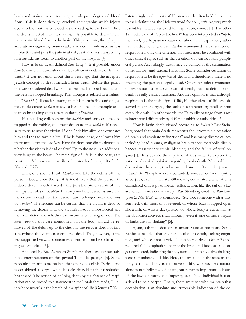brain and brainstem are receiving an adequate degree of blood flow. This is done through cerebral angiography, which injects dye into the four major blood vessels leading to the brain. Once the dye is injected into these veins, it is possible to determine if there is any blood flow to the brain. This procedure, though quite accurate in diagnosing brain death, is not commonly used, as it is impractical, and puts the patient at risk, as it involves transporting him outside his room to another part of the hospital [4].

How is brain death defined *halachically*? Is it possible under *halacha* that brain death alone can be sufficient evidence of human death? It was not until about thirty years ago that the accepted Jewish concept of death included brain death. Before this point, one was considered dead when the heart had stopped beating and the person stopped breathing. This thought is related to a Talmudic (*Yoma* 85a) discussion stating that it is permissible and obligatory to desecrate *Shabbat* to save a human life. The example used is of debris falling onto a person during *Shabbat*:

If a building collapses on the *Shabbat* and someone may be trapped in the rubble, one must desecrate the *Shabbat*, if necessary, to try to save the victim. If one finds him alive, one extricates him and tries to save his life. If he is found dead, one leaves him there until after the *Shabbat*. How far does one dig to determine whether the victim is dead or alive? Up to the nose! An additional view is up to the heart. The main sign of life is in the nose, as it is written: 'all in whose nostrils is the breath of the spirit of life' (Genesis 7:22).

Thus, one should break *Shabbat* and take the debris off the person's body, even though it is most likely that the person is, indeed, dead. In other words, the possible preservation of life trumps the rules of *Shabbat.* It is only until the rescuer is sure that the victim is dead that the rescuer can no longer break the laws of *Shabbat*. The rescuer can be certain that the victim is dead by removing the debris until the victim's nose is unobstructed and then can determine whether the victim is breathing or not. The later view of this case mentioned that the body should be removed of the debris up to the chest; if the rescuer does not find a heartbeat, the victim is considered dead. This, however, is the less supported view, as sometimes a heartbeat can be so faint that it goes unnoticed [3].

As noted by Rav Avraham Steinberg, there are various rabbinic interpretations of this pivotal Talmudic passage [5]. Some rabbinic authorities maintained that a person is clinically dead and is considered a corpse when it is clearly evident that respiration has ceased. The notion of defining death by the absence of respiration can be rooted to a statement in the Torah that reads, "…all in whose nostrils is the breath of the spirit of life [Genesis 7:22]." Interestingly, as the roots of Hebrew words often hold the secrets to their definitions, the Hebrew word for soul, *neshama*, very much resembles the Hebrew word for respiration, *neshima* [1]. The other Talmudic view of "up to the heart" has been interpreted as "up to the navel," perhaps an indication of abdominal respiration, rather than cardiac activity. Other Rabbis maintained that cessation of respiration is only one criterion that then must be combined with other clinical signs, such as the cessation of heartbeat and peripheral pulses. Accordingly, death may be defined as the termination of respiratory and cardiac functions. Some consider cessation of respiration to be the *definition* of death and therefore if there is no breathing, the person is legally dead. Others consider termination of respiration to be a symptom of death, but the definition of death is really cardiac function. Another opinion is that although respiration is the main sign of life, if other signs of life are observed in other organs, the lack of respiration by itself cannot establish death. In other words, the Talmudic passage from *Yoma* is interpreted differently by different rabbinic authorities [5].

How is brain death viewed according to *halacha*? Rav Steinberg noted that brain death represents the "irreversible cessation of brain and respiratory functions" and has many diverse causes, including head trauma, malignant brain cancer, metabolic disturbances, massive intracranial bleeding, and the failure of vital organs [5]. It is beyond the expertise of this writer to explore the various rabbinical opinions regarding brain death. Most rabbinic discussions, however, revolve around another Talmudic passage (*Ohalot* 1:6): "People who are beheaded, however, convey impurity as corpses, even if they are still moving convulsively. The latter is considered only a postmortem reflex action, like the tail of a lizard which moves convulsively." Rav Steinberg cited the Rambam (*Tum'at Met* 1:15) who continued, "So, too, someone with a broken neck with most of it severed, or whose back is ripped open like a fish, or who is decapitated, or whose body is cut in half at the abdomen conveys ritual impurity even if one or more organs or limbs are still shaking" [5].

Again, rabbinic decisors maintain various positions. Some Rabbis concluded that any person close to death, lacking cognition, and who cannot survive is considered dead. Other Rabbis required full decapitation, so that the brain and body are no longer connected, indicating that any subsequent convulsive shakings were not indicative of life. Here, the stress is on the state of the body: an intact body is indicative of life, whereas decapitation alone is not indicative of death, but rather is important in issues of the laws of purity and impurity, as such an individual is considered to be a corpse. Finally, there are those who maintain that decapitation is an absolute and irreversible indication of the de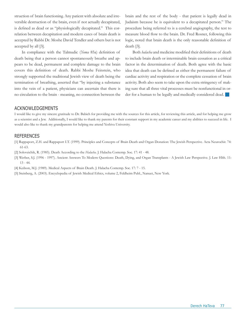struction of brain functioning. Any patient with absolute and irreversible destruction of the brain, even if not actually decapitated, is defined as dead or as "physiologically decapitated." This correlation between decapitation and modern cases of brain death is accepted by Rabbi Dr. Moshe David Tendler and others but is not accepted by all [3].

In compliance with the Talmudic (*Yoma* 85a) definition of death being that a person cannot spontaneously breathe and appears to be dead, permanent and complete damage to the brain covers this definition of death. Rabbi Moshe Feinstein, who strongly supported the traditional Jewish view of death being the termination of breathing, asserted that "by injecting a substance into the vein of a patient, physicians can ascertain that there is no circulation to the brain - meaning, no connection between the brain and the rest of the body - that patient is legally dead in Judaism because he is equivalent to a decapitated person." The procedure being referred to is a cerebral angiography, the test to measure blood flow to the brain. Dr. Fred Rosner, following this logic, noted that brain death is the only reasonable definition of death [3].

Both *halacha* and medicine modified their definitions of death to include brain death or interminable brain cessation as a critical factor in the determination of death. Both agree with the basic idea that death can be defined as either the permanent failure of cardiac activity and respiration or the complete cessation of brain activity. Both also seem to take upon the extra stringency of making sure that all three vital processes must be nonfunctional in order for a human to be legally and medically considered dead.

#### Acknowledgements

I would like to give my sincere gratitude to Dr. Babich for providing me with the sources for this article, for reviewing this article, and for helping me grow as a scientist and a Jew. Additionally, I would like to thank my parents for their constant support in my academic career and my abilities to succeed in life. I would also like to thank my grandparents for helping me attend Yeshiva University.

#### **REFERENCES**

[1] Rappaport, Z.H. and Rappaport I.T. (1999). Principles and Concepts of Brain Death and Organ Donation: The Jewish Perspective. Acta Neurochir. 74: 61-63.

[2] Soloveichik, R. (1985). Death According to the *Halacha*. J. Halacha Contemp. Soc. 17: 41 - 48.

[3] Werber, S.J. (1996 - 1997). Ancient Answers To Modern Questions: Death, Dying, and Organ Transplants - A Jewish Law Perspective. J. Law Hlth. 11: 13 - 44.

[4] Keilson, M.J. (1989). Medical Aspects of Brain Death. J. Halacha Contemp. Soc. 17: 7 - 15.

[5] Steinberg, A. (2003). Encyclopedia of Jewish Medical Ethics, volume 2, Feldheim Publ., Nanuet, New York.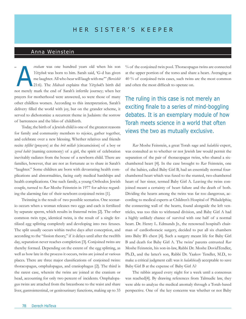## Anna Weinstein

*vraham* was one hundred years old when his son *Yitzchok* was born to him. Sarah said, 'G-d has given me laughter. All who hear will laugh with me'" *(Bereishit*  21:6). The *Midrash* explains that *Yitzchok*'s birth did not merely mark the end of Sarah's infertile journey; when her prayers for motherhood were answered, so were those of many other childless women. According to this interpretation*,* Sarah's delivery filled the world with joy, but on the grander scheme, it served to dichotomize a recurrent theme in Judaism: the sorrow of barrenness and the bliss of childbirth.  $\epsilon$ A

Today, the birth of a Jewish child is one of the greatest reasons for family and community members to rejoice, gather together, and celebrate over a new blessing. Whether relatives and friends recite *tefillot* (prayers) at the *brit millah* (circumcision) of a boy or *zeved habit* (naming ceremony) of a girl, the spirit of celebration inevitably radiates from the house of a newborn child. There are families, however, that are not as fortunate as to share in Sarah's "laughter." Some children are born with devastating health complications and abnormalities, facing early medical hardships and health complications. One such family, a young Orthodox Jewish couple, turned to *Rav* Moshe Feinstein in 1977 for advice regarding the alarming fate of their newborn conjoined twins [1].

Twinning is the result of two possible scenarios. One scenario occurs when a woman releases two eggs and each is fertilized by separate sperm, which results in fraternal twins [2]. The other common twin type, identical twins, is the result of a single fertilized egg splitting completely and developing into two fetuses. The split usually occurs within twelve days after conception, and according to the "fission theory," if it delays until after the twelfth day, separation never reaches completion [3]. Conjoined twins are thereby formed. Depending on the extent of the egg splitting, as well as how late in the process it occurs, twins are joined at various places. There are three major classifications of conjoined twins: thoracopagus, omphalopagus, and craniophagus [2]. The third is the rarest case, wherein the twins are joined at the cranium or head, accounting for only two percent of incidents. Omphalopagus twins are attached from the breastbone to the waist and share liver, gastrointestinal, or genitourinary functions, making up to 33 % of the conjoined twin pool. Thoracopagus twins are connected at the upper portion of the torso and share a heart. Averaging at 40 % of conjoined twin cases, such twins are the most common and often the most difficult to operate on.

The ruling in this case is not merely an exciting finale to a series of mind-boggling debates. It is an exemplary module of how Torah meets science in a world that often views the two as mutually exclusive.

*Rav* Moshe Feinstein, a great Torah sage and *halakhic* expert, was consulted as to whether or not Jewish law would permit the separation of the pair of thoracopagus twins, who shared a sixchambered heart [4]. In the case brought to *Rav* Feinstein, one of the babies, called Baby Girl B, had an essentially normal fourchambered heart which was fused to the stunted, two-chambered heart of her sister, termed Baby Girl A. Leaving the twins conjoined meant a certainty of heart failure and the death of both. Dividing the hearts among the twins was far too dangerous, according to medical experts at Children's Hospital of Philadelphia; the connecting wall of the hearts, found alongside the left ventricles, was too thin to withstand division, and Baby Girl A had a highly unlikely chance of survival with one half of a normal heart. Dr. Henry L. Edmunds Jr., the renowned hospital's chairman of cardiothoracic surgery, decided to put all six chambers into Baby B's chest [4]. Such a surgery meant life for Baby Girl B and death for Baby Girl A. The twins' parents entrusted *Rav* Moshe Feinstein, his son-in-law, Rabbi Dr. Moshe DovidTendler, Ph.D., and the latter's son, Rabbi Dr. Yaakov Tendler, M.D., to make a critical judgment call: was it *halakhically* acceptable to save Baby Girl B at the expense of Baby Girl A?

The rabbis argued every night for a week until a consensus was reached[4]. By drawing references from Talmudic law, they were able to analyze the medical anomaly through a Torah-based perspective. One of the key concerns was whether or not Baby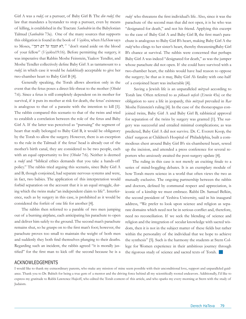Girl A was a *rodef,* or a pursuer, of Baby Girl B. The *din rodef,* the law that mandates a bystander to stop a pursuer, even by means of killing, is established in the Tractate *Sanhedrin* in the Babylonian Talmud (*Sanhedrin* 73a). One of the many sources that supports this obligation is found in the book of *Vayikra*, when *HaShem* says to Moses, "*רעך דם על תעמד לא," "*don't stand aside on the blood of your fellow" (*Vayikra*19:16). Before permitting the surgery, it was imperative that Rabbis Moshe Feinstein, Yaakov Tendler, and Moshe Tendler collectively define Baby Girl A as tantamount to a *rodef,* in which case it would be *halakhically* acceptable to give her two-chamber heart to Baby Girl B [4].

Generally speaking, the Torah allows abortion only in the event that the fetus poses a direct life-threat to the mother (*Oholot*  7:6). Since a fetus is still completely dependent on its mother for survival, if it puts its mother at risk for death, the fetus' existence is analogous to that of a parasite with the intention to kill [1]. The rabbis compared this scenario to that of the twins and tried to establish a correlation between the role of the fetus and Baby Girl A. If the latter was perceived as "pursuing" the segment of heart that really belonged to Baby Girl B, it would be obligatory by the Torah to allow the surgery. However, there is an exception to the rule in the Talmud: if the fetus' head is already out of the mother's birth canal, they are considered to be two people, each with an equal opportunity to live (*Oholot* 7:6). Neither is deemed a *rodef* and "biblical ethics demands that you take a hands-off policy." The rabbis tried arguing this scenario, since Baby Girl A and B, though conjoined, had separate nervous systems and were, in fact, two babies. The application of this interpretation would forbid separation on the account that it is an equal struggle, during which the twins make"an independent claim to life". Interference, such as by surgery in this case, is prohibited as it would be considered the forfeit of one life for another [4].

The rabbis then referred to a parable of two men jumping out of a burning airplane, each anticipating his parachute to open and deliver him safely to the ground. The second man's parachute remains shut, so he grasps on to the first man's foot; however, the parachute proves too small to maintain the weight of both men and suddenly they both find themselves plunging to their deaths. Regarding such an incident, the rabbis agreed "it is morally justified" for the first man to kick off the second because he is a

*rodef* who threatens the first individual's life. Also, since it was the parachute of the second man that did not open, it is he who was "designated for death," and not his friend. Applying this excerpt to the case of Baby Girl A and Baby Girl B, the first man's parachute is analogous to Baby Girl B's heart, making Baby Girl A the *rodef* who clings to her sister's heart, thereby threateningBaby Girl B's chance at survival. The rabbis were concerned that perhaps Baby Girl A was indeed "designated for death," as was the jumper whose parachute did not open. If she could have survived with a two-chamber heart, the rabbis would have had reason to oppose the surgery; be that as it may, Baby Girl A's fatality with one-half of a conjoined heart was ineluctable [4].

 Saving a Jewish life is an unparalleled *mitzvah* according to Torah law. Often referred to as *pikuach nefesh* (*Eruvin* 45a) or the obligation to save a life in jeopardy, this *mitzvah* prevailed in *Rav* Moshe Feinstein's ruling [4]. In the case of the thoracopagus conjoined twins, Baby Girl A and Baby Girl B, rabbinical approval for separation of the twins by surgery was granted [1]. The surgery was successful and entailed minimal complications; as was predicted, Baby Girl A did not survive. Dr. C. Everett Koop, the chief surgeon at Children's Hospital of Philadelphia, built a commodious chest around Baby Girl B's six-chambered heart, sewed up the incision, and attended a press conference for several reporters who anxiously awaited the post-surgery update [4].

The ruling in this case is not merely an exciting finale to a series of mind-boggling debates. It is an exemplary module of how Torah meets science in a world that often views the two as mutually exclusive. The ongoing partnership between the rabbis and doctors, defined by communal respect and appreciation, is iconic of a kinship we must embrace. Rabbi Dr. Samuel Belkin, the second president of Yeshiva University, said in his inaugural address, "We prefer to look upon science and religion as separate domains which need not be in serious conflict and, therefore, need no reconciliation. If we seek the blending of science and religion and the integration of secular knowledge with sacred wisdom, then it is not in the subject matter of these fields but rather within the personality of the individual that we hope to achieve the synthesis" [5]. Such is the harmony the students at Stern College for Women experience in their ambitious journey through the rigorous study of science and sacred texts of Torah.

#### ACKNOWLEDGEMENTS

I would like to thank my extraordinary parents, who make any mission of mine seem possible with their unconditional love, support and unparalleled guidance. Thank you to Dr. Babich for being a true gem of a mentor and the driving force behind all my scientifically rooted endeavors. Additionally, I'd like to express my gratitude to Rabbi Lawrence Hajioff, who edited the Torah content of this article, and who sparks my every morning at Stern with the study of Judaism.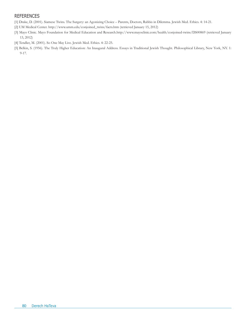### **REFERENCES**

- [1] Drake, D. (2001). Siamese Twins. The Surgery: an Agonizing Choice Parents, Doctors, Rabbis in Dilemma. Jewish Med. Ethics. 4: 14-21.
- [2] UM Medical Center. http://www.umm.edu/conjoined\_twins/facts.htm (retrieved January 15, 2012)
- [3] Mayo Clinic. Mayo Foundation for Medical Education and Research.http://www.mayoclinic.com/health/conjoined-twins/DS00869 (retrieved January 13, 2012)
- [4] Tendler, M. (2001). So One May Live. Jewish Med. Ethics. 4: 22-25.
- [5] Belkin, S. (1956). The Truly Higher Education: An Inaugural Address. Essays in Traditional Jewish Thought. Philosophical Library, New York, NY. 1: 9-17.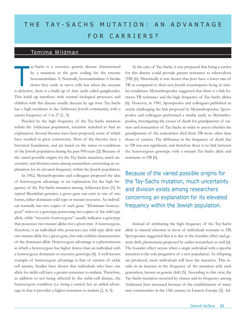# THE TAY-SACHS MUTATION: AN ADVANTAGE FOR CARRIERS?

# Temima Wildman

ay-Sachs is a recessive genetic disease characterized by a mutation in the gene coding for the enzyme hexosaminidase-A. Normally, hexosaminidase-A breaks down fatty acids in nerve cells but when the enzyme is defective, there is a build up of fatty acids called gangliosides. This build up interferes with normal biological processes and children with this disease usually decease by age four. Tay-Sachs has a high incidence in the Ashkenazi Jewish community, with a carrier frequency of 1 in 27 [1, 3].  $\prod$ 

Puzzled by the high frequency of the Tay-Sachs mutation within the Ashkenazi population, scientists searched to find an explanation. Several theories have been proposed, some of which have resulted in great controversy. Most of the theories have a historical foundation, and are based on the status or conditions of the Jewish population during the past 900 years [2]. Because of the varied possible origins for the Tay-Sachs mutation, much uncertainty and division exists among researchers concerning an explanation for its elevated frequency within the Jewish population.

In 1962, Myrianthopoulus and colleagues proposed the idea of heterozygote advantage as an explanation for the high frequency of the Tay-Sachs mutation among Ashkenazi Jews [3]. In typical Mendelian genetics, a given gene can exist in one of two forms, either dominant wild type or mutant recessive. An individual normally has two copies of each gene. "Dominant homozygous" refers to a genotype possessing two copies of the wild type allele, while "recessive homozygous" usually indicates a genotype that possesses two mutant alleles for a given trait. A heterozygote, therefore, is an individual who possesses one wild type allele and one mutant allele for a given gene, but only exhibits characteristics of the dominant allele. Heterozygote advantage is a phenomenon in which a heterozygote has higher fitness than an individual with a homozygous dominant or recessive genotype [4]. A well-known example of heterozygote advantage is that of carriers of sickle cell anemia. Studies have shown that individuals who have one allele for sickle cell have a greater resistance to malaria. Therefore, in addition to not being affected by the sickle-cell disease, the heterozygote condition (i.e. being a carrier) has an added advantage in that it provides a higher resistance to malaria [2, 4, 5].

In the case of Tay-Sachs, it was proposed that being a carrier for this disease could provide greater resistance to tuberculosis (TB) [6]. Historically it was shown that Jews have a lower rate of TB as compared to their non-Jewish counterparts living in similar conditions. Myrianthopoulus suggested that there is a link between TB resistance and the high frequency of Tay-Sachs alleles [6]. However, in 1981, Spyropoulos and colleagues published an article challenging the link proposed by Myrianthopoulus. Spyropoulos and colleagues performed a similar study to Myrianthopoulos, investigating the causes of death for grandparents of carriers and noncarriers of Tay-Sachs in order to assess whether the grandparents of the noncarriers died from TB more often than those of carriers. The difference in the frequency of death due to TB was not significant, and therefore there is no link between the heterozygous genotype with a mutant Tay-Sachs allele and resistance to TB [6].

Because of the varied possible origins for the Tay-Sachs mutation, much uncertainty and division exists among researchers concerning an explanation for its elevated frequency within the Jewish population.

Instead of attributing the high frequency of the Tay-Sachs allele to natural selection in favor of individuals resistant to TB, Spyropoulus suggested that it is due to the founder effect and genetic drift, phenomena proposed by earlier researchers as well [6]. The founder effect occurs when a single individual with a specific mutation is the sole progenitor of a new population. As offspring are produced, more individuals will have the mutation. This results in an increase in the frequency of the mutation with each generation, known as genetic drift [5]. According to this view, the Tay-Sachs mutation occurred by chance and its frequency among Ashkenazi Jews increased because of the establishment of many new communities in the 13th century in Eastern Europe [2]. Ad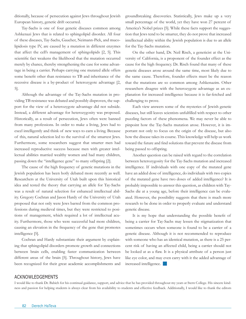ditionally, because of persecution against Jews throughout Jewish European history, genetic drift occurred.

Tay-Sachs is one of four genetic diseases common among Ashkenazi Jews that is related to sphingolipid disorder. All four of these diseases, Tay-Sachs, Gaucher, Neimann-Pick, and mucolipidosis type IV, are caused by a mutation in different enzymes that affect the cell's management of sphingolipids [2, 5]. This scientific fact weakens the likelihood that the mutation occurred merely by chance, thereby strengthening the case for some advantage in being a carrier. Perhaps carrying one mutated allele offers some benefit other than resistance to TB and inheritance of the recessive disease is a by-product of heterozygote advantage [2, 5].

Although the advantage of the Tay-Sachs mutation in providing TB resistance was debated and possibly disproven, the support for the view of a heterozygote advantage did not subside. Instead, a different advantage for heterozygosity was proposed. Historically, as a result of persecution, Jews often were banned from many professions. In order to make a living, Jews had to excel intelligently and think of new ways to earn a living. Because of this, natural selection led to the survival of the smartest Jews. Furthermore, some researchers suggest that smarter men had increased reproductive success because men with greater intellectual abilities married wealthy women and had many children, passing down the "intelligence gene" to many offspring [2].

The cause of the high frequency of genetic mutations in the Jewish population has been hotly debated more recently as well. Researchers at the University of Utah built upon this historical idea and tested the theory that carrying an allele for Tay-Sachs was a result of natural selection for enhanced intellectual ability. Gregory Cochran and Jason Hardy of the University of Utah proposed that not only were Jews barred from the common professions during medieval times, but they were restricted to positions of management, which required a lot of intellectual acuity. Furthermore, those who were successful had more children, causing an elevation in the frequency of the gene that promotes intelligence [5].

Cochran and Hardy substantiate their argument by explaining that sphingolipid disorders promote growth and connections between brain cells, enabling faster communication between different areas of the brain [5]. Throughout history, Jews have been recognized for their great academic accomplishments and groundbreaking discoveries. Statistically, Jews make up a very small percentage of the world, yet they have won 27 percent of America's Nobel prizes [5]. While these facts support the suggestion that Jews tend to be smarter, they do not prove that increased intellectual ability within the Jewish population is due to an allele for the Tay-Sachs mutation.

On the other hand, Dr. Neil Risch, a geneticist at the University of California, is a proponent of the founder effect as the cause for the high frequency. Dr. Risch found that many of these genetic diseases arose around the same time, most likely due to the same cause. Therefore, founder effects must be the reason that the mutations are so common among Ashkenazim. Other researchers disagree with the heterozygote advantage as an explanation for increased intelligence because it is far-fetched and challenging to prove.

Each view answers some of the mysteries of Jewish genetic diseases, but still leaves scientists unfulfilled with respect to other puzzling factors of these phenomena. We may never be able to pinpoint how the Tay-Sachs mutation arose. However, it is important not only to focus on the origin of the disease, but also how the disease takes its course. This knowledge will help us work toward the future and find solutions that prevent the disease from being passed to offspring.

Another question can be raised with regard to the correlation between heterozygosity for the Tay-Sachs mutation and increased intelligence. If individuals with one copy of the mutated gene have an added dose of intelligence, do individuals with two copies of the mutated gene have two doses of added intelligence? It is probably impossible to answer this question, as children with Tay-Sachs die at a young age, before their intelligence can be evaluated. However, the possibility suggests that there is much more research to be done in order to properly evaluate and understand genetic disease.

It is my hope that understanding the possible benefit of being a carrier for Tay-Sachs may lessen the stigmatization that sometimes occurs when someone is found to be a carrier of a genetic disease. Although it is not recommended to reproduce with someone who has an identical mutation, as there is a 25 percent risk of having an affected child, being a carrier should not be looked at as a flaw. It is a physical attribute of a person just like eye color, and may even carry with it the added advantage of increased intelligence.

#### Acknowledgements

I would like to thank Dr. Babich for his continual guidance, support, and advice that he has provided throughout my years at Stern College. His sincere kindness and passion for helping students is always clear from his availability to students and effective feedback. Additionally, I would like to thank the editors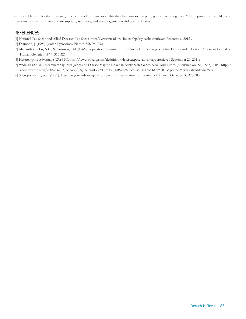of this publication for their patience, time, and all of the hard work that they have invested in putting this journal together. Most importantly, I would like to thank my parents for their constant support, assistance, and encouragement to follow my dreams.

### **REFERENCES**

- [1] National Tay-Sachs and Allied Diseases Tay-Sachs. http://www.ntsad.org/index.php/tay-sachs (retrieved February 6, 2012).
- [2] Diamond, J. (1994). Jewish Lysosomes. Nature. 368:291-292.
- [3] Myrianthopoulos, N.C., & Aronson, S.M. (1966). Population Dynamics of Tay Sachs Disease: Reproductive Fitness and Selection. American Journal of Human Genetics. 18(4): 313-327.
- [4] Heterozygote Advantage. Word IQ. http://www.wordiq.com/definition/Heterozygote\_advantage (retrieved September 26, 2011)
- [5] Wade, N. (2005). Researchers Say Intelligence and Disease May Be Linked in Ashkenazic Genes. New York Times. (published online June 3, 2005). http:// www.nytimes.com/2005/06/03/science/03gene.html?ex=1275451200&en=efcc603583e17b54&ei=5090&partner=rssuserland&emc=rss
- [6] Spyropoulos, B., et al. (1981). Heterozygote Advantage in Tay Sachs Carriers?. American Journal of Human Genetics. 33:375-380.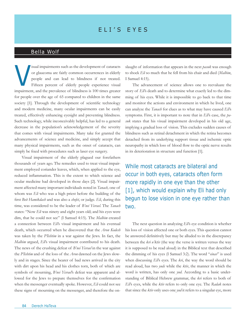# E li' s E y e s

## Bella Wolf

isual impairments such as the development of cataracts or glaucoma are fairly common occurrences in elderly people and can lead to blindness if not treated. Fifteen percent of elderly people experience visual impairment, and the prevalence of blindness is 100 times greater for people over the age of 65 compared to children in the same society [1]. Through the development of scientific technology and modern medicine, many ocular impairments can be easily treated, effectively enhancing eyesight and preventing blindness. Such technology, while inconceivably helpful, has led to a general decrease in the population's acknowledgement of the severity that comes with visual impairments. Many take for granted the advancements of science and medicine, and simply accept that many physical impairments, such as the onset of cataracts, can simply be fixed with procedures such as laser eye surgery. V

Visual impairment of the elderly plagued our forefathers thousands of years ago. The remedies used to treat visual impairment employed coriander leaves, which, when applied to the eye, reduced inflammation. This is the extent to which science and ocular medicine had developed in those days [2]. Visual impairment affected many important individuals noted in *Tanach,* one of whom was *Eli* who was a high priest before the building of the first *Beit Hamikdash* and was also a *shofet*, or judge. *Eli*, during this time, was considered to be the leader of *B'nei Yisrael*. The *Tanach* states: "Now *Eli* was ninety and eight years old; and his eyes were dim, that he could not see" (I Samuel 4:15). The *Malbim* created a connection between *Eli*'s visual impairment and his eventual death, which occurred when he discovered that the *Aron Kodesh* was taken by the *P'lishtim* in a war against the Jews. In fact, the *Malbim* argued, *Eli*'s visual impairment contributed to his death. The news of the crushing defeat of *B'nei Yisrael* in the war against the *P'lishtim* and of the loss of the *Aron* dawned on the Jews slowly and in stages. Since the bearer of bad news arrived in the city with dirt upon his head and his clothes torn, both of which are symbols of mourning, *B'nei Yisrael*'s defeat was apparent and allowed for the Jews to prepare themselves for the confirmation when the messenger eventually spoke. However, *Eli* could not see these signs of mourning on the messenger, and therefore the on-

slaught of information that appears in the next *pasuk* was enough to shock *Eli* so much that he fell from his chair and died (*Malbim*, I Samuel 4:15).

The advancement of science allows one to reevaluate the story of *Eli*'s death and to determine what exactly led to the dimming of his eyes. While it is impossible to go back to that time and monitor the actions and environment in which he lived, one can analyze the *Tanach* for clues as to what may have caused *Eli*'s symptoms. First, it is important to note that in *Eli*'s case, the *pasuk* states that his visual impairment developed in his old age, implying a gradual loss of vision. This excludes sudden causes of blindness such as retinal detachment in which the retina becomes detached from its underlying support tissue and ischemic optic neuropathy in which loss of blood flow to the optic nerve results in its deterioration in structure and function [1].

While most cataracts are bilateral and occur in both eyes, cataracts often form more rapidly in one eye than the other [1], which would explain why Eli had only begun to lose vision in one eye rather than two.

The next question in analyzing *Eli*'s eye condition is whether his loss of vision affected one or both eyes. This question cannot be answered definitively but may be alluded to in the discrepancy between the *kri u'ktiv* (the way the verse is written versus the way it is supposed to be read aloud) in the Biblical text that described the dimming of his eyes (I Samuel 3:2). The word "*einav*" is used when discussing *Eli*'s eyes. The *kri*, the way the word should be read aloud, has two *yuds* while the *ktiv*, the manner in which the word is written, has only one *yud*. According to a basic understanding of Biblical Hebrew grammar, the *kri* refers to both of *Eli*'s eyes, while the *ktiv* refers to only one eye. The *Radak* notes that since the *ktiv* only uses one *yud* it refers to a singular eye, more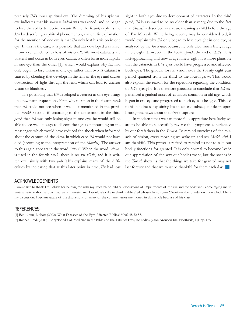precisely *Eli*'s inner spiritual eye. The dimming of his spiritual eye indicates that his *ruach hakodesh* was weakened, and he began to lose the ability to receive *nevuah*. While the *Radak* explains the *ktiv* by describing a spiritual phenomenon, a scientific explanation for the mention of one eye is that *Eli* only lost his vision in one eye. If this is the case, it is possible that *Eli* developed a cataract in one eye, which led to loss of vision. While most cataracts are bilateral and occur in both eyes, cataracts often form more rapidly in one eye than the other [1], which would explain why *Eli* had only begun to lose vision in one eye rather than two. A cataract is caused by clouding that develops in the lens of the eye and causes obstruction of light through the lens, which can lead to unclear vision or blindness.

The possibility that *Eli* developed a cataract in one eye brings up a few further questions. First, why mention in the fourth *perek* that *Eli* could not see when it was just mentioned in the previous *perek*? Second, if according to the explanation in the third *perek* that *Eli* was only losing sight in one eye, he would still be able to see well enough to discern the signs of mourning on the messenger, which would have reduced the shock when informed about the capture of the *Aron,* in which case *Eli* would not have died (according to the interpretation of the *Malbim*). The answer to this again appears in the word "*einav*." When the word "*einav*" is used in the fourth *perek*, there is no *kri u'ktiv*, and it is written exclusively with two *yuds*. This explains many of the difficulties by indicating that at this later point in time, *Eli* had lost

sight in both eyes due to development of cataracts. In the third *perek, Eli* is assumed to be no older than seventy, due to the fact that *Shmuel* is described as a *na'ar*, meaning a child before the age of Bar Mitzvah. While being seventy may be considered old, it would explain why *Eli* only began to lose eyesight in one eye, as analyzed by the *kri u'ktiv*, because he only died much later, at age ninety eight. However, in the fourth *perek*, the end of *Eli*'s life is fast-approaching and now at age ninety eight, it is more plausible that the cataracts in *Eli*'s eyes would have progressed and affected both eyes. The gradual loss in vision over the twenty eight year period spanned from the third to the fourth *perek.* This would also explain the reason for the repetition regarding the condition of *Eli*'s eyesight. It is therefore plausible to conclude that *Eli* experienced a gradual onset of cataracts common in old age, which began in one eye and progressed to both eyes as he aged. This led to his blindness, explaining his shock and subsequent death upon hearing the news about the *Aron*'s capture.

In modern times we can more fully appreciate how lucky we are to be able to successfully reverse the symptoms experienced by our forefathers in the *Tanach*. To remind ourselves of the miracle of vision, every morning we wake up and say *Modeh Ani*; I am thankful. This prayer is recited to remind us not to take our bodily functions for granted. It is only normal to become lax in our appreciation of the way our bodies work, but the stories in the *Tanach* show us that the things we take for granted may not last forever and that we must be thankful for them each day.

#### Acknowledgements

I would like to thank Dr. Babich for helping me with my research on biblical discussions of impairments of the eye and for constantly encouraging me to write an article about a topic that really interested me. I would also like to thank Rabbi Preil whose class on *Sefer Shmuel* was the foundation upon which I built my discussion. I became aware of the discussions of many of the commentators mentioned in this article because of his class.

#### **REFERENCES**

[1] Ben-Noun, Liubov. (2002). What Diseases of the Eyes Affected Biblical Men? 48:52-55. [2] Rosner, Fred. (2000). Encyclopedia of Medicine in the Bible and the Talmud: Eyes, Remedies. Jason Aronson Inc. Northvale, NJ, pp. 125.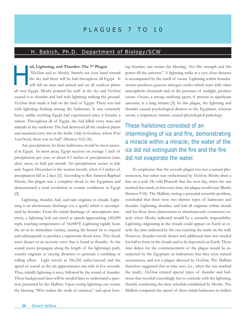# P L A G U E S 7 T O 10

## H. Babich, Ph.D. Department of Biology/SCW

#### ail, Lightning, and Thunder: The 7<sup>th</sup> Plague

*"HaShem* said to Moshe, Stretch out your hand toward the sky and there will be hail throughout all Egypt. It will fall on man and animal and on all outdoor plants all over Egypt. Moshe pointed his staff at the sky and *HaShem* caused it to thunder and hail with lightning striking the ground. *HaShem* then made it hail on the land of Egypt. There was hail with lightning flashing among the hailstones. It was extremely heavy, unlike anything Egypt had experienced since it became a nation. Throughout all of Egypt, the hail killed every man and animals in the outdoors. The hail destroyed all the outdoor plants and smashed every tree in the fields. Only in Goshen, where *B'nei Israel* lived, there was no hail" (Shemos 9:22-26).

Any precipitation, let alone hailstones, would be most unusual in Egypt. In most areas, Egypt receives on average 1 inch of precipitation per year, or about 0.1 inches of precipitation (rain, sleet, snow, or hail) per month. No precipitation occurs in July and August; December is the wettest month, when 0.3 inches of precipitation fall in 2 days [1]. According to Rav Samson Raphael Hirsch, this plague was a complete shock to the Egyptians and demonstrated a total revolution in cosmic conditions in Egypt [2].

Lightning, thunder, hail, and rain originate in clouds. Lightning is an electrostatic discharge (or, a spark) which is accompanied by thunder. From the initial discharge of atmospheric electricity, a lightning bolt can travel at speeds approaching 140,000 mph, reaching temperatures of 54,000°F. Lightning rapidly heats the air in its immediate vicinity, causing the heated air to expand and subsequently to produce a supersonic shock wave. This shock wave decays to an acoustic wave that is heard as thunder. As the sound waves propagate along the length of the lightning's path, sounds originate at varying distances to generate a rumbling or rolling effect. Light travels at 186,282 miles/second and the speed of sound, in dry air, approximates one mile in five seconds. Thus, initially lightning is seen, followed by the sound of thunder. These background facts will be needed later to understand a question presented by the Malbim. Upon seeing lightning one recites the blessing "Who makes the work of creation," and upon hear-

ail, Lightning, and Thunder: The 7<sup>th</sup> Plague ing thunder, one recites the blessing, "for His strength and His "HaShem said to Moshe, Stretch out your hand toward power fill the universe." A lightning strike at a very clos power fill the universe." A lightning strike at a very close distance is accompanied by the smell of ozone. Lightning within thunderstorms produces gaseous nitrogen oxides which react with other atmospheric chemicals and, in the presence of sunlight, produce ozone. Ozone, a strong oxidizing agent, if present in significant amounts, is a lung irritant [3]. In this plague, the lightning and thunder caused psychological distress to the Egyptians, whereas ozone, a respiratory irritant, caused physiological pathology.

> These hailstones consisted of an intermingling of ice and fire, demonstrating a miracle within a miracle; the water of the ice did not extinguish the fire and the fire did not evaporate the water.

> To emphasize that the seventh plague was not a natural phenomenon, but rather was orchestrated by *HaShem,* Moshe drew a line on a wall. He told Pharaoh that the next day, when the sun reached that mark, at that exact time, the plague would start (Rashi, Shemos 9:18). The Malbim, noting a potential scientific problem, concluded that there were two distinct types of hailstones and thunder. Lightning, thunder, and hail all originate within clouds and for these three phenomena to simultaneously commence exactly when Moshe indicated would be a scientific impossibility. Lightning originating in the clouds could appear on Earth at exactly the time indicated by the sun reaching the mark on the wall. However, thunder travels slower and additional time was needed for hail to form in the clouds and to be deposited on Earth. These time delays for the commencement of the plague would be interpreted by the Egyptians as indications that they were natural occurrences, and not a plague directed by *HaShem*. The Malbim therefore suggested that at time zero (i.e., when the sun reached the mark), *HaShem* created special types of thunder and hailstone that traveled exceedingly fast to coincide with the lightning, thereby confirming the time schedule established by Moshe. The Malbim compared the speed of these initial hailstones to bullets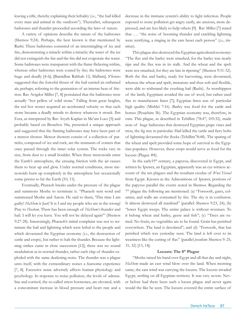leaving a rifle, thereby explaining their lethality (*i.e*., "the hail killed every man and animal in the outdoors"). Thereafter, subsequent hailstones and thunder proceeded according the laws of nature.

A variety of opinions describe the nature of the hailstones (Shemos 9:24). Perhaps, the best known is that mentioned by Rashi. These hailstones consisted of an intermingling of ice and fire, demonstrating a miracle within a miracle; the water of the ice did not extinguish the fire and the fire did not evaporate the water. Some hailstones were transparent with the flame flickering within, whereas other hailstones were coated by fire; the hailstones were huge and deadly [4-6]; [Bamidbar Rabbah 12; Malbim]. S'forno suggested that the forceful thrust of the hail carried an enflamed air, perhaps, referring to the generation of an intense heat of friction. Rav Avigdor Miller [7, 8] postulated that the hailstones were actually "hot pellets of solid stone." Falling from great heights, the red hot stones acquired an accelerated velocity so that each stone became a deadly missile to destroy whatever it struck. Ibn Ezra, as interpreted by Rav Aryeh Kaplan in Me'am Loez [5] and probably based on Berachos 54a, presented a unique approach and suggested that the flaming hailstones may have been part of a meteor shower. Meteor showers consist of a collection of particles, composed of ice and rock, are the remnants of comets that once passed through the inner solar system. The rocks vary in size, from dust to a small boulder. When these meteoroids enter the Earth's atmosphere, the ensuing friction with the air causes them to heat up and glow. Under normal conditions, most meteoroids burn up completely in the atmosphere but occasionally some persist to hit the Earth [10, 11].

Eventually, Pharaoh breaks under the pressure of the plague and summons Moshe to terminate it. "Pharaoh sent word and summoned Moshe and Aaron. He said to them, 'This time I am guilty! *HaShem* is Just! It is I and my people who are in the wrong! Pray to *Hashem*. There has been enough of *HaShem's* thunder and hail. I will let you leave. You will not be delayed again'" (Shemos 9:27-28). Interestingly, Pharaoh's initial complaint was not to terminate the hail and lightning which were lethal to the people and which devastated the Egyptian economy (*i.e*., the destruction of cattle and crops), but rather to halt the thunder. Because the lightning strikes came in close succession [12], there was no sound modulation as in normal thunder, rather each clap of thunder exploded with the same deafening noise. The thunder was a plague unto itself, with the extraordinary noises a fearsome experience [7, 8]. Excessive noise adversely affects human physiology and psychology. In response to noise pollution, the levels of adrenaline and cortisol, the so-called stress hormones, are elevated, with a concomitant increase in blood pressure and heart rate and a

decrease in the immune system's ability to fight infection. People exposed to noise pollution get angry easily, are anxious, more depressed, and are less likely to help others [9]. Rav Miller [7] stated that …. "the noise of booming thunder and crackling lightning were terrifying, a ringing in the ears beset each person" (*i.e*., tinnitus).

This plague also destroyed the Egyptian agricultural economy: "The flax and the barley were smashed, for the barley was nearly ripe and the flax was in its stalk. And the wheat and the spelt were not smashed, for they are late in ripening" (Shemos 9:31-32). Both the flax and barley, ready for harvesting, were devastated, whereas the wheat and spelt, immature and thus soft and flexible, were able to withstand the crushing hail (Rashi). As worshippers of the lamb, Egyptians avoided the use of wool, but rather used flax to manufacture linen [7]; Egyptian linen was of particular high quality (Mishlei 7:16). Barley was food for the cattle and horses (Pesachim 3b). The Egyptian economy was, therefore, in ruin. This plague, as described in Tehillim (78:47; 105:32), made note of huge hailstones that destroyed Egyptian grape vines and tress, the fig tree in particular. Hail killed the cattle and fiery bolts of lightning devastated the flocks (Tehillim78:48). The sparing of the wheat and spelt provided some hope of survival to the Egyptian populace. However, these crops would serve as food for the locusts (Plague #8).

In the early19<sup>th</sup> century, a papyrus, discovered in Egypt, and written by Ipuwer, an Egyptian, apparently was an eye witness account of the ten plagues and the resultant exodus of *B'nei Yisrael*  from Egypt. Known as the Admonitions of Ipuwer, portions of the papyrus parallel the events noted in Shemos. Regarding the  $7<sup>th</sup>$  plague the following are mentioned: (a) "Forsooth, gates, columns, and walls are consumed by fire. The sky is in confusion. It almost destroyed all mankind" (parallel: Shemos 9:23, 24); (b) "lower Egypt weeps. The entire palace is without revenues. To it belong wheat and barley, geese and fish"; (c) "Trees are ruined. No fruits, no vegetables are to be found. Grain has perished everywhere. The land is desolated"; and (d) "Forsooth, that has perished which was yesterday seen. The land is left over to its weariness like the cutting of flax" (parallel *posukim*: Shemos 9: 25, 31, 32) [13, 14].

#### **Locusts: The 8th Plague**

"Moshe raised his hand over Egypt and all that day and night, *HaShem* made an east wind blow over the land. When morning came, the east wind was carrying the locusts. The locusts invaded Egypt, settling on all Egyptian territory. It was very severe. Never before had there been such a locust plague and never again would the like be seen. The locusts covered the entire surface of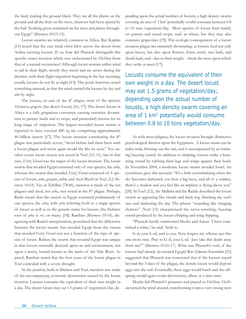the land, making the ground black. They ate all the plants on the ground and all the fruit on the trees, whatever had been spared by the hail. Nothing green remained on the trees and plants throughout Egypt" (Shemos 10:13-15).

Locust swarms are relatively common in Africa. Rav Kaplan [11] noted that the east wind often blew across the desert from Arabia carrying locusts. If so, how did Pharaoh distinguish this specific insect invasion which was orchestrated by *HaShem* from that of a natural occurrence? Although locust swarms utilize wind to aid in their flight, mostly they travel and are active during the daytime, with their flight migration beginning in the late morning; usually, locusts do not fly at night [15]. The *pasuk*, however, noted something unusual, in that the wind carried the locusts by day and *also* by night.

The locusts, or *arba* of the 8<sup>th</sup> plague, were of the species, *Shistocerca gregaria* (the desert locust) [16, 17]. The desert locust in Africa is a fully gregarious consumer, causing extensive devastation to pasture lands and to crops, and particularly known for its long range of migration. The largest recorded locust swarm is reported to have covered 400 sq mi, comprising approximately 40 billion insects [17]. The locust invasion constituting the  $8<sup>th</sup>$ plague was particularly severe; "never before had there been such a locust plague and never again would the like be seen." Yet, another severe locust swarm was noted in Yoel (2:1-11), but in that case, *Eretz Yisrael* was the target of the locust invasion. The locust swarm that invaded Egypt consisted only of one species, the *arba*, whereas the swarm that invaded *Eretz Yisrael* consisted of 4 species of locust, *arba*, *gozzum*, *yellek*, and *chasil* (Rashi in Yoel, 2:2; Shemos 10:14). Yet, in Tehillim (78:46), mention is made of the ten plagues and *chasil,* not *arba*, was noted in the 8th plague. Perhaps, Rashi meant that the swarm in Egypt consisted *predominantly* of one species, the *arba,* with *arba* referring both to a single species of locust as well as to the generic name for locusts (the Hebrew root of *arba* is *rov*, or many) [18]. Ramban (Shemos 10:14), disagreeing with Rashi's interpretation, postulated that the difference between the locust swarm that invaded Egypt from the swarm that invaded *Eretz Yirsael* was not a function of the type of species of locust. Rather, the swarm that invaded Egypt was unique in that locusts normally descend upon an arid environment, not upon a moist, humid terrain as the basin of the Nile River. As proof, Ramban noted that the four years of the locust plague in Yoel coincided with a severe drought.

In the *pasukim*, both in Shemos and Yoel, mention was made of the accompanying economic destruction caused by the locust invasion. Locusts consume the equivalent of their own weight in a day. The desert locust may eat 1.5 grams of vegetation/day; depending upon the actual number of locusts, a high density swarm covering an area of 1 km<sup>2</sup> potentially would consume between 0.8 to 10 tons vegetation/day. Most species of locust feed mainly on grasses and cereal crops, such as wheat, but they may also consume grapevines [19]. The ecologic consequences of a locust invasion plague are extremely devastating, as locusts feed not only upon leaves, but also upon flowers, fruits, seeds, tree bark, and shrub bark, and - due to their weight - break the trees upon which they settle *en masse* [17].

Locusts consume the equivalent of their own weight in a day. The desert locust may eat 1.5 grams of vegetation/day; depending upon the actual number of locusts, a high density swarm covering an area of 1 km2 potentially would consume between 0.8 to 10 tons vegetation/day.

As with most plagues, the locust invasion brought distinctive psychological distress upon the Egyptians. A locust swam can be miles wide, blotting out the sun, and is accompanied by an irritating buzzing sound. In addition to chirping, locusts make a humming sound by rubbing their legs and wings against their body. In November 2004, a moderate locust swarm invaded Israel. An eyewitness gave this account: "It's a little overwhelming when the sky becomes darkened, you hear a big buzz, and all of a sudden, there's a shadow and you feel like an airplane is flying above you" [20]. In Yoel (2:2), the Malbim and the Radak described the locust swarm as appearing like clouds and thick fog, blocking the sun's rays and darkening the day. The phrase "sounding like clanging chariots" (Yoel 2:5) characterized the nerve-wrecking, buzzing sound produced by the locust chirping and wing flapping.

"Pharaoh hastily summoned Moshe and Aaron. 'I have committed a crime,' he said, 'both to

G-d, your L-rd, and to you. Now forgive my offense just this one more time. Pray to G-d, your L-rd. Just take this death away from me!'" (Shemos 10:16-17). What was Pharaoh's rush, if the locusts had already devastated Egypt? Rav Zalman Sorotzkin [21] suggested that Pharaoh was concerned that if the locusts stayed beyond the 3 days of the plague, the female locust would deposit eggs into the soil. Eventually, these eggs would hatch and the offspring would again evoke destruction, albeit, at a later time.

Moshe left Pharaoh's presence and prayed to *HaShem*. *HaShem* turned the wind around, transforming it into a very strong west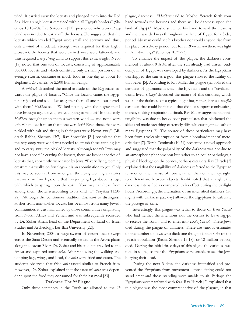wind. It carried away the locusts and plunged them into the Red Sea. Not a single locust remained within all Egypt's borders" (Shemos 10:18-20). Rav Sorotzkin [21] questioned why a *very strong* wind was needed to carry off the locusts. He suggested that the locusts which invaded Egypt were small and scrawny and, thus, only a wind of moderate strength was required for their flight. However, the locusts that were carried away were fattened, and thus required a *very strong* wind to support this extra weight. Nevo [17] noted that one ton of locusts, consisting of approximately 500,000 locusts and which constitute only a small portion of an average swarm, consume as much food in one day as about 10 elephants, 25 camels, or 2,500 human beings.

A *midrash* described the initial attitude of the Egyptians towards the plague of locusts. "Once the locusts came, the Egyptians rejoiced and said, 'Let us gather them all and fill our barrels with them.' *HaShem* said, 'Wicked people, with the plague that I have brought against you, are you going to rejoice?' Immediately, *HaShem* brought upon them a western wind .... and none were left. What does it mean that none were left? Even those that were pickled with salt and sitting in their pots were blown away" (Midrash Rabba, Shemos 13:7). Rav Sorotzkin [21] postulated that the *very strong* west wind was needed to smash these canning jars and to carry away the pickled locusts. Although today's Jews may not have a specific craving for locusts, there are kosher species of locusts that, apparently, were eaten by Jews. "Every flying teeming creature that walks on four legs - it is an abomination to you. Only this may be you eat from among all the flying teeming creatures that walk on four legs: one that has jumping legs above its legs, with which to spring upon the earth. You may eat these from among them: the *arba* according to its kind …" (Yayikra 11:20- 22). Although the continuous tradition *(mesorah*) to distinguish kosher from non-kosher locusts has been lost from many Jewish communities, it was maintained by those communities originating from North Africa and Yemen and was subsequently recorded by Dr. Zohar Amar, head of the Department of Land of Israel Studies and Archeology, Bar Ilan University [22].

In November, 2004, a huge swarm of desert locust swept across the Sinai Desert and eventually settled in the Arava plains along the Jordan River. Dr. Zohar and his students traveled to the Arava and captured some *arba.* After removing the walking and jumping legs, wings, and head, the *arba* were fried and eaten. The students observed that fried *arba* tasted similar to French fries. However, Dr. Zohar explained that the taste of *arba* was dependent upon the food they consumed for their last meal [23].

#### Darkness: The 9<sup>th</sup> Plague

Only three sentences in the Torah are allotted to the 9<sup>th</sup>

plague, darkness. "*HaShem* said to Moshe, 'Stretch forth your hand towards the heavens and there will be darkness upon the land of Egypt.' Moshe stretched his hand toward the heavens and there was darkness throughout the land of Egypt for a 3-day period. No man could see his brother nor could anyone rise from his place for a 3-day period; but for all *B'nei Yisrael* there was light in their dwellings" (Shemos 10:21-23).

To enhance the impact of the plague, the darkness commenced at about 9 A.M. after the sun already had arisen. Suddenly, all of Egypt was enveloped by darkness. As the Egyptians worshipped the sun as a god, this plague showed the futility of that belief [5]. According to Rav Miller this plague symbolized the darkness of ignorance in which the Egyptians and the "civilized" world lived. *Chazal* discussed the nature of this darkness, which was not the darkness of a typical night but, rather, it was a *tangible* darkness that could be felt and that did not support combustion, thereby making respiration difficult. Rav Miller suggested that this tangibility was due to heavy soot particulates that blackened the skies and made breathing extremely difficult, causing the death of many Egyptians [8]. The source of these particulates may have been from a volcanic eruption or from a bombardment of meteoric dust [7]. Torah Temimah (10:21) presented a novel approach and suggested that the palpability of the darkness was not due to an atmospheric phenomenon but rather to an ocular pathology, a physical blockage on the cornea, perhaps cataracts. Rav Hirsch [2] explained that the tangibility of darkness referred to the Egyptian reliance on their sense of touch, rather than on their eyesight, to differentiate between objects. Rashi noted that at night, the darkness intensified as compared to its effect during the daylight hours. Accordingly, the alternation of an intensified darkness *(i.e*., night) with darkness *(i.e*., day) allowed the Egyptians to calculate the passage of time.

Interestingly, this plague was lethal to those of *B'nei Yisrael* who had neither the intentions nor the desires to leave Egypt, to receive the Torah, and to enter into *Eretz Yisrael*. These Jews died during the plague of darkness. There are various estimates of the number of Jews who died; one thought is that 80% of the Jewish population (Rashi, Shemos 13:18), or 12 million people, died. During the initial three days of this plague the darkness was total in scope, so that the Egyptians were unable to see the Jews burying their dead.

During the next 3 days, the darkness intensified and prevented the Egyptians from movement - those sitting could not stand erect and those standing were unable to sit. Perhaps the Egyptians were paralyzed with fear. Rav Hirsch [2] explained that this plague was the most comprehensive of the plagues, in that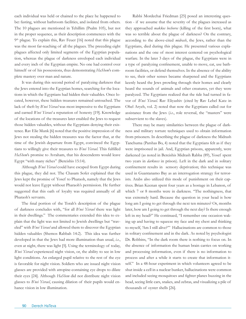each individual was held or chained to the place he happened to be**:** fasting, without bathroom facilities, and isolated from others. The 10 plagues are mentioned in Tehillim (Psalm 105), but not in the proper sequence, as their description commences with the 9<sup>th</sup> plague. To explain this, Rav Feuer [16] noted that this plague was the most far-reaching of all the plagues. The preceding eight plagues affected only limited segments of the Egyptian population, whereas the plague of darkness enveloped each individual and every inch of the Egyptian empire. No one had control over himself or of his possessions, thus demonstrating *HaShem*'s complete mastery over man and nature.

It was during this second period of paralyzing darkness that the Jews entered into the Egyptian homes, searching for the locations in which the Egyptians had hidden their valuables. Once located, however, these hidden treasures remained untouched. The lack of theft by *B'nei Yisrael* was most impressive to the Egyptians and earned *B'nei Yisrael* a reputation of honesty [19]. Knowledge of the locations of the treasures later enabled the Jews to request those hidden valuables, without the Egyptians denying their existence. Rav Elie Munk [6] noted that the positive impression of the Jews not stealing the hidden treasures was the factor that, at the time of the Jewish departure from Egypt, convinced the Egyptians to willingly give their treasures to *B'nei Yisrael.* This fulfilled *HaShem*'s promise to Avraham, that his descendents would leave Egypt "with many riches" (Bereishis 15:14).

Although *B'nei Yisrael* could have escaped from Egypt during this plague, they did not. The Chasam Sofer explained that the Jews kept the promise of Yosef to Pharaoh, namely that the Jews would not leave Egypt without Pharaoh's permission. He further suggested that this oath of loyalty was required annually of all Pharaoh's servants.

The final portion of the Torah's description of the plague of darkness concludes with, "for all *B'nei Yisrael* there was light in their dwellings." The commentaries extended this idea to explain that the light was not limited to Jewish dwellings but "traveled" with *B'nei Yisrael* and allowed them to discover the Egyptian hidden valuables (Shemos Rabbah 14:2). This idea was further developed in that the Jews had more illumination than usual, *i.e*., even at night, there was light [5]. Using the terminology of today, *B'nei Yisrael* experienced night vision, or, the ability to see in low light conditions. An enlarged pupil relative to the rest of the eye is favorable for night vision. Soldiers who are issued night vision glasses are provided with atropine-containing eye drops to dilate their eyes [24]. Although *HaShem* did not distribute night vision glasses to *B'nei Yisrael*, causing dilation of their pupils would enhance vision in low illumination.

Rabbi Mordechai Friedman [25] posed an interesting question - if we assume that the severity of the plagues increased as they approached *makkos bechoros* (killing of the first born), what was so terrible about the plague of darkness? On the contrary, according to the above-cited *midrash*, the Jews, rather than the Egyptians, died during this plague. He presented various explanations and the one of most interest centered on psychological warfare. In the later 3 days of the plague, the Egyptians were in a type of paralyzing confinement, unable to move, eat, use bathroom facilities, or defend themselves. In the absence of the ability to see, their other senses became sharpened and the Egyptians keenly heard the Jews prowling through their homes and clearly heard the sounds of animals and other creatures, yet they were paralyzed. The Egyptians realized that the tide had turned in favor of *B'nei Yisrael*. Rav Eliyashiv (cited by Rav Lebel Katz in Ohel Aryeh, vol. 2) noted that now the Egyptians called out for assistance from the Jews (*i.e*., role reversal, the "masters" were subservient to the slaves).

There may be many similarities between the plague of darkness and military torture techniques used to obtain information from prisoners. In describing the plague of darkness the Midrash Tanchuma (Parshas Bo, 4) noted that the Egyptians felt as if they were imprisoned in jail. And, Egyptian prisons, apparently, were darkened (as noted in Bereishis Midrash Rabba (89), Yosef spent two years in *darkness* in prison). Left in the dark and in solitary confinement results in sensory deprivation; this technique was used in Guantanamo Bay as an interrogation strategy for terrorists. Arabs also utilized this mode of punishment on their captives. Brian Keenan spent four years as a hostage in Lebanon, of which 7 or 8 months were in darkness. "The nothingness, that was extremely hard. Because the question in your head is how long am I going to get through the next ten minutes? Or, months later, how am I going to get through the next day? Is there enough left in my head?" He continued, "I remember one occasion waking up and having to squeeze my face and my chest and thinking to myself, 'Am I still alive?'" Hallucinations are common to those in solitary confinement and in the dark. As noted by psychologist Dr. Robbins, "In the dark room there is nothing to focus on. In the absence of information the human brain carries on working and processing information, even if there is no information to process and after a while it starts to create that information itself." In a 48-hour experiment in which volunteers agreed to be shut inside a cell in a nuclear bunker, hallucinations were common and included seeing mosquitoes and fighter planes buzzing in the head, seeing little cars, snakes, and zebras, and visualizing a pile of thousands of oyster shells [26].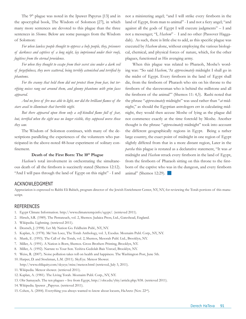The 9<sup>th</sup> plague was noted in the Ipuwer Papyrus [13] and in the apocryphal book, The Wisdom of Solomon [27], in which many more sentences are devoted to this plague than the three sentences in *Shemos*. Below are some passages from the Wisdom of Solomon:

*For when lawless people thought to oppress a holy people, they, prisoners of darkness and captives of a long night, lay imprisoned under their roofs, fugitives from the eternal providence.*

For when they thought to escape from their secret sins under a dark veil *of forgetfulness, they were scattered, being terribly astonished and terrified by phantoms.* 

*For the cranny that held them did not protect them from fear, but terrifying noises rang out around them, and gloomy phantoms with grim faces appeared.*

*And no force of fire was able to light, nor did the brilliant flames of the stars avail to illuminate that horrible night.*

*But there appeared upon them only a self-kindled flame full of fear,*  but, terrified when the sight was no longer visible, they supposed worse those *they saw.*

The Wisdom of Solomon continues, with many of the descriptions paralleling the experiences of the volunteers who participated in the above-noted 48-hour experiment of solitary confinement.

#### Death of the First Born: The 10<sup>th</sup> Plague

*Hashem'*s total involvement in orchestrating the simultaneous death of all the firstborn is succinctly stated (Shemos 12:12). "And I will pass through the land of Egypt on this night" - I and not a ministering angel; "and I will strike every firstborn in the land of Egypt, from man to animal" - I and not a fiery angel; "and against all the gods of Egypt I will execute judgments" – I and not a messenger; "I, *Hashem*" - I and no other (Passover Haggadah). As such, there is little else to add, as this specific plague was executed by *Hashem* alone, without employing the various biological, chemical, and physical forces of nature, which, for the other plagues, functioned as His avenging army.

When this plague was related to Pharaoh, Moshe's wording was: "So said *Hashem*, 'At *approximately* midnight I shall go in the midst of Egypt. Every firstborn in the land of Egypt shall die, from the firstborn of Pharaoh who sits on his throne to the firstborn of the slavewoman who is behind the millstone and all the firstborn of the animal'" (Shemos 11: 4,5). Rashi noted that the phrase "*approximately* midnight" was used rather than "*at* midnight," as should the Egyptian astrologers err in calculating midnight, they would then accuse Moshe of lying as the plague did not commence exactly at the time foretold by Moshe. Another thought is the phrase "*approximately* midnight" took into account the different geographically regions in Egypt. Being a rather large country, the exact point of midnight in one region of Egypt slightly differed from that in a more distant region, Later in the *parsha* this plague is restated as a declarative statement, "It was *at* midnight and *Hashem* struck every firstborn in the land of Egypt, from the firstborn of Pharaoh sitting on this throne to the firstborn of the captive who was in the dungeon, and every firstborn animal" (Shemos 12:29).  $\Box$ 

#### Acknowledgment

Appreciation is expressed to Rabbi Eli Babich, program director of the Jewish Enrichment Center, NY, NY, for reviewing the Torah portions of this manuscript.

#### **REFERENCES**

- 1. Egypt Climate Information. http://www.climatetemp.info/egypt/. (retrieved 2011).
- 2. Hirsch, S.R. (1989). The Pentateuch, vol. 2, Shemos. Judaica Press, Ltd., Gateshead, England.
- 3. Wikipedia. Lightning. (retrieved 2011).
- 4. Deutsch, J. (1998). Let My Nation Go. Feldheim Publ., NY, NY.
- 5. Kaplan, A. (1978). Me'Am Loez, The Torah Anthology, vol. 3, Exodus. Moznaim Publ. Corp., NY, NY.
- 6. Munk, E. (1993). The Call of the Torah, vol. 2, Shemos, Mesorah Publ. Ltd., Brooklyn, NY.
- 7. Miller, A. (1991). A Nation is Born, Shemos. Gross Brothers Printing, Brooklyn, NY.
- 8. Miller, A. (1992). Narrate to Your Son. Yeshiva Gedolah Bais Yisroel, Brooklyn, NY.
- 9. Weiss, R. (2007). Noise pollution takes toll on health and happiness. The Washington Post, June 5th.
- 10. Harper, D. and Stockman, L.M. (2011). SkyEye. Meteor Shower.
- http://www.obliquity.com/skyeye/misc/meteor.html (retrieved, July 3, 2011).
- 11. Wikipedia. Meteor shower. (retrieved 2011).
- 12. Kaplan, A. (1981). The Living Torah. Moznaim Publ. Corp., NY, NY.
- 13. Ohr Samayach. The ten plagues live from Egypt, http://ohr.edu/yhiy/article.php/838. (retrieved 2011).
- 14. Wikipedia. Ipuwer \_Papyrus. (retrieved 2011).
- 15. Cohen, A. (2004). Everything you always wanted to know about locusts, HaAretz (Nov. 22nd).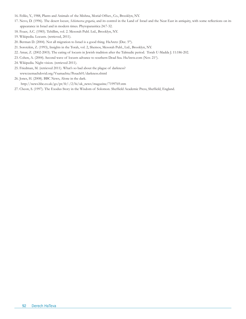- 16. Feliks, Y., 1988, Plants and Animals of the Mishna, Morial Offset., Co., Brooklyn, NY.
- 17. Nevo, D. (1996). The desert locust, *Schistocerca gregaria*, and its control in the Land of Israel and the Neat East in antiquity, with some reflections on its appearance in Israel and in modern times. Phytoparasitica 24:7-32.
- 18. Feuer, A.C. (1985). Tehillim, vol. 2. Mesorah Publ. Ltd., Brooklyn, NY.
- 19. Wikipedia. Locusts. (retrieved, 2011).
- 20. Berman D. (2004). Not all migration to Israel is a good thing. HaAretz (Dec. 5<sup>th</sup>).
- 21. Sorotzkin, Z. (1993), Insights in the Torah, vol. 2, Shemos, Mesorah Publ., Ltd., Brooklyn, NY.
- 22. Amar, Z. (2002-2003). The eating of locusts in Jewish tradition after the Talmudic period. Torah U-Madda J. 11:186-202.
- 23. Cohen, A. (2004). Second wave of locusts advance to southern Dead Sea. HaAretz.com (Nov. 21st).
- 24. Wikipedia. Night vision. (retrieved 2011).
- 25. Friedman, M. (retrieved 2011). What's so bad about the plague of darkness? www.tzemachdovid.org/Vsamachta/Pesach01/darkness.shtml
- 26. Jones, H. (2008). BBC News, Alone in the dark.

http://news.bbc.co.uk/go/pr/fr/-/2/hi/uk\_news/magazine/7199769.stm

27. Cheon, S. (1997). The Exodus Story in the Wisdom of Solomon. Sheffield Academic Press, Sheffield, England.